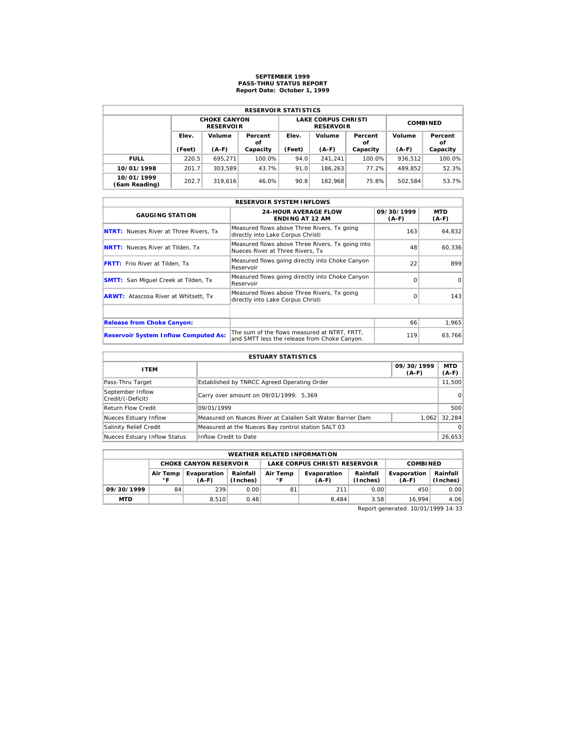# **SEPTEMBER 1999 PASS-THRU STATUS REPORT Report Date: October 1, 1999**

| <b>RESERVOIR STATISTICS</b> |        |                                         |               |        |                                                |                 |         |               |  |  |
|-----------------------------|--------|-----------------------------------------|---------------|--------|------------------------------------------------|-----------------|---------|---------------|--|--|
|                             |        | <b>CHOKE CANYON</b><br><b>RESERVOIR</b> |               |        | <b>LAKE CORPUS CHRISTI</b><br><b>RESERVOIR</b> | <b>COMBINED</b> |         |               |  |  |
|                             | Elev.  | Volume                                  | Percent<br>οf | Elev.  | Volume                                         | Percent<br>οf   | Volume  | Percent<br>οf |  |  |
|                             | (Feet) | $(A-F)$                                 | Capacity      | (Feet) | $(A-F)$                                        | Capacity        | $(A-F)$ | Capacity      |  |  |
| <b>FULL</b>                 | 220.5  | 695.271                                 | 100.0%        | 94.0   | 241.241                                        | 100.0%          | 936,512 | 100.0%        |  |  |
| 10/01/1998                  | 201.7  | 303.589                                 | 43.7%         | 91.0   | 186.263                                        | 77.2%           | 489.852 | 52.3%         |  |  |
| 10/01/1999<br>(6am Reading) | 202.7  | 319.616                                 | 46.0%         | 90.8   | 182.968                                        | 75.8%           | 502.584 | 53.7%         |  |  |

|                                               | <b>RESERVOIR SYSTEM INFLOWS</b>                                                              |                       |                |  |  |  |  |  |  |  |
|-----------------------------------------------|----------------------------------------------------------------------------------------------|-----------------------|----------------|--|--|--|--|--|--|--|
| <b>GAUGING STATION</b>                        | <b>24-HOUR AVERAGE FLOW</b><br><b>ENDING AT 12 AM</b>                                        | 09/30/1999<br>$(A-F)$ | MTD<br>$(A-F)$ |  |  |  |  |  |  |  |
| <b>NTRT:</b> Nueces River at Three Rivers, Tx | Measured flows above Three Rivers, Tx going<br>directly into Lake Corpus Christi             | 163                   | 64,832         |  |  |  |  |  |  |  |
| <b>NRTT:</b> Nueces River at Tilden, Tx       | Measured flows above Three Rivers, Tx going into<br>Nueces River at Three Rivers. Tx         | 48                    | 60,336         |  |  |  |  |  |  |  |
| <b>FRTT:</b> Frio River at Tilden, Tx         | Measured flows going directly into Choke Canyon<br>Reservoir                                 | 22                    | 899            |  |  |  |  |  |  |  |
| <b>SMTT:</b> San Miquel Creek at Tilden, Tx   | Measured flows going directly into Choke Canyon<br>Reservoir                                 | $\Omega$              | $\Omega$       |  |  |  |  |  |  |  |
| <b>ARWT:</b> Atascosa River at Whitsett, Tx   | Measured flows above Three Rivers, Tx going<br>directly into Lake Corpus Christi             | $\Omega$              | 143            |  |  |  |  |  |  |  |
|                                               |                                                                                              |                       |                |  |  |  |  |  |  |  |
| <b>Release from Choke Canyon:</b>             |                                                                                              | 66                    | 1,965          |  |  |  |  |  |  |  |
| <b>Reservoir System Inflow Computed As:</b>   | The sum of the flows measured at NTRT. FRTT.<br>and SMTT less the release from Choke Canyon. | 119                   | 63,766         |  |  |  |  |  |  |  |

| <b>ESTUARY STATISTICS</b>             |                                                             |                       |                |  |  |  |  |  |
|---------------------------------------|-------------------------------------------------------------|-----------------------|----------------|--|--|--|--|--|
| <b>ITEM</b>                           |                                                             | 09/30/1999<br>$(A-F)$ | MTD<br>$(A-F)$ |  |  |  |  |  |
| Pass-Thru Target                      | Established by TNRCC Agreed Operating Order                 |                       | 11,500         |  |  |  |  |  |
| September Inflow<br>Credit/(-Deficit) | Carry over amount on 09/01/1999: 5,369                      |                       | 0              |  |  |  |  |  |
| <b>Return Flow Credit</b>             | 09/01/1999                                                  |                       | 500            |  |  |  |  |  |
| Nueces Estuary Inflow                 | Measured on Nueces River at Calallen Salt Water Barrier Dam | 1.062                 | 32.284         |  |  |  |  |  |
| Salinity Relief Credit                | Measured at the Nueces Bay control station SALT 03          |                       | $\Omega$       |  |  |  |  |  |
| Nueces Estuary Inflow Status          | Inflow Credit to Date                                       |                       | 26,653         |  |  |  |  |  |

|                                                                                              | <b>WEATHER RELATED INFORMATION</b> |                               |      |                      |                               |                        |                      |      |  |  |  |
|----------------------------------------------------------------------------------------------|------------------------------------|-------------------------------|------|----------------------|-------------------------------|------------------------|----------------------|------|--|--|--|
|                                                                                              |                                    | <b>CHOKE CANYON RESERVOIR</b> |      |                      | LAKE CORPUS CHRISTI RESERVOIR | <b>COMBINED</b>        |                      |      |  |  |  |
| Rainfall<br>Evaporation<br>Air Temp<br>Air Temp<br>$^{\circ}$ F<br>(Inches)<br>۰F<br>$(A-F)$ |                                    |                               |      | Evaporation<br>(A-F) | Rainfall<br>(Inches)          | Evaporation<br>$(A-F)$ | Rainfall<br>(Inches) |      |  |  |  |
| 09/30/1999                                                                                   | 84                                 | 239                           | 0.00 | 81                   | 211                           | 0.00                   | 450                  | 0.00 |  |  |  |
| <b>MTD</b>                                                                                   |                                    | 8.510                         | 0.48 |                      | 8.484                         | 3.58                   | 16.994               | 4.06 |  |  |  |

Report generated 10/01/1999 14:33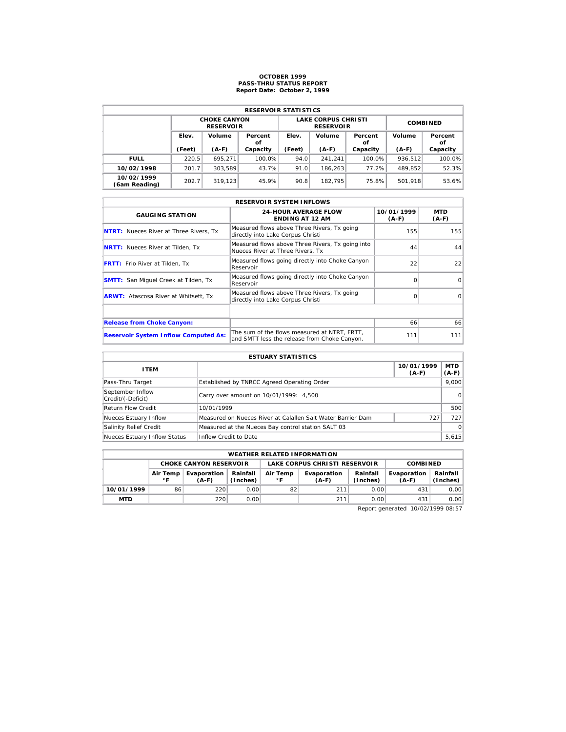# **OCTOBER 1999 PASS-THRU STATUS REPORT Report Date: October 2, 1999**

| <b>RESERVOIR STATISTICS</b> |        |                                         |               |        |                                                |                 |         |               |  |  |
|-----------------------------|--------|-----------------------------------------|---------------|--------|------------------------------------------------|-----------------|---------|---------------|--|--|
|                             |        | <b>CHOKE CANYON</b><br><b>RESERVOIR</b> |               |        | <b>LAKE CORPUS CHRISTI</b><br><b>RESERVOIR</b> | <b>COMBINED</b> |         |               |  |  |
|                             | Elev.  | Volume                                  | Percent<br>οf | Elev.  | Volume                                         | Percent<br>οf   | Volume  | Percent<br>οf |  |  |
|                             | (Feet) | $(A-F)$                                 | Capacity      | (Feet) | $(A-F)$                                        | Capacity        | $(A-F)$ | Capacity      |  |  |
| <b>FULL</b>                 | 220.5  | 695.271                                 | 100.0%        | 94.0   | 241.241                                        | 100.0%          | 936.512 | 100.0%        |  |  |
| 10/02/1998                  | 201.7  | 303.589                                 | 43.7%         | 91.0   | 186.263                                        | 77.2%           | 489.852 | 52.3%         |  |  |
| 10/02/1999                  | 202.7  | 319.123                                 | 45.9%         | 90.8   | 182.795                                        | 75.8%           | 501.918 | 53.6%         |  |  |

|                                               | <b>RESERVOIR SYSTEM INFLOWS</b>                                                              |                       |                |  |  |  |  |  |  |  |
|-----------------------------------------------|----------------------------------------------------------------------------------------------|-----------------------|----------------|--|--|--|--|--|--|--|
| <b>GAUGING STATION</b>                        | <b>24-HOUR AVERAGE FLOW</b><br><b>ENDING AT 12 AM</b>                                        | 10/01/1999<br>$(A-F)$ | MTD<br>$(A-F)$ |  |  |  |  |  |  |  |
| <b>NTRT:</b> Nueces River at Three Rivers, Tx | Measured flows above Three Rivers, Tx going<br>directly into Lake Corpus Christi             | 155                   | 155            |  |  |  |  |  |  |  |
| <b>NRTT:</b> Nueces River at Tilden, Tx       | Measured flows above Three Rivers, Tx going into<br>Nueces River at Three Rivers. Tx         | 44                    | 44             |  |  |  |  |  |  |  |
| <b>FRTT:</b> Frio River at Tilden, Tx         | Measured flows going directly into Choke Canyon<br>Reservoir                                 | 22                    | 22             |  |  |  |  |  |  |  |
| <b>SMTT:</b> San Miquel Creek at Tilden, Tx   | Measured flows going directly into Choke Canyon<br>Reservoir                                 | $\Omega$              | $\Omega$       |  |  |  |  |  |  |  |
| <b>ARWT:</b> Atascosa River at Whitsett, Tx   | Measured flows above Three Rivers, Tx going<br>directly into Lake Corpus Christi             | $\Omega$              | $\Omega$       |  |  |  |  |  |  |  |
|                                               |                                                                                              |                       |                |  |  |  |  |  |  |  |
| <b>Release from Choke Canyon:</b>             |                                                                                              | 66                    | 66             |  |  |  |  |  |  |  |
| <b>Reservoir System Inflow Computed As:</b>   | The sum of the flows measured at NTRT. FRTT.<br>and SMTT less the release from Choke Canyon. | 111                   | 111            |  |  |  |  |  |  |  |

| <b>ESTUARY STATISTICS</b>             |                                                             |                       |                  |  |  |  |  |
|---------------------------------------|-------------------------------------------------------------|-----------------------|------------------|--|--|--|--|
| <b>ITEM</b>                           |                                                             | 10/01/1999<br>$(A-F)$ | MTD  <br>$(A-F)$ |  |  |  |  |
| Pass-Thru Target                      | Established by TNRCC Agreed Operating Order                 |                       | 9.000            |  |  |  |  |
| September Inflow<br>Credit/(-Deficit) | Carry over amount on 10/01/1999: 4,500                      |                       | 0                |  |  |  |  |
| <b>Return Flow Credit</b>             | 10/01/1999                                                  |                       | 500              |  |  |  |  |
| Nueces Estuary Inflow                 | Measured on Nueces River at Calallen Salt Water Barrier Dam | 727                   | 727              |  |  |  |  |
| Salinity Relief Credit                | Measured at the Nueces Bay control station SALT 03          |                       | $\Omega$         |  |  |  |  |
| Nueces Estuary Inflow Status          | Inflow Credit to Date                                       |                       | 5,615            |  |  |  |  |

|                                          | <b>WEATHER RELATED INFORMATION</b> |                               |                      |                |                                                |                 |     |                      |  |  |  |
|------------------------------------------|------------------------------------|-------------------------------|----------------------|----------------|------------------------------------------------|-----------------|-----|----------------------|--|--|--|
|                                          |                                    | <b>CHOKE CANYON RESERVOIR</b> |                      |                | LAKE CORPUS CHRISTI RESERVOIR                  | <b>COMBINED</b> |     |                      |  |  |  |
| Evaporation<br>Air Temp<br>∘г<br>$(A-F)$ |                                    |                               | Rainfall<br>(Inches) | Air Temp<br>∘г | Rainfall<br>Evaporation<br>(Inches)<br>$(A-F)$ |                 |     | Rainfall<br>(Inches) |  |  |  |
| 10/01/1999                               | 86                                 | 220                           | 0.00                 | 82             | 211                                            | 0.00            | 431 | 0.00                 |  |  |  |
| <b>MTD</b>                               |                                    | 220                           | 0.001                |                | 211                                            | 0.00            | 431 | 0.00                 |  |  |  |

Report generated 10/02/1999 08:57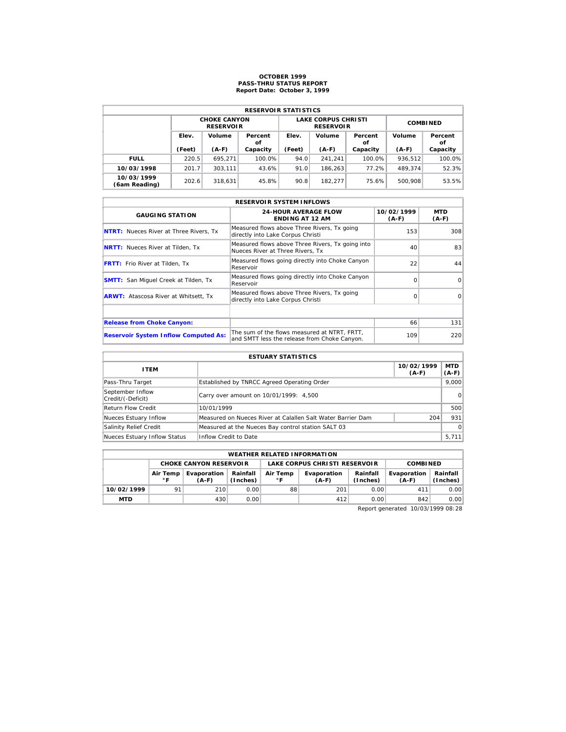# **OCTOBER 1999 PASS-THRU STATUS REPORT Report Date: October 3, 1999**

| <b>RESERVOIR STATISTICS</b> |                                  |                                         |          |                                  |                                                |                 |               |          |  |  |
|-----------------------------|----------------------------------|-----------------------------------------|----------|----------------------------------|------------------------------------------------|-----------------|---------------|----------|--|--|
|                             |                                  | <b>CHOKE CANYON</b><br><b>RESERVOIR</b> |          |                                  | <b>LAKE CORPUS CHRISTI</b><br><b>RESERVOIR</b> | <b>COMBINED</b> |               |          |  |  |
|                             | Elev.<br>Volume<br>Percent<br>οf |                                         |          | Volume<br>Elev.<br>Percent<br>οf |                                                | Volume          | Percent<br>οf |          |  |  |
|                             | (Feet)                           | $(A-F)$                                 | Capacity | (Feet)                           | $(A-F)$                                        | Capacity        | $(A-F)$       | Capacity |  |  |
| <b>FULL</b>                 | 220.5                            | 695.271                                 | 100.0%   | 94.0                             | 241.241                                        | 100.0%          | 936.512       | 100.0%   |  |  |
| 10/03/1998                  | 201.7                            | 303.111                                 | 43.6%    | 91.0                             | 186.263                                        | 77.2%           | 489.374       | 52.3%    |  |  |
| 10/03/1999<br>(6am Reading) | 202.6                            | 318.631                                 | 45.8%    | 90.8                             | 182.277                                        | 75.6%           | 500.908       | 53.5%    |  |  |

|                                               | <b>RESERVOIR SYSTEM INFLOWS</b>                                                              |                       |                |  |  |  |  |  |  |  |
|-----------------------------------------------|----------------------------------------------------------------------------------------------|-----------------------|----------------|--|--|--|--|--|--|--|
| <b>GAUGING STATION</b>                        | <b>24-HOUR AVERAGE FLOW</b><br><b>ENDING AT 12 AM</b>                                        | 10/02/1999<br>$(A-F)$ | MTD<br>$(A-F)$ |  |  |  |  |  |  |  |
| <b>NTRT:</b> Nueces River at Three Rivers, Tx | Measured flows above Three Rivers, Tx going<br>directly into Lake Corpus Christi             | 153                   | 308            |  |  |  |  |  |  |  |
| <b>NRTT:</b> Nueces River at Tilden, Tx       | Measured flows above Three Rivers, Tx going into<br>Nueces River at Three Rivers. Tx         | 40                    | 83             |  |  |  |  |  |  |  |
| <b>FRTT:</b> Frio River at Tilden, Tx         | Measured flows going directly into Choke Canyon<br>Reservoir                                 | 22                    | 44             |  |  |  |  |  |  |  |
| <b>SMTT:</b> San Miquel Creek at Tilden, Tx   | Measured flows going directly into Choke Canyon<br>Reservoir                                 | $\Omega$              | $\Omega$       |  |  |  |  |  |  |  |
| <b>ARWT:</b> Atascosa River at Whitsett, Tx   | Measured flows above Three Rivers, Tx going<br>directly into Lake Corpus Christi             | $\Omega$              | $\Omega$       |  |  |  |  |  |  |  |
|                                               |                                                                                              |                       |                |  |  |  |  |  |  |  |
| <b>Release from Choke Canyon:</b>             |                                                                                              | 66                    | 131            |  |  |  |  |  |  |  |
| <b>Reservoir System Inflow Computed As:</b>   | The sum of the flows measured at NTRT. FRTT.<br>and SMTT less the release from Choke Canyon. | 109                   | 220            |  |  |  |  |  |  |  |

| <b>ESTUARY STATISTICS</b>             |                                                             |                       |                  |  |  |  |  |
|---------------------------------------|-------------------------------------------------------------|-----------------------|------------------|--|--|--|--|
| <b>ITEM</b>                           |                                                             | 10/02/1999<br>$(A-F)$ | MTD  <br>$(A-F)$ |  |  |  |  |
| Pass-Thru Target                      | Established by TNRCC Agreed Operating Order                 |                       | 9.000            |  |  |  |  |
| September Inflow<br>Credit/(-Deficit) | Carry over amount on 10/01/1999: 4,500                      |                       | 0                |  |  |  |  |
| <b>Return Flow Credit</b>             | 10/01/1999                                                  |                       | 500              |  |  |  |  |
| Nueces Estuary Inflow                 | Measured on Nueces River at Calallen Salt Water Barrier Dam | 204                   | 931              |  |  |  |  |
| Salinity Relief Credit                | Measured at the Nueces Bay control station SALT 03          |                       | $\Omega$         |  |  |  |  |
| Nueces Estuary Inflow Status          | Inflow Credit to Date                                       |                       | 5,711            |  |  |  |  |

|            | <b>WEATHER RELATED INFORMATION</b>                                                                                |                               |      |    |                               |                      |                        |                      |  |  |  |
|------------|-------------------------------------------------------------------------------------------------------------------|-------------------------------|------|----|-------------------------------|----------------------|------------------------|----------------------|--|--|--|
|            |                                                                                                                   | <b>CHOKE CANYON RESERVOIR</b> |      |    | LAKE CORPUS CHRISTI RESERVOIR | <b>COMBINED</b>      |                        |                      |  |  |  |
|            | Rainfall<br>Evaporation<br>Air Temp<br>Air Temp<br>(Inches)<br>$^{\circ}$ F<br>$^{\circ}$ F<br>$(A-F)$<br>$(A-F)$ |                               |      |    | Evaporation                   | Rainfall<br>(Inches) | Evaporation<br>$(A-F)$ | Rainfall<br>(Inches) |  |  |  |
| 10/02/1999 | 91                                                                                                                | 210                           | 0.00 | 88 | 201                           | 0.00                 | 411                    | 0.00                 |  |  |  |
| <b>MTD</b> |                                                                                                                   | 430                           | 0.00 |    | 412                           | 0.00                 | 842                    | 0.00                 |  |  |  |

Report generated 10/03/1999 08:28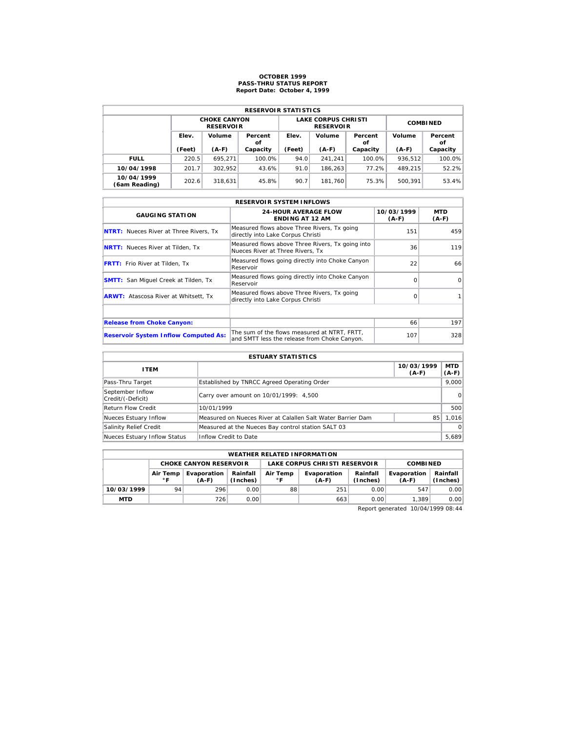# **OCTOBER 1999 PASS-THRU STATUS REPORT Report Date: October 4, 1999**

| <b>RESERVOIR STATISTICS</b> |        |                                         |               |        |                                                |                 |         |               |  |  |
|-----------------------------|--------|-----------------------------------------|---------------|--------|------------------------------------------------|-----------------|---------|---------------|--|--|
|                             |        | <b>CHOKE CANYON</b><br><b>RESERVOIR</b> |               |        | <b>LAKE CORPUS CHRISTI</b><br><b>RESERVOIR</b> | <b>COMBINED</b> |         |               |  |  |
|                             | Elev.  | Volume                                  | Percent<br>οf | Elev.  | Volume                                         | Percent<br>οf   | Volume  | Percent<br>οf |  |  |
|                             | (Feet) | $(A-F)$                                 | Capacity      | (Feet) | $(A-F)$                                        | Capacity        | $(A-F)$ | Capacity      |  |  |
| <b>FULL</b>                 | 220.5  | 695.271                                 | 100.0%        | 94.0   | 241.241                                        | 100.0%          | 936.512 | 100.0%        |  |  |
| 10/04/1998                  | 201.7  | 302.952                                 | 43.6%         | 91.0   | 186.263                                        | 77.2%           | 489.215 | 52.2%         |  |  |
| 10/04/1999<br>(6am Reading) | 202.6  | 318.631                                 | 45.8%         | 90.7   | 181.760                                        | 75.3%           | 500.391 | 53.4%         |  |  |

| <b>RESERVOIR SYSTEM INFLOWS</b>               |                                                                                              |                       |                |  |  |  |  |  |  |
|-----------------------------------------------|----------------------------------------------------------------------------------------------|-----------------------|----------------|--|--|--|--|--|--|
| <b>GAUGING STATION</b>                        | <b>24-HOUR AVERAGE FLOW</b><br><b>ENDING AT 12 AM</b>                                        | 10/03/1999<br>$(A-F)$ | MTD<br>$(A-F)$ |  |  |  |  |  |  |
| <b>NTRT:</b> Nueces River at Three Rivers, Tx | Measured flows above Three Rivers, Tx going<br>directly into Lake Corpus Christi             | 151                   | 459            |  |  |  |  |  |  |
| <b>NRTT:</b> Nueces River at Tilden, Tx       | Measured flows above Three Rivers, Tx going into<br>Nueces River at Three Rivers. Tx         | 36                    | 119            |  |  |  |  |  |  |
| <b>FRTT:</b> Frio River at Tilden, Tx         | Measured flows going directly into Choke Canyon<br>Reservoir                                 | 22                    | 66             |  |  |  |  |  |  |
| <b>SMTT:</b> San Miquel Creek at Tilden, Tx   | Measured flows going directly into Choke Canyon<br>Reservoir                                 | $\Omega$              | $\Omega$       |  |  |  |  |  |  |
| <b>ARWT:</b> Atascosa River at Whitsett, Tx   | Measured flows above Three Rivers, Tx going<br>directly into Lake Corpus Christi             | $\Omega$              |                |  |  |  |  |  |  |
|                                               |                                                                                              |                       |                |  |  |  |  |  |  |
| <b>Release from Choke Canyon:</b>             |                                                                                              | 66                    | 197            |  |  |  |  |  |  |
| <b>Reservoir System Inflow Computed As:</b>   | The sum of the flows measured at NTRT. FRTT.<br>and SMTT less the release from Choke Canyon. | 107                   | 328            |  |  |  |  |  |  |

| <b>ESTUARY STATISTICS</b>             |                                                             |                       |                  |  |  |  |  |
|---------------------------------------|-------------------------------------------------------------|-----------------------|------------------|--|--|--|--|
| <b>ITEM</b>                           |                                                             | 10/03/1999<br>$(A-F)$ | MTD  <br>$(A-F)$ |  |  |  |  |
| Pass-Thru Target                      | Established by TNRCC Agreed Operating Order                 |                       | 9.000            |  |  |  |  |
| September Inflow<br>Credit/(-Deficit) | Carry over amount on 10/01/1999: 4,500                      |                       | 0                |  |  |  |  |
| <b>Return Flow Credit</b>             | 10/01/1999                                                  |                       | 500              |  |  |  |  |
| Nueces Estuary Inflow                 | Measured on Nueces River at Calallen Salt Water Barrier Dam | 85                    | 1.016            |  |  |  |  |
| Salinity Relief Credit                | Measured at the Nueces Bay control station SALT 03          |                       | $\Omega$         |  |  |  |  |
| Nueces Estuary Inflow Status          | Inflow Credit to Date                                       |                       | 5,689            |  |  |  |  |

|            | <b>WEATHER RELATED INFORMATION</b> |                               |                      |                          |                               |                      |                        |                      |  |  |  |
|------------|------------------------------------|-------------------------------|----------------------|--------------------------|-------------------------------|----------------------|------------------------|----------------------|--|--|--|
|            |                                    | <b>CHOKE CANYON RESERVOIR</b> |                      |                          | LAKE CORPUS CHRISTI RESERVOIR | <b>COMBINED</b>      |                        |                      |  |  |  |
|            | Air Temp<br>∘г                     | Evaporation<br>(A-F)          | Rainfall<br>(Inches) | Air Temp<br>$^{\circ}$ F | Evaporation<br>$(A-F)$        | Rainfall<br>(Inches) | Evaporation<br>$(A-F)$ | Rainfall<br>(Inches) |  |  |  |
| 10/03/1999 | 94                                 | 296                           | 0.00                 | 88                       | 251                           | 0.00                 | 547                    | 0.00                 |  |  |  |
| <b>MTD</b> |                                    | 726                           | 0.00                 |                          | 663                           | 0.00                 | 1.389                  | 0.00                 |  |  |  |

Report generated 10/04/1999 08:44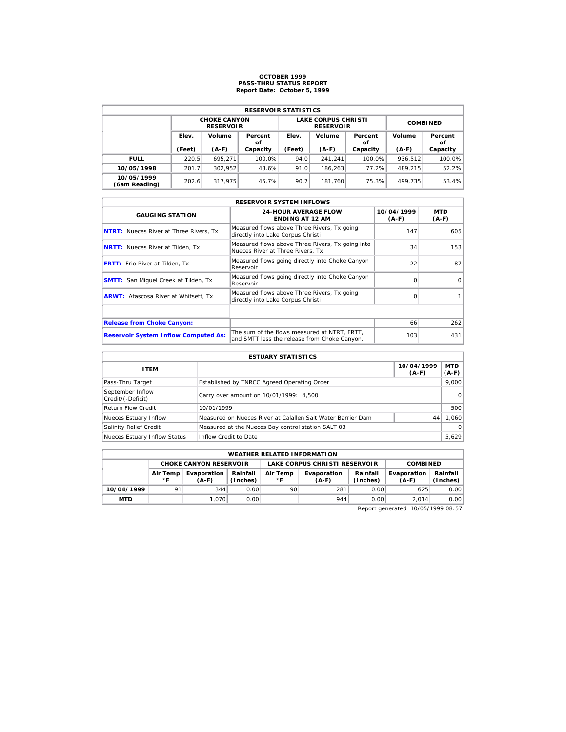# **OCTOBER 1999 PASS-THRU STATUS REPORT Report Date: October 5, 1999**

| <b>RESERVOIR STATISTICS</b> |        |                                         |               |        |                                                |                 |         |               |  |  |  |
|-----------------------------|--------|-----------------------------------------|---------------|--------|------------------------------------------------|-----------------|---------|---------------|--|--|--|
|                             |        | <b>CHOKE CANYON</b><br><b>RESERVOIR</b> |               |        | <b>LAKE CORPUS CHRISTI</b><br><b>RESERVOIR</b> | <b>COMBINED</b> |         |               |  |  |  |
|                             | Elev.  | Volume                                  | Percent<br>οf | Elev.  | Volume                                         | Percent<br>οf   | Volume  | Percent<br>οf |  |  |  |
|                             | (Feet) | $(A-F)$                                 | Capacity      | (Feet) | $(A-F)$                                        | Capacity        | $(A-F)$ | Capacity      |  |  |  |
| <b>FULL</b>                 | 220.5  | 695.271                                 | 100.0%        | 94.0   | 241.241                                        | 100.0%          | 936.512 | 100.0%        |  |  |  |
| 10/05/1998                  | 201.7  | 302.952                                 | 43.6%         | 91.0   | 186.263                                        | 77.2%           | 489.215 | 52.2%         |  |  |  |
| 10/05/1999                  | 202.6  | 317.975                                 | 45.7%         | 90.7   | 181.760                                        | 75.3%           | 499.735 | 53.4%         |  |  |  |

| <b>RESERVOIR SYSTEM INFLOWS</b>               |                                                                                              |                       |                |  |  |  |  |  |  |
|-----------------------------------------------|----------------------------------------------------------------------------------------------|-----------------------|----------------|--|--|--|--|--|--|
| <b>GAUGING STATION</b>                        | <b>24-HOUR AVERAGE FLOW</b><br><b>ENDING AT 12 AM</b>                                        | 10/04/1999<br>$(A-F)$ | MTD<br>$(A-F)$ |  |  |  |  |  |  |
| <b>NTRT:</b> Nueces River at Three Rivers, Tx | Measured flows above Three Rivers, Tx going<br>directly into Lake Corpus Christi             | 147                   | 605            |  |  |  |  |  |  |
| <b>NRTT:</b> Nueces River at Tilden, Tx       | Measured flows above Three Rivers, Tx going into<br>Nueces River at Three Rivers. Tx         | 34                    | 153            |  |  |  |  |  |  |
| <b>FRTT:</b> Frio River at Tilden, Tx         | Measured flows going directly into Choke Canyon<br>Reservoir                                 | 22                    | 87             |  |  |  |  |  |  |
| <b>SMTT:</b> San Miquel Creek at Tilden, Tx   | Measured flows going directly into Choke Canyon<br>Reservoir                                 | $\Omega$              | $\Omega$       |  |  |  |  |  |  |
| <b>ARWT:</b> Atascosa River at Whitsett, Tx   | Measured flows above Three Rivers, Tx going<br>directly into Lake Corpus Christi             | $\Omega$              |                |  |  |  |  |  |  |
|                                               |                                                                                              |                       |                |  |  |  |  |  |  |
| <b>Release from Choke Canyon:</b>             |                                                                                              | 66                    | 262            |  |  |  |  |  |  |
| <b>Reservoir System Inflow Computed As:</b>   | The sum of the flows measured at NTRT. FRTT.<br>and SMTT less the release from Choke Canyon. | 103                   | 431            |  |  |  |  |  |  |

| <b>ESTUARY STATISTICS</b>             |                                                             |                       |                  |  |  |  |  |
|---------------------------------------|-------------------------------------------------------------|-----------------------|------------------|--|--|--|--|
| <b>ITEM</b>                           |                                                             | 10/04/1999<br>$(A-F)$ | MTD  <br>$(A-F)$ |  |  |  |  |
| Pass-Thru Target                      | Established by TNRCC Agreed Operating Order                 |                       | 9.000            |  |  |  |  |
| September Inflow<br>Credit/(-Deficit) | Carry over amount on 10/01/1999: 4,500                      |                       | 0                |  |  |  |  |
| <b>Return Flow Credit</b>             | 10/01/1999                                                  |                       | 500              |  |  |  |  |
| Nueces Estuary Inflow                 | Measured on Nueces River at Calallen Salt Water Barrier Dam | 44                    | 1,060            |  |  |  |  |
| Salinity Relief Credit                | Measured at the Nueces Bay control station SALT 03          |                       | $\Omega$         |  |  |  |  |
| Nueces Estuary Inflow Status          | Inflow Credit to Date                                       |                       | 5,629            |  |  |  |  |

|            | <b>WEATHER RELATED INFORMATION</b> |                               |                      |                |                               |                      |                        |                      |  |  |  |
|------------|------------------------------------|-------------------------------|----------------------|----------------|-------------------------------|----------------------|------------------------|----------------------|--|--|--|
|            |                                    | <b>CHOKE CANYON RESERVOIR</b> |                      |                | LAKE CORPUS CHRISTI RESERVOIR | <b>COMBINED</b>      |                        |                      |  |  |  |
|            | Air Temp<br>∘г                     | Evaporation<br>$(A-F)$        | Rainfall<br>(Inches) | Air Temp<br>∘г | Evaporation<br>$(A-F)$        | Rainfall<br>(Inches) | Evaporation<br>$(A-F)$ | Rainfall<br>(Inches) |  |  |  |
| 10/04/1999 | 91                                 | 344                           | 0.00                 | 90             | 281                           | 0.00                 | 625                    | 0.00                 |  |  |  |
| <b>MTD</b> |                                    | 1.070                         | 0.001                |                | 944                           | 0.00                 | 2.014                  | 0.00                 |  |  |  |

Report generated 10/05/1999 08:57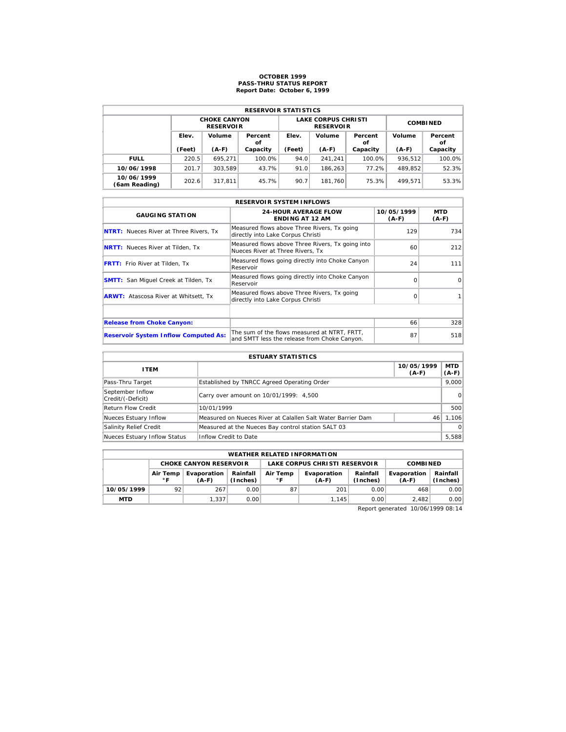# **OCTOBER 1999 PASS-THRU STATUS REPORT Report Date: October 6, 1999**

| <b>RESERVOIR STATISTICS</b> |        |                                         |               |        |                                                |                 |         |               |  |  |  |
|-----------------------------|--------|-----------------------------------------|---------------|--------|------------------------------------------------|-----------------|---------|---------------|--|--|--|
|                             |        | <b>CHOKE CANYON</b><br><b>RESERVOIR</b> |               |        | <b>LAKE CORPUS CHRISTI</b><br><b>RESERVOIR</b> | <b>COMBINED</b> |         |               |  |  |  |
|                             | Elev.  | Volume                                  | Percent<br>οf | Elev.  | Volume                                         | Percent<br>οf   | Volume  | Percent<br>οf |  |  |  |
|                             | (Feet) | $(A-F)$                                 | Capacity      | (Feet) | $(A-F)$                                        | Capacity        | $(A-F)$ | Capacity      |  |  |  |
| <b>FULL</b>                 | 220.5  | 695.271                                 | 100.0%        | 94.0   | 241.241                                        | 100.0%          | 936.512 | 100.0%        |  |  |  |
| 10/06/1998                  | 201.7  | 303.589                                 | 43.7%         | 91.0   | 186.263                                        | 77.2%           | 489.852 | 52.3%         |  |  |  |
| 10/06/1999                  | 202.6  |                                         | 45.7%         | 90.7   | 181.760                                        | 75.3%           | 499.571 | 53.3%         |  |  |  |

| <b>RESERVOIR SYSTEM INFLOWS</b>               |                                                                                              |                       |                |  |  |  |  |  |  |
|-----------------------------------------------|----------------------------------------------------------------------------------------------|-----------------------|----------------|--|--|--|--|--|--|
| <b>GAUGING STATION</b>                        | <b>24-HOUR AVERAGE FLOW</b><br><b>ENDING AT 12 AM</b>                                        | 10/05/1999<br>$(A-F)$ | MTD<br>$(A-F)$ |  |  |  |  |  |  |
| <b>NTRT:</b> Nueces River at Three Rivers, Tx | Measured flows above Three Rivers, Tx going<br>directly into Lake Corpus Christi             | 129                   | 734            |  |  |  |  |  |  |
| <b>NRTT:</b> Nueces River at Tilden, Tx       | Measured flows above Three Rivers, Tx going into<br>Nueces River at Three Rivers. Tx         | 60                    | 212            |  |  |  |  |  |  |
| <b>FRTT:</b> Frio River at Tilden, Tx         | Measured flows going directly into Choke Canyon<br>Reservoir                                 | 24                    | 111            |  |  |  |  |  |  |
| <b>SMTT:</b> San Miquel Creek at Tilden, Tx   | Measured flows going directly into Choke Canyon<br>Reservoir                                 | $\Omega$              | $\Omega$       |  |  |  |  |  |  |
| <b>ARWT:</b> Atascosa River at Whitsett, Tx   | Measured flows above Three Rivers, Tx going<br>directly into Lake Corpus Christi             | $\Omega$              |                |  |  |  |  |  |  |
|                                               |                                                                                              |                       |                |  |  |  |  |  |  |
| <b>Release from Choke Canyon:</b>             |                                                                                              | 66                    | 328            |  |  |  |  |  |  |
| <b>Reservoir System Inflow Computed As:</b>   | The sum of the flows measured at NTRT. FRTT.<br>and SMTT less the release from Choke Canyon. | 87                    | 518            |  |  |  |  |  |  |

| <b>ESTUARY STATISTICS</b>             |                                                             |                       |                  |  |  |  |  |
|---------------------------------------|-------------------------------------------------------------|-----------------------|------------------|--|--|--|--|
| <b>ITEM</b>                           |                                                             | 10/05/1999<br>$(A-F)$ | MTD  <br>$(A-F)$ |  |  |  |  |
| Pass-Thru Target                      | Established by TNRCC Agreed Operating Order                 |                       | 9,000            |  |  |  |  |
| September Inflow<br>Credit/(-Deficit) | Carry over amount on 10/01/1999: 4,500                      |                       | 0                |  |  |  |  |
| <b>Return Flow Credit</b>             | 10/01/1999                                                  |                       | 500              |  |  |  |  |
| Nueces Estuary Inflow                 | Measured on Nueces River at Calallen Salt Water Barrier Dam | 46                    | 1,106            |  |  |  |  |
| Salinity Relief Credit                | Measured at the Nueces Bay control station SALT 03          |                       | $\Omega$         |  |  |  |  |
| Nueces Estuary Inflow Status          | Inflow Credit to Date                                       |                       | 5,588            |  |  |  |  |

|            | <b>WEATHER RELATED INFORMATION</b>                 |       |                      |                                                    |                               |                                                |       |                      |  |  |  |
|------------|----------------------------------------------------|-------|----------------------|----------------------------------------------------|-------------------------------|------------------------------------------------|-------|----------------------|--|--|--|
|            | <b>CHOKE CANYON RESERVOIR</b>                      |       |                      |                                                    | LAKE CORPUS CHRISTI RESERVOIR | <b>COMBINED</b>                                |       |                      |  |  |  |
|            | Air Temp<br>Evaporation<br>$^{\circ}$ F<br>$(A-F)$ |       | Rainfall<br>(Inches) | Air Temp<br>Evaporation<br>$^{\circ}$ F<br>$(A-F)$ |                               | Rainfall<br>Evaporation<br>(Inches)<br>$(A-F)$ |       | Rainfall<br>(Inches) |  |  |  |
| 10/05/1999 | 92                                                 | 267   | 0.00                 | 87                                                 | 201                           | 0.00                                           | 468   | 0.00                 |  |  |  |
| <b>MTD</b> |                                                    | 1.337 | 0.00                 |                                                    | 1.145                         | 0.00                                           | 2.482 | 0.00                 |  |  |  |

Report generated 10/06/1999 08:14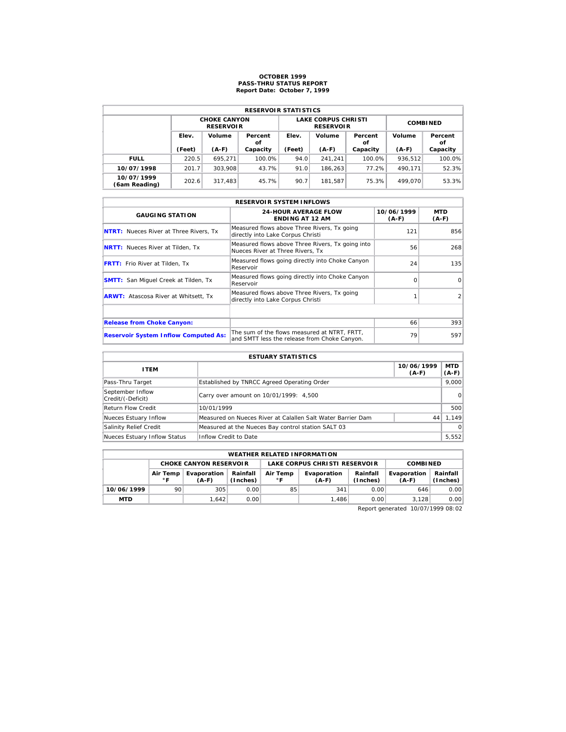# **OCTOBER 1999 PASS-THRU STATUS REPORT Report Date: October 7, 1999**

| <b>RESERVOIR STATISTICS</b> |        |                                         |               |        |                                                |                 |         |               |  |  |  |
|-----------------------------|--------|-----------------------------------------|---------------|--------|------------------------------------------------|-----------------|---------|---------------|--|--|--|
|                             |        | <b>CHOKE CANYON</b><br><b>RESERVOIR</b> |               |        | <b>LAKE CORPUS CHRISTI</b><br><b>RESERVOIR</b> | <b>COMBINED</b> |         |               |  |  |  |
|                             | Elev.  | Volume                                  | Percent<br>οf | Elev.  | Volume                                         | Percent<br>οf   | Volume  | Percent<br>οf |  |  |  |
|                             | (Feet) | $(A-F)$                                 | Capacity      | (Feet) | $(A-F)$                                        | Capacity        | $(A-F)$ | Capacity      |  |  |  |
| <b>FULL</b>                 | 220.5  | 695.271                                 | 100.0%        | 94.0   | 241.241                                        | 100.0%          | 936.512 | 100.0%        |  |  |  |
| 10/07/1998                  | 201.7  | 303.908                                 | 43.7%         | 91.0   | 186.263                                        | 77.2%           | 490.171 | 52.3%         |  |  |  |
| 10/07/1999                  |        | 317.483                                 | 45.7%         | 90.7   | 181.587                                        | 75.3%           | 499.070 | 53.3%         |  |  |  |

| <b>RESERVOIR SYSTEM INFLOWS</b>               |                                                                                              |                       |                |  |  |  |  |  |  |
|-----------------------------------------------|----------------------------------------------------------------------------------------------|-----------------------|----------------|--|--|--|--|--|--|
| <b>GAUGING STATION</b>                        | <b>24-HOUR AVERAGE FLOW</b><br><b>ENDING AT 12 AM</b>                                        | 10/06/1999<br>$(A-F)$ | MTD<br>$(A-F)$ |  |  |  |  |  |  |
| <b>NTRT:</b> Nueces River at Three Rivers, Tx | Measured flows above Three Rivers, Tx going<br>directly into Lake Corpus Christi             | 121                   | 856            |  |  |  |  |  |  |
| <b>NRTT:</b> Nueces River at Tilden, Tx       | Measured flows above Three Rivers, Tx going into<br>Nueces River at Three Rivers. Tx         | 56                    | 268            |  |  |  |  |  |  |
| <b>FRTT:</b> Frio River at Tilden, Tx         | Measured flows going directly into Choke Canyon<br>Reservoir                                 | 24                    | 135            |  |  |  |  |  |  |
| <b>SMTT:</b> San Miquel Creek at Tilden, Tx   | Measured flows going directly into Choke Canyon<br>Reservoir                                 | $\Omega$              | $\Omega$       |  |  |  |  |  |  |
| <b>ARWT:</b> Atascosa River at Whitsett, Tx   | Measured flows above Three Rivers, Tx going<br>directly into Lake Corpus Christi             |                       | 2              |  |  |  |  |  |  |
|                                               |                                                                                              |                       |                |  |  |  |  |  |  |
| <b>Release from Choke Canyon:</b>             |                                                                                              | 66                    | 393            |  |  |  |  |  |  |
| <b>Reservoir System Inflow Computed As:</b>   | The sum of the flows measured at NTRT. FRTT.<br>and SMTT less the release from Choke Canyon. | 79                    | 597            |  |  |  |  |  |  |

| <b>ESTUARY STATISTICS</b>             |                                                             |                       |                  |  |  |  |  |
|---------------------------------------|-------------------------------------------------------------|-----------------------|------------------|--|--|--|--|
| <b>ITEM</b>                           |                                                             | 10/06/1999<br>$(A-F)$ | MTD  <br>$(A-F)$ |  |  |  |  |
| Pass-Thru Target                      | Established by TNRCC Agreed Operating Order                 |                       | 9.000            |  |  |  |  |
| September Inflow<br>Credit/(-Deficit) | Carry over amount on 10/01/1999: 4,500                      |                       | 0                |  |  |  |  |
| <b>Return Flow Credit</b>             | 10/01/1999                                                  |                       | 500              |  |  |  |  |
| Nueces Estuary Inflow                 | Measured on Nueces River at Calallen Salt Water Barrier Dam | 44                    | 1.149            |  |  |  |  |
| Salinity Relief Credit                | Measured at the Nueces Bay control station SALT 03          |                       | $\Omega$         |  |  |  |  |
| Nueces Estuary Inflow Status          | Inflow Credit to Date                                       |                       | 5,552            |  |  |  |  |

|            | <b>WEATHER RELATED INFORMATION</b>                                                            |                               |       |                               |             |                      |                        |                      |  |  |  |
|------------|-----------------------------------------------------------------------------------------------|-------------------------------|-------|-------------------------------|-------------|----------------------|------------------------|----------------------|--|--|--|
|            |                                                                                               | <b>CHOKE CANYON RESERVOIR</b> |       | LAKE CORPUS CHRISTI RESERVOIR |             |                      | <b>COMBINED</b>        |                      |  |  |  |
|            | Rainfall<br>Evaporation<br>Air Temp<br>Air Temp<br>(Inches)<br>∘г<br>∘г<br>$(A-F)$<br>$(A-F)$ |                               |       |                               | Evaporation | Rainfall<br>(Inches) | Evaporation<br>$(A-F)$ | Rainfall<br>(Inches) |  |  |  |
| 10/06/1999 | 90                                                                                            | 305                           | 0.00  | 85                            | 341         | 0.00                 | 646                    | 0.00                 |  |  |  |
| <b>MTD</b> |                                                                                               | 1.642                         | 0.001 |                               | 1.486       | 0.00                 | 3.128                  | 0.00                 |  |  |  |

Report generated 10/07/1999 08:02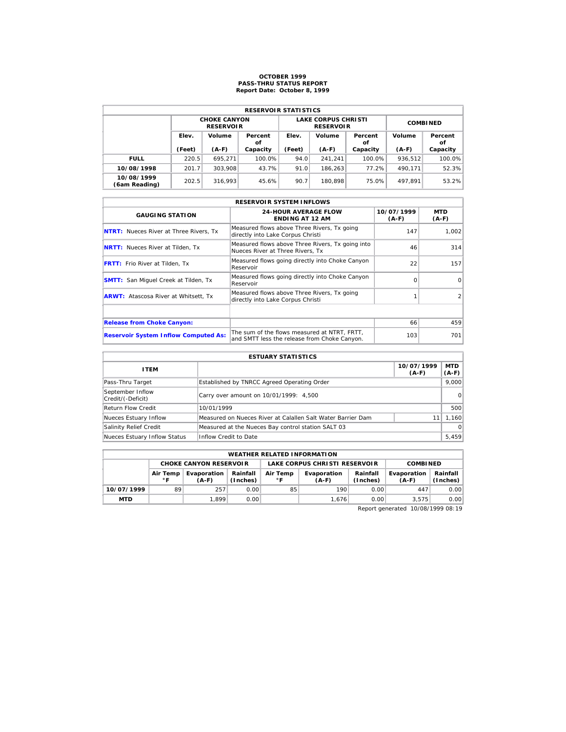# **OCTOBER 1999 PASS-THRU STATUS REPORT Report Date: October 8, 1999**

| <b>RESERVOIR STATISTICS</b> |        |                                         |               |        |                                                |                 |         |               |  |  |  |
|-----------------------------|--------|-----------------------------------------|---------------|--------|------------------------------------------------|-----------------|---------|---------------|--|--|--|
|                             |        | <b>CHOKE CANYON</b><br><b>RESERVOIR</b> |               |        | <b>LAKE CORPUS CHRISTI</b><br><b>RESERVOIR</b> | <b>COMBINED</b> |         |               |  |  |  |
|                             | Elev.  | Volume                                  | Percent<br>οf | Elev.  | Volume                                         | Percent<br>οf   | Volume  | Percent<br>οf |  |  |  |
|                             | (Feet) | $(A-F)$                                 | Capacity      | (Feet) | $(A-F)$                                        | Capacity        | $(A-F)$ | Capacity      |  |  |  |
| <b>FULL</b>                 | 220.5  | 695.271                                 | 100.0%        | 94.0   | 241.241                                        | 100.0%          | 936.512 | 100.0%        |  |  |  |
| 10/08/1998                  | 201.7  | 303.908                                 | 43.7%         | 91.0   | 186.263                                        | 77.2%           | 490.171 | 52.3%         |  |  |  |
| 10/08/1999<br>(6am Reading) | 202.5  | 316.993                                 | 45.6%         | 90.7   | 180.898                                        | 75.0%           | 497.891 | 53.2%         |  |  |  |

| <b>RESERVOIR SYSTEM INFLOWS</b>               |                                                                                              |                       |                |  |  |  |  |  |  |
|-----------------------------------------------|----------------------------------------------------------------------------------------------|-----------------------|----------------|--|--|--|--|--|--|
| <b>GAUGING STATION</b>                        | <b>24-HOUR AVERAGE FLOW</b><br><b>ENDING AT 12 AM</b>                                        | 10/07/1999<br>$(A-F)$ | MTD<br>$(A-F)$ |  |  |  |  |  |  |
| <b>NTRT:</b> Nueces River at Three Rivers, Tx | Measured flows above Three Rivers, Tx going<br>directly into Lake Corpus Christi             | 147                   | 1,002          |  |  |  |  |  |  |
| <b>NRTT:</b> Nueces River at Tilden, Tx       | Measured flows above Three Rivers, Tx going into<br>Nueces River at Three Rivers. Tx         | 46                    | 314            |  |  |  |  |  |  |
| <b>FRTT:</b> Frio River at Tilden, Tx         | Measured flows going directly into Choke Canyon<br>Reservoir                                 | 22                    | 157            |  |  |  |  |  |  |
| <b>SMTT:</b> San Miquel Creek at Tilden, Tx   | Measured flows going directly into Choke Canyon<br>Reservoir                                 | $\Omega$              | $\Omega$       |  |  |  |  |  |  |
| <b>ARWT:</b> Atascosa River at Whitsett, Tx   | Measured flows above Three Rivers, Tx going<br>directly into Lake Corpus Christi             |                       | 2              |  |  |  |  |  |  |
|                                               |                                                                                              |                       |                |  |  |  |  |  |  |
| <b>Release from Choke Canyon:</b>             |                                                                                              | 66                    | 459            |  |  |  |  |  |  |
| <b>Reservoir System Inflow Computed As:</b>   | The sum of the flows measured at NTRT. FRTT.<br>and SMTT less the release from Choke Canyon. | 103                   | 701            |  |  |  |  |  |  |

| <b>ESTUARY STATISTICS</b>             |                                                             |                       |                  |  |  |  |  |
|---------------------------------------|-------------------------------------------------------------|-----------------------|------------------|--|--|--|--|
| <b>ITEM</b>                           |                                                             | 10/07/1999<br>$(A-F)$ | MTD  <br>$(A-F)$ |  |  |  |  |
| Pass-Thru Target                      | Established by TNRCC Agreed Operating Order                 |                       | 9.000            |  |  |  |  |
| September Inflow<br>Credit/(-Deficit) | Carry over amount on 10/01/1999: 4,500                      |                       | 0                |  |  |  |  |
| <b>Return Flow Credit</b>             | 10/01/1999                                                  |                       | 500              |  |  |  |  |
| Nueces Estuary Inflow                 | Measured on Nueces River at Calallen Salt Water Barrier Dam |                       | 1,160            |  |  |  |  |
| Salinity Relief Credit                | Measured at the Nueces Bay control station SALT 03          |                       | $\Omega$         |  |  |  |  |
| Nueces Estuary Inflow Status          | Inflow Credit to Date                                       |                       | 5,459            |  |  |  |  |

|            | <b>WEATHER RELATED INFORMATION</b>                                                                                               |                               |      |    |                               |                      |                        |                      |  |  |  |
|------------|----------------------------------------------------------------------------------------------------------------------------------|-------------------------------|------|----|-------------------------------|----------------------|------------------------|----------------------|--|--|--|
|            |                                                                                                                                  | <b>CHOKE CANYON RESERVOIR</b> |      |    | LAKE CORPUS CHRISTI RESERVOIR |                      | <b>COMBINED</b>        |                      |  |  |  |
|            | Rainfall<br>Evaporation<br>Air Temp<br>Evaporation<br>Air Temp<br>(Inches)<br>$^{\circ}$ F<br>$^{\circ}$ F<br>$(A-F)$<br>$(A-F)$ |                               |      |    |                               | Rainfall<br>(Inches) | Evaporation<br>$(A-F)$ | Rainfall<br>(Inches) |  |  |  |
| 10/07/1999 | 89                                                                                                                               | 257                           | 0.00 | 85 | 190                           | 0.00                 | 447                    | 0.00                 |  |  |  |
| <b>MTD</b> |                                                                                                                                  | 1.899                         | 0.00 |    | 1.676                         | 0.00                 | 3.575                  | 0.00                 |  |  |  |

Report generated 10/08/1999 08:19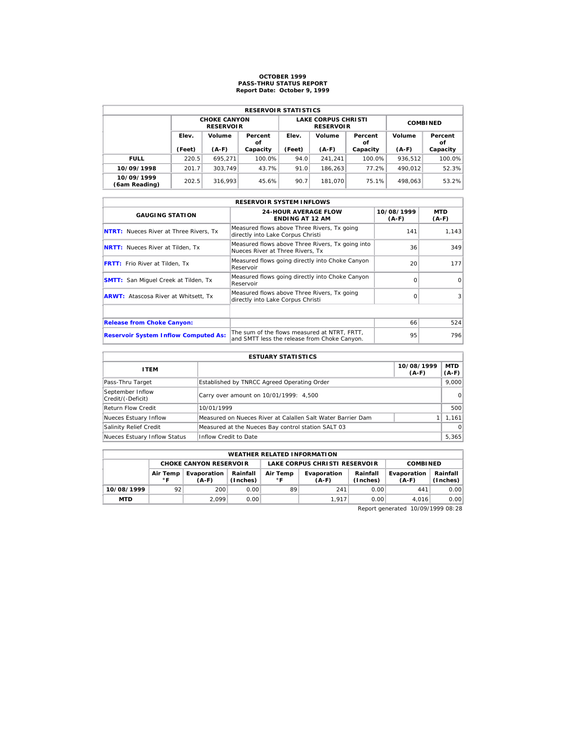# **OCTOBER 1999 PASS-THRU STATUS REPORT Report Date: October 9, 1999**

| <b>RESERVOIR STATISTICS</b> |                       |                                         |          |        |                                                |                 |         |               |  |  |  |
|-----------------------------|-----------------------|-----------------------------------------|----------|--------|------------------------------------------------|-----------------|---------|---------------|--|--|--|
|                             |                       | <b>CHOKE CANYON</b><br><b>RESERVOIR</b> |          |        | <b>LAKE CORPUS CHRISTI</b><br><b>RESERVOIR</b> | <b>COMBINED</b> |         |               |  |  |  |
|                             | Elev.<br>Volume<br>οf |                                         | Percent  | Elev.  | Volume                                         | Percent<br>οf   | Volume  | Percent<br>οf |  |  |  |
|                             | (Feet)                | $(A-F)$                                 | Capacity | (Feet) | $(A-F)$                                        | Capacity        | $(A-F)$ | Capacity      |  |  |  |
| <b>FULL</b>                 | 220.5                 | 695.271                                 | 100.0%   | 94.0   | 241.241                                        | 100.0%          | 936.512 | 100.0%        |  |  |  |
| 10/09/1998                  | 201.7                 | 303.749                                 | 43.7%    | 91.0   | 186.263                                        | 77.2%           | 490.012 | 52.3%         |  |  |  |
| 10/09/1999                  | 202.5                 | 316.993                                 | 45.6%    | 90.7   | 181.070                                        | 75.1%           | 498.063 | 53.2%         |  |  |  |

| <b>RESERVOIR SYSTEM INFLOWS</b>               |                                                                                              |                       |                |  |  |  |  |  |  |
|-----------------------------------------------|----------------------------------------------------------------------------------------------|-----------------------|----------------|--|--|--|--|--|--|
| <b>GAUGING STATION</b>                        | <b>24-HOUR AVERAGE FLOW</b><br><b>ENDING AT 12 AM</b>                                        | 10/08/1999<br>$(A-F)$ | MTD<br>$(A-F)$ |  |  |  |  |  |  |
| <b>NTRT:</b> Nueces River at Three Rivers, Tx | Measured flows above Three Rivers, Tx going<br>directly into Lake Corpus Christi             | 141                   | 1,143          |  |  |  |  |  |  |
| <b>NRTT:</b> Nueces River at Tilden, Tx       | Measured flows above Three Rivers, Tx going into<br>Nueces River at Three Rivers. Tx         | 36                    | 349            |  |  |  |  |  |  |
| <b>FRTT:</b> Frio River at Tilden, Tx         | Measured flows going directly into Choke Canyon<br>Reservoir                                 | 20                    | 177            |  |  |  |  |  |  |
| <b>SMTT:</b> San Miquel Creek at Tilden, Tx   | Measured flows going directly into Choke Canyon<br>Reservoir                                 | $\Omega$              | $\Omega$       |  |  |  |  |  |  |
| <b>ARWT:</b> Atascosa River at Whitsett, Tx   | Measured flows above Three Rivers, Tx going<br>directly into Lake Corpus Christi             | $\Omega$              | 3 <sup>1</sup> |  |  |  |  |  |  |
|                                               |                                                                                              |                       |                |  |  |  |  |  |  |
| <b>Release from Choke Canyon:</b>             |                                                                                              | 66                    | 524            |  |  |  |  |  |  |
| <b>Reservoir System Inflow Computed As:</b>   | The sum of the flows measured at NTRT. FRTT.<br>and SMTT less the release from Choke Canyon. | 95                    | 796            |  |  |  |  |  |  |

| <b>ESTUARY STATISTICS</b>             |                                                             |                       |                  |  |  |  |  |
|---------------------------------------|-------------------------------------------------------------|-----------------------|------------------|--|--|--|--|
| <b>ITEM</b>                           |                                                             | 10/08/1999<br>$(A-F)$ | MTD  <br>$(A-F)$ |  |  |  |  |
| Pass-Thru Target                      | Established by TNRCC Agreed Operating Order                 |                       | 9.000            |  |  |  |  |
| September Inflow<br>Credit/(-Deficit) | Carry over amount on 10/01/1999: 4,500                      |                       | 0                |  |  |  |  |
| <b>Return Flow Credit</b>             | 10/01/1999                                                  |                       | 500              |  |  |  |  |
| Nueces Estuary Inflow                 | Measured on Nueces River at Calallen Salt Water Barrier Dam |                       | 1,161            |  |  |  |  |
| Salinity Relief Credit                | Measured at the Nueces Bay control station SALT 03          |                       | $\Omega$         |  |  |  |  |
| Nueces Estuary Inflow Status          | Inflow Credit to Date                                       |                       | 5,365            |  |  |  |  |

|            | <b>WEATHER RELATED INFORMATION</b>                                                 |                               |       |    |                               |                      |                        |                      |  |  |  |
|------------|------------------------------------------------------------------------------------|-------------------------------|-------|----|-------------------------------|----------------------|------------------------|----------------------|--|--|--|
|            |                                                                                    | <b>CHOKE CANYON RESERVOIR</b> |       |    | LAKE CORPUS CHRISTI RESERVOIR | <b>COMBINED</b>      |                        |                      |  |  |  |
|            | Rainfall<br>Evaporation<br>Air Temp<br>Air Temp<br>(Inches)<br>∘г<br>∘г<br>$(A-F)$ |                               |       |    | Evaporation<br>$(A-F)$        | Rainfall<br>(Inches) | Evaporation<br>$(A-F)$ | Rainfall<br>(Inches) |  |  |  |
| 10/08/1999 | 92                                                                                 | 200                           | 0.00  | 89 | 241                           | 0.00                 | 441                    | 0.00                 |  |  |  |
| <b>MTD</b> |                                                                                    | 2.099                         | 0.001 |    | 1.917                         | 0.00                 | 4.016                  | 0.00                 |  |  |  |

Report generated 10/09/1999 08:28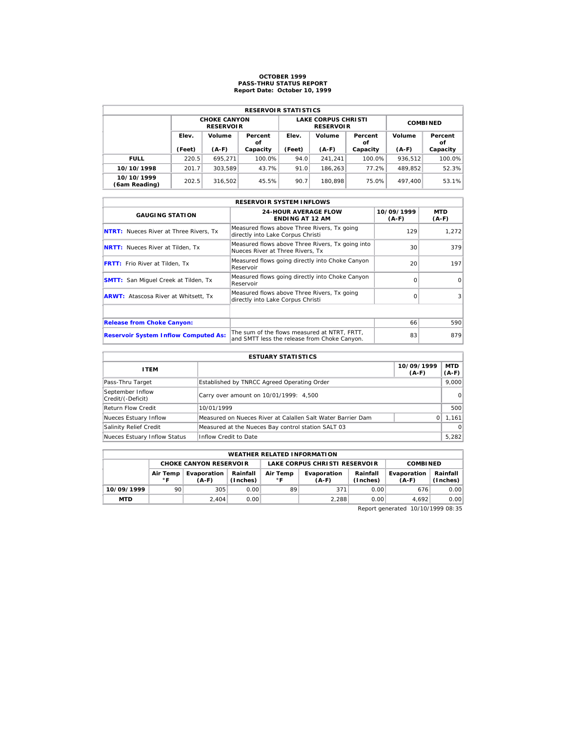# **OCTOBER 1999 PASS-THRU STATUS REPORT Report Date: October 10, 1999**

| <b>RESERVOIR STATISTICS</b> |        |                                         |               |        |                                                |                 |         |               |  |  |
|-----------------------------|--------|-----------------------------------------|---------------|--------|------------------------------------------------|-----------------|---------|---------------|--|--|
|                             |        | <b>CHOKE CANYON</b><br><b>RESERVOIR</b> |               |        | <b>LAKE CORPUS CHRISTI</b><br><b>RESERVOIR</b> | <b>COMBINED</b> |         |               |  |  |
|                             | Elev.  | Volume                                  | Percent<br>οf | Elev.  | Volume                                         | Percent<br>οf   | Volume  | Percent<br>οf |  |  |
|                             | (Feet) | $(A-F)$                                 | Capacity      | (Feet) | $(A-F)$                                        | Capacity        | $(A-F)$ | Capacity      |  |  |
| <b>FULL</b>                 | 220.5  | 695.271                                 | 100.0%        | 94.0   | 241.241                                        | 100.0%          | 936.512 | 100.0%        |  |  |
| 10/10/1998                  | 201.7  | 303.589                                 | 43.7%         | 91.0   | 186.263                                        | 77.2%           | 489.852 | 52.3%         |  |  |
|                             |        |                                         |               |        |                                                |                 |         |               |  |  |

| <b>RESERVOIR SYSTEM INFLOWS</b>               |                                                                                              |                       |                |  |  |  |  |  |  |
|-----------------------------------------------|----------------------------------------------------------------------------------------------|-----------------------|----------------|--|--|--|--|--|--|
| <b>GAUGING STATION</b>                        | <b>24-HOUR AVERAGE FLOW</b><br><b>ENDING AT 12 AM</b>                                        | 10/09/1999<br>$(A-F)$ | MTD<br>$(A-F)$ |  |  |  |  |  |  |
| <b>NTRT:</b> Nueces River at Three Rivers, Tx | Measured flows above Three Rivers, Tx going<br>directly into Lake Corpus Christi             | 129                   | 1,272          |  |  |  |  |  |  |
| <b>NRTT:</b> Nueces River at Tilden, Tx       | Measured flows above Three Rivers, Tx going into<br>Nueces River at Three Rivers. Tx         | 30                    | 379            |  |  |  |  |  |  |
| <b>FRTT:</b> Frio River at Tilden, Tx         | Measured flows going directly into Choke Canyon<br>Reservoir                                 | 20                    | 197            |  |  |  |  |  |  |
| <b>SMTT:</b> San Miquel Creek at Tilden, Tx   | Measured flows going directly into Choke Canyon<br>Reservoir                                 | $\Omega$              | $\Omega$       |  |  |  |  |  |  |
| <b>ARWT:</b> Atascosa River at Whitsett, Tx   | Measured flows above Three Rivers, Tx going<br>directly into Lake Corpus Christi             | $\Omega$              | 3 <sup>1</sup> |  |  |  |  |  |  |
|                                               |                                                                                              |                       |                |  |  |  |  |  |  |
| <b>Release from Choke Canyon:</b>             |                                                                                              | 66                    | 590            |  |  |  |  |  |  |
| <b>Reservoir System Inflow Computed As:</b>   | The sum of the flows measured at NTRT. FRTT.<br>and SMTT less the release from Choke Canyon. | 83                    | 879            |  |  |  |  |  |  |

| <b>ESTUARY STATISTICS</b>             |                                                             |                       |                  |  |  |  |  |
|---------------------------------------|-------------------------------------------------------------|-----------------------|------------------|--|--|--|--|
| <b>ITEM</b>                           |                                                             | 10/09/1999<br>$(A-F)$ | MTD  <br>$(A-F)$ |  |  |  |  |
| Pass-Thru Target                      | Established by TNRCC Agreed Operating Order                 |                       | 9.000            |  |  |  |  |
| September Inflow<br>Credit/(-Deficit) | Carry over amount on 10/01/1999: 4,500                      |                       | 0                |  |  |  |  |
| <b>Return Flow Credit</b>             | 10/01/1999                                                  |                       | 500              |  |  |  |  |
| Nueces Estuary Inflow                 | Measured on Nueces River at Calallen Salt Water Barrier Dam | $\Omega$              | 1,161            |  |  |  |  |
| Salinity Relief Credit                | Measured at the Nueces Bay control station SALT 03          |                       | $\Omega$         |  |  |  |  |
| Nueces Estuary Inflow Status          | Inflow Credit to Date                                       |                       | 5,282            |  |  |  |  |

|                                                                         | <b>WEATHER RELATED INFORMATION</b> |                               |                          |                        |                               |                        |                      |      |  |  |  |
|-------------------------------------------------------------------------|------------------------------------|-------------------------------|--------------------------|------------------------|-------------------------------|------------------------|----------------------|------|--|--|--|
|                                                                         |                                    | <b>CHOKE CANYON RESERVOIR</b> |                          |                        | LAKE CORPUS CHRISTI RESERVOIR | <b>COMBINED</b>        |                      |      |  |  |  |
| Rainfall<br>Evaporation<br>Air Temp<br>(Inches)<br>$\circ$ F<br>$(A-F)$ |                                    |                               | Air Temp<br>$^{\circ}$ F | Evaporation<br>$(A-F)$ | Rainfall<br>(Inches)          | Evaporation<br>$(A-F)$ | Rainfall<br>(Inches) |      |  |  |  |
| 10/09/1999                                                              | 90                                 | 305                           | 0.00                     | 89                     | 371                           | 0.00                   | 676                  | 0.00 |  |  |  |
| <b>MTD</b>                                                              |                                    | 2.404                         | 0.00                     |                        | 2.288                         | 0.00                   | 4.692                | 0.00 |  |  |  |

Report generated 10/10/1999 08:35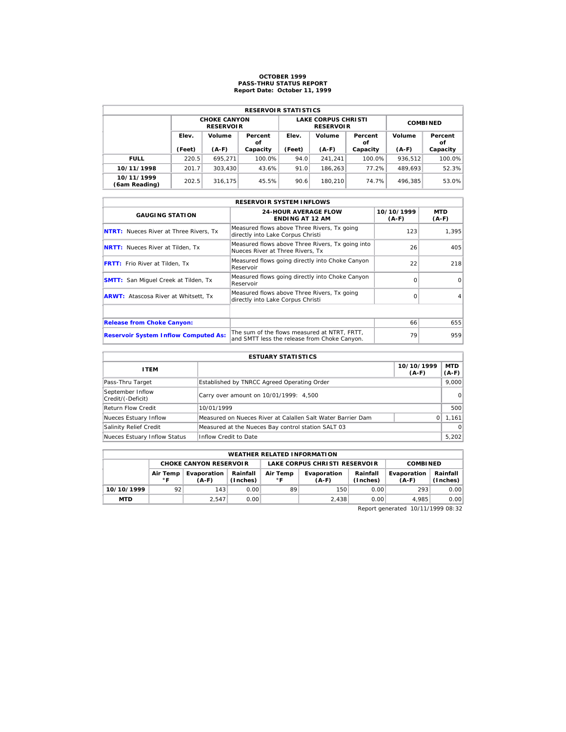# **OCTOBER 1999 PASS-THRU STATUS REPORT Report Date: October 11, 1999**

| <b>RESERVOIR STATISTICS</b> |        |                                         |               |        |                                                |                 |         |               |  |  |
|-----------------------------|--------|-----------------------------------------|---------------|--------|------------------------------------------------|-----------------|---------|---------------|--|--|
|                             |        | <b>CHOKE CANYON</b><br><b>RESERVOIR</b> |               |        | <b>LAKE CORPUS CHRISTI</b><br><b>RESERVOIR</b> | <b>COMBINED</b> |         |               |  |  |
|                             | Elev.  | Volume                                  | Percent<br>οf | Elev.  | Volume                                         | Percent<br>οf   | Volume  | Percent<br>οf |  |  |
|                             | (Feet) | $(A-F)$                                 | Capacity      | (Feet) | $(A-F)$                                        | Capacity        | $(A-F)$ | Capacity      |  |  |
| <b>FULL</b>                 | 220.5  | 695.271                                 | 100.0%        | 94.0   | 241.241                                        | 100.0%          | 936.512 | 100.0%        |  |  |
| 10/11/1998                  | 201.7  | 303.430                                 | 43.6%         | 91.0   | 186.263                                        | 77.2%           | 489.693 | 52.3%         |  |  |
| 10/11/1999<br>(6am Reading) | 202.5  | 316.175                                 | 45.5%         | 90.6   | 180.210                                        | 74.7%           | 496.385 | 53.0%         |  |  |

| <b>RESERVOIR SYSTEM INFLOWS</b>               |                                                                                              |                       |                       |  |  |  |  |  |  |
|-----------------------------------------------|----------------------------------------------------------------------------------------------|-----------------------|-----------------------|--|--|--|--|--|--|
| <b>GAUGING STATION</b>                        | <b>24-HOUR AVERAGE FLOW</b><br><b>ENDING AT 12 AM</b>                                        | 10/10/1999<br>$(A-F)$ | <b>MTD</b><br>$(A-F)$ |  |  |  |  |  |  |
| <b>NTRT:</b> Nueces River at Three Rivers, Tx | Measured flows above Three Rivers, Tx going<br>directly into Lake Corpus Christi             | 123                   | 1.395                 |  |  |  |  |  |  |
| <b>NRTT:</b> Nueces River at Tilden, Tx       | Measured flows above Three Rivers, Tx going into<br>Nueces River at Three Rivers. Tx         | 26                    | 405                   |  |  |  |  |  |  |
| <b>FRTT:</b> Frio River at Tilden, Tx         | Measured flows going directly into Choke Canyon<br>Reservoir                                 | 22                    | 218                   |  |  |  |  |  |  |
| <b>SMTT:</b> San Miquel Creek at Tilden, Tx   | Measured flows going directly into Choke Canyon<br>Reservoir                                 | $\Omega$              | $\Omega$              |  |  |  |  |  |  |
| <b>ARWT:</b> Atascosa River at Whitsett, Tx   | Measured flows above Three Rivers, Tx going<br>directly into Lake Corpus Christi             | $\Omega$              | 4                     |  |  |  |  |  |  |
|                                               |                                                                                              |                       |                       |  |  |  |  |  |  |
| <b>Release from Choke Canyon:</b>             |                                                                                              | 66                    | 655                   |  |  |  |  |  |  |
| <b>Reservoir System Inflow Computed As:</b>   | The sum of the flows measured at NTRT. FRTT.<br>and SMTT less the release from Choke Canyon. | 79                    | 959                   |  |  |  |  |  |  |

| <b>ESTUARY STATISTICS</b>             |                                                             |                       |                  |  |  |  |  |
|---------------------------------------|-------------------------------------------------------------|-----------------------|------------------|--|--|--|--|
| <b>ITEM</b>                           |                                                             | 10/10/1999<br>$(A-F)$ | MTD  <br>$(A-F)$ |  |  |  |  |
| Pass-Thru Target                      | Established by TNRCC Agreed Operating Order                 |                       | 9.000            |  |  |  |  |
| September Inflow<br>Credit/(-Deficit) | Carry over amount on 10/01/1999: 4,500                      |                       | 0                |  |  |  |  |
| <b>Return Flow Credit</b>             | 10/01/1999                                                  |                       | 500              |  |  |  |  |
| Nueces Estuary Inflow                 | Measured on Nueces River at Calallen Salt Water Barrier Dam | $\Omega$              | 1,161            |  |  |  |  |
| Salinity Relief Credit                | Measured at the Nueces Bay control station SALT 03          |                       | $\Omega$         |  |  |  |  |
| Nueces Estuary Inflow Status          | Inflow Credit to Date                                       |                       | 5,202            |  |  |  |  |

|            | <b>WEATHER RELATED INFORMATION</b> |                        |                      |                |                               |                      |                        |                      |  |  |  |
|------------|------------------------------------|------------------------|----------------------|----------------|-------------------------------|----------------------|------------------------|----------------------|--|--|--|
|            | <b>CHOKE CANYON RESERVOIR</b>      |                        |                      |                | LAKE CORPUS CHRISTI RESERVOIR |                      |                        | <b>COMBINED</b>      |  |  |  |
|            | Air Temp<br>∘г                     | Evaporation<br>$(A-F)$ | Rainfall<br>(Inches) | Air Temp<br>∘г | Evaporation<br>$(A-F)$        | Rainfall<br>(Inches) | Evaporation<br>$(A-F)$ | Rainfall<br>(Inches) |  |  |  |
| 10/10/1999 | 92                                 | 143                    | 0.00                 | 89             | 150 <sup>1</sup>              | 0.00                 | 293                    | 0.00                 |  |  |  |
| <b>MTD</b> |                                    | 2.547                  | 0.001                |                | 2.438                         | 0.00                 | 4.985                  | 0.00                 |  |  |  |

Report generated 10/11/1999 08:32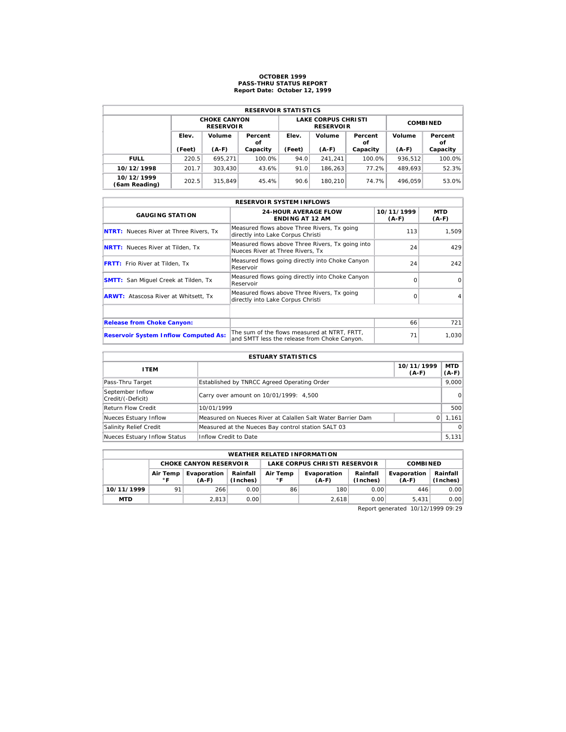# **OCTOBER 1999 PASS-THRU STATUS REPORT Report Date: October 12, 1999**

| <b>RESERVOIR STATISTICS</b> |        |                                         |               |        |                                                |                 |         |               |  |  |
|-----------------------------|--------|-----------------------------------------|---------------|--------|------------------------------------------------|-----------------|---------|---------------|--|--|
|                             |        | <b>CHOKE CANYON</b><br><b>RESERVOIR</b> |               |        | <b>LAKE CORPUS CHRISTI</b><br><b>RESERVOIR</b> | <b>COMBINED</b> |         |               |  |  |
|                             | Elev.  | Volume                                  | Percent<br>οf | Elev.  | Volume                                         | Percent<br>οf   | Volume  | Percent<br>οf |  |  |
|                             | (Feet) | $(A-F)$                                 | Capacity      | (Feet) | $(A-F)$                                        | Capacity        | $(A-F)$ | Capacity      |  |  |
| <b>FULL</b>                 | 220.5  | 695.271                                 | 100.0%        | 94.0   | 241.241                                        | 100.0%          | 936.512 | 100.0%        |  |  |
| 10/12/1998                  | 201.7  | 303.430                                 | 43.6%         | 91.0   | 186.263                                        | 77.2%           | 489.693 | 52.3%         |  |  |
| 10/12/1999                  | 202.5  | 315,849                                 | 45.4%         | 90.6   | 180.210                                        | 74.7%           | 496.059 | 53.0%         |  |  |

| <b>RESERVOIR SYSTEM INFLOWS</b>               |                                                                                              |                       |                       |  |  |  |  |  |  |
|-----------------------------------------------|----------------------------------------------------------------------------------------------|-----------------------|-----------------------|--|--|--|--|--|--|
| <b>GAUGING STATION</b>                        | <b>24-HOUR AVERAGE FLOW</b><br><b>ENDING AT 12 AM</b>                                        | 10/11/1999<br>$(A-F)$ | <b>MTD</b><br>$(A-F)$ |  |  |  |  |  |  |
| <b>NTRT:</b> Nueces River at Three Rivers, Tx | Measured flows above Three Rivers, Tx going<br>directly into Lake Corpus Christi             | 113                   | 1,509                 |  |  |  |  |  |  |
| <b>NRTT:</b> Nueces River at Tilden, Tx       | Measured flows above Three Rivers, Tx going into<br>Nueces River at Three Rivers. Tx         | 24                    | 429                   |  |  |  |  |  |  |
| <b>FRTT:</b> Frio River at Tilden, Tx         | Measured flows going directly into Choke Canyon<br>Reservoir                                 | 24                    | 242                   |  |  |  |  |  |  |
| <b>SMTT:</b> San Miquel Creek at Tilden, Tx   | Measured flows going directly into Choke Canyon<br>Reservoir                                 | $\Omega$              | $\Omega$              |  |  |  |  |  |  |
| <b>ARWT:</b> Atascosa River at Whitsett, Tx   | Measured flows above Three Rivers, Tx going<br>directly into Lake Corpus Christi             | $\Omega$              | 4                     |  |  |  |  |  |  |
|                                               |                                                                                              |                       |                       |  |  |  |  |  |  |
| <b>Release from Choke Canyon:</b>             |                                                                                              | 66                    | 721                   |  |  |  |  |  |  |
| <b>Reservoir System Inflow Computed As:</b>   | The sum of the flows measured at NTRT. FRTT.<br>and SMTT less the release from Choke Canyon. | 71                    | 1,030                 |  |  |  |  |  |  |

| <b>ESTUARY STATISTICS</b>             |                                                             |                       |                  |  |  |  |  |
|---------------------------------------|-------------------------------------------------------------|-----------------------|------------------|--|--|--|--|
| <b>ITEM</b>                           |                                                             | 10/11/1999<br>$(A-F)$ | MTD  <br>$(A-F)$ |  |  |  |  |
| Pass-Thru Target                      | Established by TNRCC Agreed Operating Order                 |                       | 9.000            |  |  |  |  |
| September Inflow<br>Credit/(-Deficit) | Carry over amount on 10/01/1999: 4,500                      |                       | 0                |  |  |  |  |
| <b>Return Flow Credit</b>             | 10/01/1999                                                  |                       | 500              |  |  |  |  |
| Nueces Estuary Inflow                 | Measured on Nueces River at Calallen Salt Water Barrier Dam | $\Omega$              | 1,161            |  |  |  |  |
| Salinity Relief Credit                | Measured at the Nueces Bay control station SALT 03          |                       | $\Omega$         |  |  |  |  |
| Nueces Estuary Inflow Status          | Inflow Credit to Date                                       |                       | 5,131            |  |  |  |  |

|                                                    | <b>WEATHER RELATED INFORMATION</b> |       |                      |                |                               |                      |                        |                      |  |  |  |
|----------------------------------------------------|------------------------------------|-------|----------------------|----------------|-------------------------------|----------------------|------------------------|----------------------|--|--|--|
|                                                    | <b>CHOKE CANYON RESERVOIR</b>      |       |                      |                | LAKE CORPUS CHRISTI RESERVOIR | <b>COMBINED</b>      |                        |                      |  |  |  |
| Evaporation<br>Air Temp<br>$^{\circ}$ F<br>$(A-F)$ |                                    |       | Rainfall<br>(Inches) | Air Temp<br>۰F | Evaporation<br>(A-F)          | Rainfall<br>(Inches) | Evaporation<br>$(A-F)$ | Rainfall<br>(Inches) |  |  |  |
| 10/11/1999                                         | 91                                 | 266   | 0.00                 | 86             | 180                           | 0.00                 | 446                    | 0.00                 |  |  |  |
| <b>MTD</b>                                         |                                    | 2.813 | 0.00                 |                | 2.618                         | 0.00                 | 5.431                  | 0.00                 |  |  |  |

Report generated 10/12/1999 09:29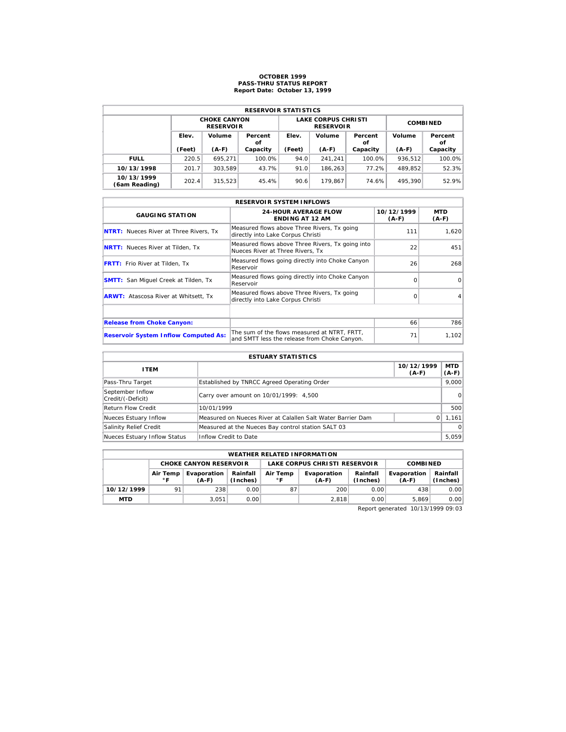# **OCTOBER 1999 PASS-THRU STATUS REPORT Report Date: October 13, 1999**

| <b>RESERVOIR STATISTICS</b> |        |                                         |               |        |                                                |                 |         |               |  |  |
|-----------------------------|--------|-----------------------------------------|---------------|--------|------------------------------------------------|-----------------|---------|---------------|--|--|
|                             |        | <b>CHOKE CANYON</b><br><b>RESERVOIR</b> |               |        | <b>LAKE CORPUS CHRISTI</b><br><b>RESERVOIR</b> | <b>COMBINED</b> |         |               |  |  |
|                             | Elev.  | Volume                                  | Percent<br>οf | Elev.  | Volume                                         | Percent<br>οf   | Volume  | Percent<br>οf |  |  |
|                             | (Feet) | $(A-F)$                                 | Capacity      | (Feet) | $(A-F)$                                        | Capacity        | $(A-F)$ | Capacity      |  |  |
| <b>FULL</b>                 | 220.5  | 695.271                                 | 100.0%        | 94.0   | 241.241                                        | 100.0%          | 936.512 | 100.0%        |  |  |
| 10/13/1998                  | 201.7  | 303.589                                 | 43.7%         | 91.0   | 186.263                                        | 77.2%           | 489.852 | 52.3%         |  |  |
| 10/13/1999<br>(6am Reading) | 202.4  | 315,523                                 | 45.4%         | 90.6   | 179.867                                        | 74.6%           | 495.390 | 52.9%         |  |  |

| <b>RESERVOIR SYSTEM INFLOWS</b>               |                                                                                              |                       |                |  |  |  |  |  |  |
|-----------------------------------------------|----------------------------------------------------------------------------------------------|-----------------------|----------------|--|--|--|--|--|--|
| <b>GAUGING STATION</b>                        | <b>24-HOUR AVERAGE FLOW</b><br><b>ENDING AT 12 AM</b>                                        | 10/12/1999<br>$(A-F)$ | MTD<br>$(A-F)$ |  |  |  |  |  |  |
| <b>NTRT:</b> Nueces River at Three Rivers, Tx | Measured flows above Three Rivers, Tx going<br>directly into Lake Corpus Christi             | 111                   | 1,620          |  |  |  |  |  |  |
| <b>NRTT:</b> Nueces River at Tilden, Tx       | Measured flows above Three Rivers, Tx going into<br>Nueces River at Three Rivers. Tx         | 22                    | 451            |  |  |  |  |  |  |
| <b>FRTT:</b> Frio River at Tilden, Tx         | Measured flows going directly into Choke Canyon<br>Reservoir                                 | 26                    | 268            |  |  |  |  |  |  |
| <b>SMTT:</b> San Miquel Creek at Tilden, Tx   | Measured flows going directly into Choke Canyon<br>Reservoir                                 | $\Omega$              | $\Omega$       |  |  |  |  |  |  |
| <b>ARWT:</b> Atascosa River at Whitsett, Tx   | Measured flows above Three Rivers, Tx going<br>directly into Lake Corpus Christi             | $\Omega$              | 4              |  |  |  |  |  |  |
|                                               |                                                                                              |                       |                |  |  |  |  |  |  |
| <b>Release from Choke Canyon:</b>             |                                                                                              | 66                    | 786            |  |  |  |  |  |  |
| <b>Reservoir System Inflow Computed As:</b>   | The sum of the flows measured at NTRT. FRTT.<br>and SMTT less the release from Choke Canyon. | 71                    | 1,102          |  |  |  |  |  |  |

| <b>ESTUARY STATISTICS</b>             |                                                             |                       |                  |  |  |  |  |
|---------------------------------------|-------------------------------------------------------------|-----------------------|------------------|--|--|--|--|
| <b>ITEM</b>                           |                                                             | 10/12/1999<br>$(A-F)$ | MTD  <br>$(A-F)$ |  |  |  |  |
| Pass-Thru Target                      | Established by TNRCC Agreed Operating Order                 |                       | 9.000            |  |  |  |  |
| September Inflow<br>Credit/(-Deficit) | Carry over amount on 10/01/1999: 4,500                      |                       | 0                |  |  |  |  |
| <b>Return Flow Credit</b>             | 10/01/1999                                                  |                       | 500              |  |  |  |  |
| Nueces Estuary Inflow                 | Measured on Nueces River at Calallen Salt Water Barrier Dam | $\Omega$              | 1,161            |  |  |  |  |
| Salinity Relief Credit                | Measured at the Nueces Bay control station SALT 03          |                       | $\Omega$         |  |  |  |  |
| Nueces Estuary Inflow Status          | Inflow Credit to Date                                       |                       | 5,059            |  |  |  |  |

|            | <b>WEATHER RELATED INFORMATION</b> |                        |                      |                          |                               |                      |                        |                      |  |  |  |
|------------|------------------------------------|------------------------|----------------------|--------------------------|-------------------------------|----------------------|------------------------|----------------------|--|--|--|
|            | <b>CHOKE CANYON RESERVOIR</b>      |                        |                      |                          | LAKE CORPUS CHRISTI RESERVOIR | <b>COMBINED</b>      |                        |                      |  |  |  |
|            | Air Temp<br>$^{\circ}$ F           | Evaporation<br>$(A-F)$ | Rainfall<br>(Inches) | Air Temp<br>$^{\circ}$ F | Evaporation<br>$(A-F)$        | Rainfall<br>(Inches) | Evaporation<br>$(A-F)$ | Rainfall<br>(Inches) |  |  |  |
| 10/12/1999 | 91                                 | 238                    | 0.00                 | 87                       | 200                           | 0.00                 | 438                    | 0.00                 |  |  |  |
| <b>MTD</b> |                                    | 3.051                  | 0.00                 |                          | 2.818                         | 0.00                 | 5.869                  | 0.00                 |  |  |  |

Report generated 10/13/1999 09:03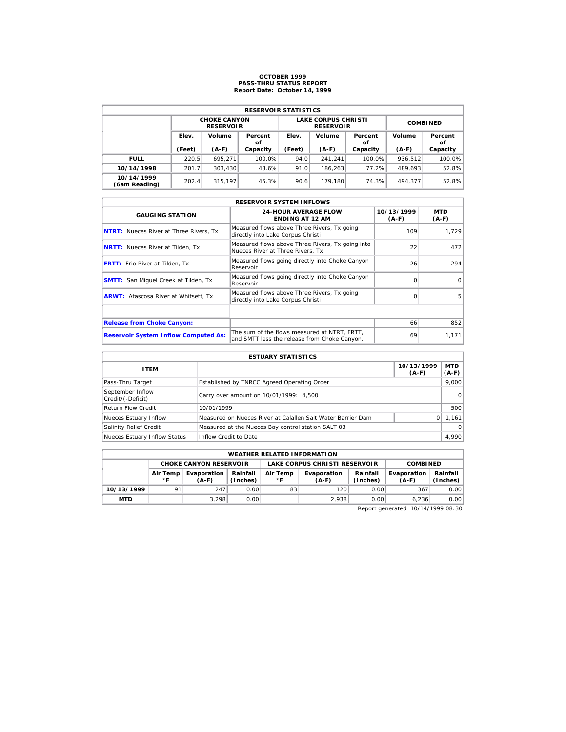# **OCTOBER 1999 PASS-THRU STATUS REPORT Report Date: October 14, 1999**

| <b>RESERVOIR STATISTICS</b> |        |                                         |               |        |                                                |                 |         |               |  |  |
|-----------------------------|--------|-----------------------------------------|---------------|--------|------------------------------------------------|-----------------|---------|---------------|--|--|
|                             |        | <b>CHOKE CANYON</b><br><b>RESERVOIR</b> |               |        | <b>LAKE CORPUS CHRISTI</b><br><b>RESERVOIR</b> | <b>COMBINED</b> |         |               |  |  |
|                             | Elev.  | Volume                                  | Percent<br>οf | Elev.  | Volume                                         | Percent<br>οf   | Volume  | Percent<br>οf |  |  |
|                             | (Feet) | $(A-F)$                                 | Capacity      | (Feet) | $(A-F)$                                        | Capacity        | $(A-F)$ | Capacity      |  |  |
| <b>FULL</b>                 | 220.5  | 695.271                                 | 100.0%        | 94.0   | 241.241                                        | 100.0%          | 936.512 | 100.0%        |  |  |
| 10/14/1998                  | 201.7  | 303.430                                 | 43.6%         | 91.0   | 186.263                                        | 77.2%           | 489.693 | 52.8%         |  |  |
|                             |        |                                         |               |        |                                                |                 |         |               |  |  |

| <b>RESERVOIR SYSTEM INFLOWS</b>               |                                                                                              |                       |                |  |  |  |  |  |  |
|-----------------------------------------------|----------------------------------------------------------------------------------------------|-----------------------|----------------|--|--|--|--|--|--|
| <b>GAUGING STATION</b>                        | <b>24-HOUR AVERAGE FLOW</b><br><b>ENDING AT 12 AM</b>                                        | 10/13/1999<br>$(A-F)$ | MTD<br>$(A-F)$ |  |  |  |  |  |  |
| <b>NTRT:</b> Nueces River at Three Rivers, Tx | Measured flows above Three Rivers, Tx going<br>directly into Lake Corpus Christi             | 109                   | 1,729          |  |  |  |  |  |  |
| <b>NRTT:</b> Nueces River at Tilden, Tx       | Measured flows above Three Rivers, Tx going into<br>Nueces River at Three Rivers. Tx         | 22                    | 472            |  |  |  |  |  |  |
| <b>FRTT:</b> Frio River at Tilden, Tx         | Measured flows going directly into Choke Canyon<br>Reservoir                                 | 26                    | 294            |  |  |  |  |  |  |
| <b>SMTT:</b> San Miquel Creek at Tilden, Tx   | Measured flows going directly into Choke Canyon<br>Reservoir                                 | $\Omega$              | $\Omega$       |  |  |  |  |  |  |
| <b>ARWT:</b> Atascosa River at Whitsett, Tx   | Measured flows above Three Rivers, Tx going<br>directly into Lake Corpus Christi             | $\Omega$              | 5              |  |  |  |  |  |  |
|                                               |                                                                                              |                       |                |  |  |  |  |  |  |
| <b>Release from Choke Canyon:</b>             |                                                                                              | 66                    | 852            |  |  |  |  |  |  |
| <b>Reservoir System Inflow Computed As:</b>   | The sum of the flows measured at NTRT. FRTT.<br>and SMTT less the release from Choke Canyon. | 69                    | 1,171          |  |  |  |  |  |  |

| <b>ESTUARY STATISTICS</b>             |                                                             |                       |                  |  |  |  |  |
|---------------------------------------|-------------------------------------------------------------|-----------------------|------------------|--|--|--|--|
| <b>ITEM</b>                           |                                                             | 10/13/1999<br>$(A-F)$ | MTD  <br>$(A-F)$ |  |  |  |  |
| Pass-Thru Target                      | Established by TNRCC Agreed Operating Order                 |                       | 9.000            |  |  |  |  |
| September Inflow<br>Credit/(-Deficit) | Carry over amount on 10/01/1999: 4,500                      |                       | 0                |  |  |  |  |
| <b>Return Flow Credit</b>             | 10/01/1999                                                  |                       | 500              |  |  |  |  |
| Nueces Estuary Inflow                 | Measured on Nueces River at Calallen Salt Water Barrier Dam | $\Omega$              | 1,161            |  |  |  |  |
| Salinity Relief Credit                | Measured at the Nueces Bay control station SALT 03          |                       | $\Omega$         |  |  |  |  |
| Nueces Estuary Inflow Status          | Inflow Credit to Date                                       |                       | 4,990            |  |  |  |  |

|            | <b>WEATHER RELATED INFORMATION</b> |                        |                      |                |                               |                      |                        |                      |  |  |  |
|------------|------------------------------------|------------------------|----------------------|----------------|-------------------------------|----------------------|------------------------|----------------------|--|--|--|
|            | <b>CHOKE CANYON RESERVOIR</b>      |                        |                      |                | LAKE CORPUS CHRISTI RESERVOIR | <b>COMBINED</b>      |                        |                      |  |  |  |
|            | Air Temp<br>$^{\circ}$ F           | Evaporation<br>$(A-F)$ | Rainfall<br>(Inches) | Air Temp<br>۰F | Evaporation<br>(A-F)          | Rainfall<br>(Inches) | Evaporation<br>$(A-F)$ | Rainfall<br>(Inches) |  |  |  |
| 10/13/1999 | 91                                 | 247                    | 0.00                 | 83             | 120                           | 0.00                 | 367                    | 0.00                 |  |  |  |
| <b>MTD</b> |                                    | 3.298                  | 0.00                 |                | 2.938                         | 0.00                 | 6.236                  | 0.00                 |  |  |  |

Report generated 10/14/1999 08:30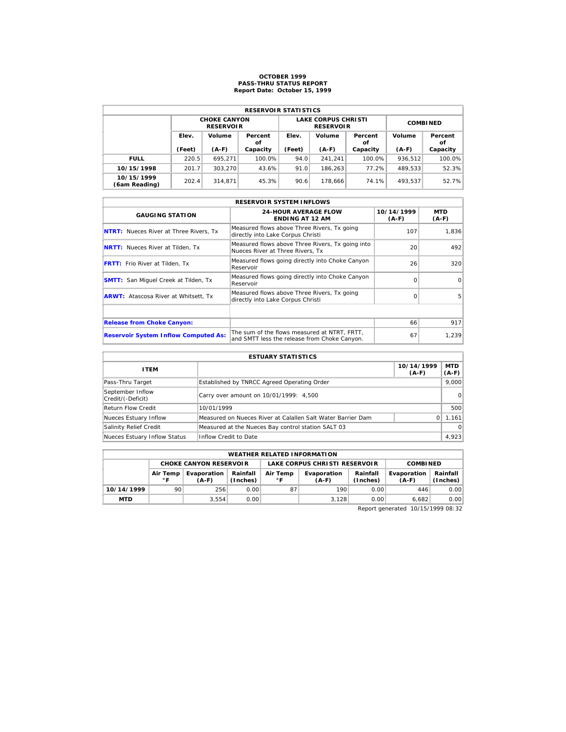# **OCTOBER 1999 PASS-THRU STATUS REPORT Report Date: October 15, 1999**

| <b>RESERVOIR STATISTICS</b> |        |                                         |               |        |                                                |                 |         |               |  |  |
|-----------------------------|--------|-----------------------------------------|---------------|--------|------------------------------------------------|-----------------|---------|---------------|--|--|
|                             |        | <b>CHOKE CANYON</b><br><b>RESERVOIR</b> |               |        | <b>LAKE CORPUS CHRISTI</b><br><b>RESERVOIR</b> | <b>COMBINED</b> |         |               |  |  |
|                             | Elev.  | Volume                                  | Percent<br>οf | Elev.  | Volume                                         | Percent<br>οf   | Volume  | Percent<br>οf |  |  |
|                             | (Feet) | $(A-F)$                                 | Capacity      | (Feet) | $(A-F)$                                        | Capacity        | $(A-F)$ | Capacity      |  |  |
| <b>FULL</b>                 | 220.5  | 695.271                                 | 100.0%        | 94.0   | 241.241                                        | 100.0%          | 936.512 | 100.0%        |  |  |
| 10/15/1998                  | 201.7  | 303.270                                 | 43.6%         | 91.0   | 186.263                                        | 77.2%           | 489.533 | 52.3%         |  |  |
| 10/15/1999                  |        |                                         |               |        |                                                |                 |         |               |  |  |

| <b>RESERVOIR SYSTEM INFLOWS</b>               |                                                                                              |                       |                |  |  |  |  |  |  |
|-----------------------------------------------|----------------------------------------------------------------------------------------------|-----------------------|----------------|--|--|--|--|--|--|
| <b>GAUGING STATION</b>                        | <b>24-HOUR AVERAGE FLOW</b><br><b>ENDING AT 12 AM</b>                                        | 10/14/1999<br>$(A-F)$ | MTD<br>$(A-F)$ |  |  |  |  |  |  |
| <b>NTRT:</b> Nueces River at Three Rivers, Tx | Measured flows above Three Rivers, Tx going<br>directly into Lake Corpus Christi             | 107                   | 1,836          |  |  |  |  |  |  |
| <b>NRTT:</b> Nueces River at Tilden, Tx       | Measured flows above Three Rivers, Tx going into<br>Nueces River at Three Rivers. Tx         | 20                    | 492            |  |  |  |  |  |  |
| <b>FRTT:</b> Frio River at Tilden, Tx         | Measured flows going directly into Choke Canyon<br>Reservoir                                 | 26                    | 320            |  |  |  |  |  |  |
| <b>SMTT:</b> San Miquel Creek at Tilden, Tx   | Measured flows going directly into Choke Canyon<br>Reservoir                                 | $\Omega$              | $\Omega$       |  |  |  |  |  |  |
| <b>ARWT:</b> Atascosa River at Whitsett, Tx   | Measured flows above Three Rivers, Tx going<br>directly into Lake Corpus Christi             | $\Omega$              | 5              |  |  |  |  |  |  |
|                                               |                                                                                              |                       |                |  |  |  |  |  |  |
| <b>Release from Choke Canyon:</b>             |                                                                                              | 66                    | 917            |  |  |  |  |  |  |
| <b>Reservoir System Inflow Computed As:</b>   | The sum of the flows measured at NTRT. FRTT.<br>and SMTT less the release from Choke Canyon. | 67                    | 1,239          |  |  |  |  |  |  |

| <b>ESTUARY STATISTICS</b>             |                                                             |                       |                  |  |  |  |  |
|---------------------------------------|-------------------------------------------------------------|-----------------------|------------------|--|--|--|--|
| <b>ITEM</b>                           |                                                             | 10/14/1999<br>$(A-F)$ | MTD  <br>$(A-F)$ |  |  |  |  |
| Pass-Thru Target                      | Established by TNRCC Agreed Operating Order                 |                       | 9.000            |  |  |  |  |
| September Inflow<br>Credit/(-Deficit) | Carry over amount on 10/01/1999: 4,500                      |                       | 0                |  |  |  |  |
| <b>Return Flow Credit</b>             | 10/01/1999                                                  |                       | 500              |  |  |  |  |
| Nueces Estuary Inflow                 | Measured on Nueces River at Calallen Salt Water Barrier Dam | $\Omega$              | 1,161            |  |  |  |  |
| Salinity Relief Credit                | Measured at the Nueces Bay control station SALT 03          |                       | $\Omega$         |  |  |  |  |
| Nueces Estuary Inflow Status          | Inflow Credit to Date                                       |                       | 4,923            |  |  |  |  |

|            | <b>WEATHER RELATED INFORMATION</b> |                               |                      |                          |                               |                      |                        |                      |  |  |  |
|------------|------------------------------------|-------------------------------|----------------------|--------------------------|-------------------------------|----------------------|------------------------|----------------------|--|--|--|
|            |                                    | <b>CHOKE CANYON RESERVOIR</b> |                      |                          | LAKE CORPUS CHRISTI RESERVOIR | <b>COMBINED</b>      |                        |                      |  |  |  |
|            | Air Temp<br>$\circ$ F              | Evaporation<br>$(A-F)$        | Rainfall<br>(Inches) | Air Temp<br>$^{\circ}$ F | Evaporation<br>$(A-F)$        | Rainfall<br>(Inches) | Evaporation<br>$(A-F)$ | Rainfall<br>(Inches) |  |  |  |
| 10/14/1999 | 90                                 | 256                           | 0.00                 | 87                       | 190                           | 0.00                 | 446                    | 0.00                 |  |  |  |
| <b>MTD</b> |                                    | 3.554                         | 0.00                 |                          | 3.128                         | 0.00                 | 6.682                  | 0.00                 |  |  |  |

Report generated 10/15/1999 08:32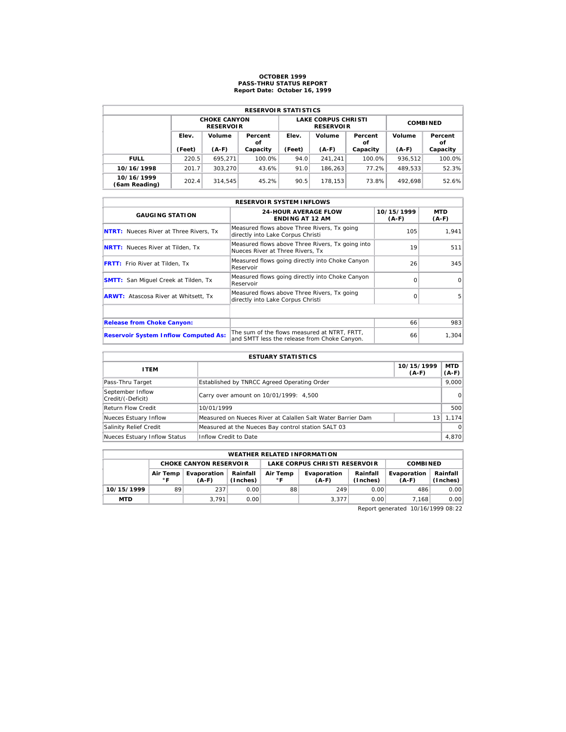# **OCTOBER 1999 PASS-THRU STATUS REPORT Report Date: October 16, 1999**

| <b>RESERVOIR STATISTICS</b> |        |                                         |               |        |                                                |                 |         |               |  |  |  |
|-----------------------------|--------|-----------------------------------------|---------------|--------|------------------------------------------------|-----------------|---------|---------------|--|--|--|
|                             |        | <b>CHOKE CANYON</b><br><b>RESERVOIR</b> |               |        | <b>LAKE CORPUS CHRISTI</b><br><b>RESERVOIR</b> | <b>COMBINED</b> |         |               |  |  |  |
|                             | Elev.  | Volume                                  | Percent<br>οf | Elev.  | Volume                                         | Percent<br>οf   | Volume  | Percent<br>οf |  |  |  |
|                             | (Feet) | $(A-F)$                                 | Capacity      | (Feet) | $(A-F)$                                        | Capacity        | $(A-F)$ | Capacity      |  |  |  |
| <b>FULL</b>                 | 220.5  | 695.271                                 | 100.0%        | 94.0   | 241.241                                        | 100.0%          | 936.512 | 100.0%        |  |  |  |
| 10/16/1998                  | 201.7  | 303.270                                 | 43.6%         | 91.0   | 186.263                                        | 77.2%           | 489.533 | 52.3%         |  |  |  |
| 10/16/1999                  | 202.4  | 314.545                                 | 45.2%         | 90.5   | 178.153                                        | 73.8%           | 492.698 | 52.6%         |  |  |  |

| <b>RESERVOIR SYSTEM INFLOWS</b>               |                                                                                              |                       |                |  |  |  |  |  |  |
|-----------------------------------------------|----------------------------------------------------------------------------------------------|-----------------------|----------------|--|--|--|--|--|--|
| <b>GAUGING STATION</b>                        | <b>24-HOUR AVERAGE FLOW</b><br><b>ENDING AT 12 AM</b>                                        | 10/15/1999<br>$(A-F)$ | MTD<br>$(A-F)$ |  |  |  |  |  |  |
| <b>NTRT:</b> Nueces River at Three Rivers, Tx | Measured flows above Three Rivers, Tx going<br>directly into Lake Corpus Christi             | 105                   | 1,941          |  |  |  |  |  |  |
| <b>NRTT:</b> Nueces River at Tilden, Tx       | Measured flows above Three Rivers, Tx going into<br>Nueces River at Three Rivers. Tx         | 19                    | 511            |  |  |  |  |  |  |
| <b>FRTT:</b> Frio River at Tilden, Tx         | Measured flows going directly into Choke Canyon<br>Reservoir                                 | 26                    | 345            |  |  |  |  |  |  |
| <b>SMTT:</b> San Miquel Creek at Tilden, Tx   | Measured flows going directly into Choke Canyon<br>Reservoir                                 | $\Omega$              | $\Omega$       |  |  |  |  |  |  |
| <b>ARWT:</b> Atascosa River at Whitsett, Tx   | Measured flows above Three Rivers, Tx going<br>directly into Lake Corpus Christi             | $\Omega$              | 5              |  |  |  |  |  |  |
|                                               |                                                                                              |                       |                |  |  |  |  |  |  |
| <b>Release from Choke Canyon:</b>             |                                                                                              | 66                    | 983            |  |  |  |  |  |  |
| <b>Reservoir System Inflow Computed As:</b>   | The sum of the flows measured at NTRT. FRTT.<br>and SMTT less the release from Choke Canyon. | 66                    | 1,304          |  |  |  |  |  |  |

| <b>ESTUARY STATISTICS</b>             |                                                             |                       |                  |  |  |  |  |
|---------------------------------------|-------------------------------------------------------------|-----------------------|------------------|--|--|--|--|
| <b>ITEM</b>                           |                                                             | 10/15/1999<br>$(A-F)$ | MTD  <br>$(A-F)$ |  |  |  |  |
| Pass-Thru Target                      | Established by TNRCC Agreed Operating Order                 |                       | 9.000            |  |  |  |  |
| September Inflow<br>Credit/(-Deficit) | Carry over amount on 10/01/1999: 4,500                      |                       | 0                |  |  |  |  |
| <b>Return Flow Credit</b>             | 10/01/1999                                                  |                       | 500              |  |  |  |  |
| Nueces Estuary Inflow                 | Measured on Nueces River at Calallen Salt Water Barrier Dam | 13                    | 1,174            |  |  |  |  |
| Salinity Relief Credit                | Measured at the Nueces Bay control station SALT 03          |                       | $\Omega$         |  |  |  |  |
| Nueces Estuary Inflow Status          | Inflow Credit to Date                                       |                       | 4,870            |  |  |  |  |

|                                                                            | <b>WEATHER RELATED INFORMATION</b> |                               |      |                |                               |                      |                        |                      |  |  |  |
|----------------------------------------------------------------------------|------------------------------------|-------------------------------|------|----------------|-------------------------------|----------------------|------------------------|----------------------|--|--|--|
|                                                                            |                                    | <b>CHOKE CANYON RESERVOIR</b> |      |                | LAKE CORPUS CHRISTI RESERVOIR | <b>COMBINED</b>      |                        |                      |  |  |  |
| Rainfall<br>Evaporation<br>Air Temp<br>$^{\circ}$ F<br>(Inches)<br>$(A-F)$ |                                    |                               |      | Air Temp<br>۰F | Evaporation<br>(A-F)          | Rainfall<br>(Inches) | Evaporation<br>$(A-F)$ | Rainfall<br>(Inches) |  |  |  |
| 10/15/1999                                                                 | 89                                 | 237                           | 0.00 | 88             | 249                           | 0.00                 | 486                    | 0.00                 |  |  |  |
| <b>MTD</b>                                                                 |                                    | 3.791                         | 0.00 |                | 3.377                         | 0.00                 | 7.168                  | 0.00                 |  |  |  |

Report generated 10/16/1999 08:22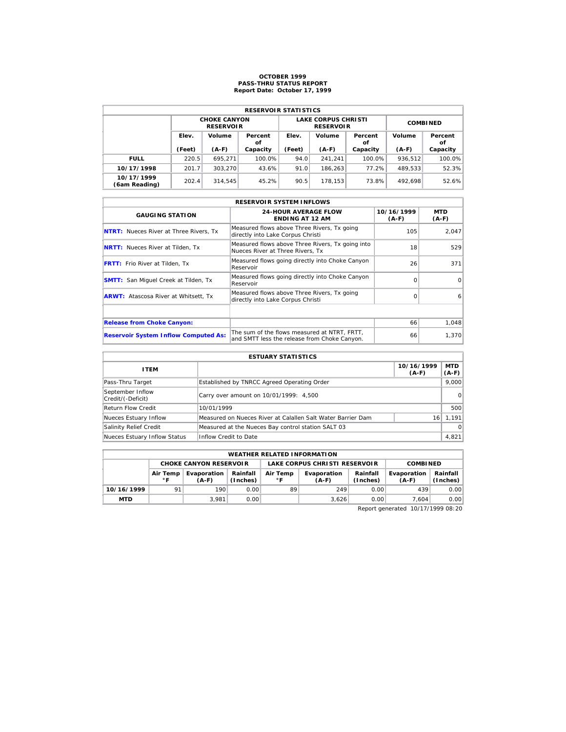# **OCTOBER 1999 PASS-THRU STATUS REPORT Report Date: October 17, 1999**

|                             | <b>RESERVOIR STATISTICS</b> |                                         |               |        |                                                |                 |         |               |  |  |  |
|-----------------------------|-----------------------------|-----------------------------------------|---------------|--------|------------------------------------------------|-----------------|---------|---------------|--|--|--|
|                             |                             | <b>CHOKE CANYON</b><br><b>RESERVOIR</b> |               |        | <b>LAKE CORPUS CHRISTI</b><br><b>RESERVOIR</b> | <b>COMBINED</b> |         |               |  |  |  |
|                             | Elev.                       | Volume                                  | Percent<br>οf | Elev.  | Volume                                         | Percent<br>οf   | Volume  | Percent<br>οf |  |  |  |
|                             | (Feet)                      | $(A-F)$                                 | Capacity      | (Feet) | $(A-F)$                                        | Capacity        | $(A-F)$ | Capacity      |  |  |  |
| <b>FULL</b>                 | 220.5                       | 695.271                                 | 100.0%        | 94.0   | 241.241                                        | 100.0%          | 936,512 | 100.0%        |  |  |  |
| 10/17/1998                  | 201.7                       | 303.270                                 | 43.6%         | 91.0   | 186.263                                        | 77.2%           | 489.533 | 52.3%         |  |  |  |
| 10/17/1999<br>(6am Reading) | 202.4                       | 314.545                                 | 45.2%         | 90.5   | 178.153                                        | 73.8%           | 492.698 | 52.6%         |  |  |  |

| <b>RESERVOIR SYSTEM INFLOWS</b>               |                                                                                              |                       |                |  |  |  |  |  |  |
|-----------------------------------------------|----------------------------------------------------------------------------------------------|-----------------------|----------------|--|--|--|--|--|--|
| <b>GAUGING STATION</b>                        | <b>24-HOUR AVERAGE FLOW</b><br><b>ENDING AT 12 AM</b>                                        | 10/16/1999<br>$(A-F)$ | MTD<br>$(A-F)$ |  |  |  |  |  |  |
| <b>NTRT:</b> Nueces River at Three Rivers, Tx | Measured flows above Three Rivers, Tx going<br>directly into Lake Corpus Christi             | 105                   | 2,047          |  |  |  |  |  |  |
| <b>NRTT:</b> Nueces River at Tilden, Tx       | Measured flows above Three Rivers, Tx going into<br>Nueces River at Three Rivers. Tx         | 18                    | 529            |  |  |  |  |  |  |
| <b>FRTT:</b> Frio River at Tilden, Tx         | Measured flows going directly into Choke Canyon<br>Reservoir                                 | 26                    | 371            |  |  |  |  |  |  |
| <b>SMTT:</b> San Miquel Creek at Tilden, Tx   | Measured flows going directly into Choke Canyon<br>Reservoir                                 | $\Omega$              | $\Omega$       |  |  |  |  |  |  |
| <b>ARWT:</b> Atascosa River at Whitsett, Tx   | Measured flows above Three Rivers, Tx going<br>directly into Lake Corpus Christi             | $\Omega$              | 6              |  |  |  |  |  |  |
|                                               |                                                                                              |                       |                |  |  |  |  |  |  |
| <b>Release from Choke Canyon:</b>             |                                                                                              | 66                    | 1,048          |  |  |  |  |  |  |
| <b>Reservoir System Inflow Computed As:</b>   | The sum of the flows measured at NTRT. FRTT.<br>and SMTT less the release from Choke Canyon. | 66                    | 1,370          |  |  |  |  |  |  |

| <b>ESTUARY STATISTICS</b>             |                                                             |                       |                  |  |  |  |  |
|---------------------------------------|-------------------------------------------------------------|-----------------------|------------------|--|--|--|--|
| <b>ITEM</b>                           |                                                             | 10/16/1999<br>$(A-F)$ | MTD  <br>$(A-F)$ |  |  |  |  |
| Pass-Thru Target                      | Established by TNRCC Agreed Operating Order                 |                       | 9.000            |  |  |  |  |
| September Inflow<br>Credit/(-Deficit) | Carry over amount on 10/01/1999: 4,500                      |                       | 0                |  |  |  |  |
| <b>Return Flow Credit</b>             | 10/01/1999                                                  |                       | 500              |  |  |  |  |
| Nueces Estuary Inflow                 | Measured on Nueces River at Calallen Salt Water Barrier Dam | 16                    | 1.191            |  |  |  |  |
| Salinity Relief Credit                | Measured at the Nueces Bay control station SALT 03          |                       | $\Omega$         |  |  |  |  |
| Nueces Estuary Inflow Status          | Inflow Credit to Date                                       |                       | 4,821            |  |  |  |  |

|                                                                                | <b>WEATHER RELATED INFORMATION</b> |                               |      |          |                               |                      |                        |                      |  |  |  |
|--------------------------------------------------------------------------------|------------------------------------|-------------------------------|------|----------|-------------------------------|----------------------|------------------------|----------------------|--|--|--|
|                                                                                |                                    | <b>CHOKE CANYON RESERVOIR</b> |      |          | LAKE CORPUS CHRISTI RESERVOIR | <b>COMBINED</b>      |                        |                      |  |  |  |
| Evaporation<br>Rainfall<br>Air Temp<br>$^{\circ}$ F<br>(Inches)<br>∘г<br>(A-F) |                                    |                               |      | Air Temp | Evaporation<br>$(A-F)$        | Rainfall<br>(Inches) | Evaporation<br>$(A-F)$ | Rainfall<br>(Inches) |  |  |  |
| 10/16/1999                                                                     | 91                                 | 190                           | 0.00 | 89       | 249                           | 0.00                 | 439                    | 0.00                 |  |  |  |
| <b>MTD</b>                                                                     |                                    | 3.981                         | 0.00 |          | 3.626                         | 0.00                 | 7.604                  | 0.00                 |  |  |  |

Report generated 10/17/1999 08:20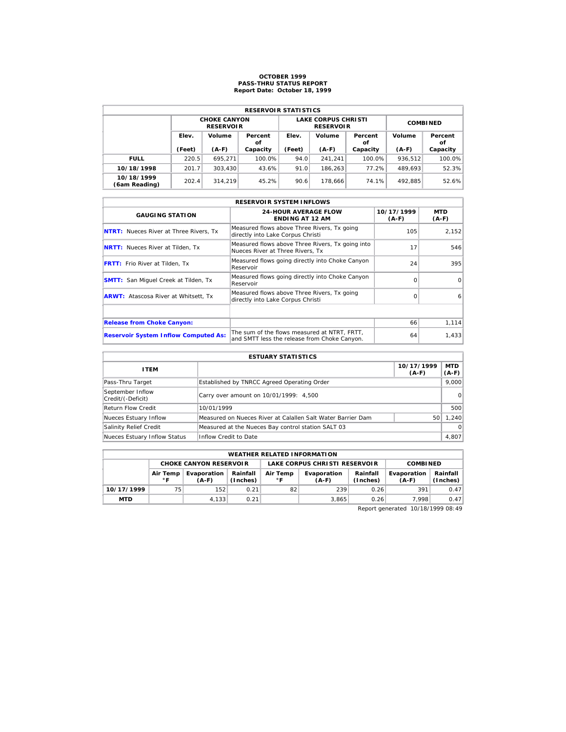# **OCTOBER 1999 PASS-THRU STATUS REPORT Report Date: October 18, 1999**

| <b>RESERVOIR STATISTICS</b> |        |                                         |               |        |                                                |                 |         |               |  |  |  |
|-----------------------------|--------|-----------------------------------------|---------------|--------|------------------------------------------------|-----------------|---------|---------------|--|--|--|
|                             |        | <b>CHOKE CANYON</b><br><b>RESERVOIR</b> |               |        | <b>LAKE CORPUS CHRISTI</b><br><b>RESERVOIR</b> | <b>COMBINED</b> |         |               |  |  |  |
|                             | Elev.  | Volume                                  | Percent<br>οf | Elev.  | Volume                                         | Percent<br>οf   | Volume  | Percent<br>οf |  |  |  |
|                             | (Feet) | $(A-F)$                                 | Capacity      | (Feet) | $(A-F)$                                        | Capacity        | $(A-F)$ | Capacity      |  |  |  |
| <b>FULL</b>                 | 220.5  | 695.271                                 | 100.0%        | 94.0   | 241.241                                        | 100.0%          | 936.512 | 100.0%        |  |  |  |
| 10/18/1998                  | 201.7  | 303.430                                 | 43.6%         | 91.0   | 186.263                                        | 77.2%           | 489.693 | 52.3%         |  |  |  |
| 10/18/1999                  | 202.4  | 314.219                                 | 45.2%         | 90.6   | 178.666                                        | 74.1%           | 492.885 | 52.6%         |  |  |  |

| <b>RESERVOIR SYSTEM INFLOWS</b>               |                                                                                              |                       |                |  |  |  |  |  |  |
|-----------------------------------------------|----------------------------------------------------------------------------------------------|-----------------------|----------------|--|--|--|--|--|--|
| <b>GAUGING STATION</b>                        | <b>24-HOUR AVERAGE FLOW</b><br><b>ENDING AT 12 AM</b>                                        | 10/17/1999<br>$(A-F)$ | MTD<br>$(A-F)$ |  |  |  |  |  |  |
| <b>NTRT:</b> Nueces River at Three Rivers, Tx | Measured flows above Three Rivers, Tx going<br>directly into Lake Corpus Christi             | 105                   | 2,152          |  |  |  |  |  |  |
| <b>NRTT:</b> Nueces River at Tilden, Tx       | Measured flows above Three Rivers, Tx going into<br>Nueces River at Three Rivers. Tx         | 17                    | 546            |  |  |  |  |  |  |
| <b>FRTT:</b> Frio River at Tilden, Tx         | Measured flows going directly into Choke Canyon<br>Reservoir                                 | 24                    | 395            |  |  |  |  |  |  |
| <b>SMTT:</b> San Miquel Creek at Tilden, Tx   | Measured flows going directly into Choke Canyon<br>Reservoir                                 | $\Omega$              | $\Omega$       |  |  |  |  |  |  |
| <b>ARWT:</b> Atascosa River at Whitsett, Tx   | Measured flows above Three Rivers, Tx going<br>directly into Lake Corpus Christi             | $\Omega$              | 6              |  |  |  |  |  |  |
|                                               |                                                                                              |                       |                |  |  |  |  |  |  |
| <b>Release from Choke Canyon:</b>             |                                                                                              | 66                    | 1, 114         |  |  |  |  |  |  |
| <b>Reservoir System Inflow Computed As:</b>   | The sum of the flows measured at NTRT. FRTT.<br>and SMTT less the release from Choke Canyon. | 64                    | 1,433          |  |  |  |  |  |  |

| <b>ESTUARY STATISTICS</b>             |                                                             |                       |                  |  |  |  |  |
|---------------------------------------|-------------------------------------------------------------|-----------------------|------------------|--|--|--|--|
| <b>ITEM</b>                           |                                                             | 10/17/1999<br>$(A-F)$ | MTD  <br>$(A-F)$ |  |  |  |  |
| Pass-Thru Target                      | Established by TNRCC Agreed Operating Order                 |                       | 9.000            |  |  |  |  |
| September Inflow<br>Credit/(-Deficit) | Carry over amount on 10/01/1999: 4,500                      |                       | 0                |  |  |  |  |
| <b>Return Flow Credit</b>             | 10/01/1999                                                  |                       | 500              |  |  |  |  |
| Nueces Estuary Inflow                 | Measured on Nueces River at Calallen Salt Water Barrier Dam | 50                    | 1.240            |  |  |  |  |
| Salinity Relief Credit                | Measured at the Nueces Bay control station SALT 03          |                       | $\Omega$         |  |  |  |  |
| Nueces Estuary Inflow Status          | Inflow Credit to Date                                       |                       | 4,807            |  |  |  |  |

|                                                                                              | <b>WEATHER RELATED INFORMATION</b> |                               |      |                      |                               |                        |                      |      |  |  |  |
|----------------------------------------------------------------------------------------------|------------------------------------|-------------------------------|------|----------------------|-------------------------------|------------------------|----------------------|------|--|--|--|
|                                                                                              |                                    | <b>CHOKE CANYON RESERVOIR</b> |      |                      | LAKE CORPUS CHRISTI RESERVOIR | <b>COMBINED</b>        |                      |      |  |  |  |
| Rainfall<br>Evaporation<br>Air Temp<br>Air Temp<br>$^{\circ}$ F<br>(Inches)<br>۰F<br>$(A-F)$ |                                    |                               |      | Evaporation<br>(A-F) | Rainfall<br>(Inches)          | Evaporation<br>$(A-F)$ | Rainfall<br>(Inches) |      |  |  |  |
| 10/17/1999                                                                                   | 75                                 | 152                           | 0.21 | 82                   | 239                           | 0.26                   | 391                  | 0.47 |  |  |  |
| <b>MTD</b>                                                                                   |                                    | 4.133                         | 0.21 |                      | 3.865                         | 0.26                   | 7.998                | 0.47 |  |  |  |

Report generated 10/18/1999 08:49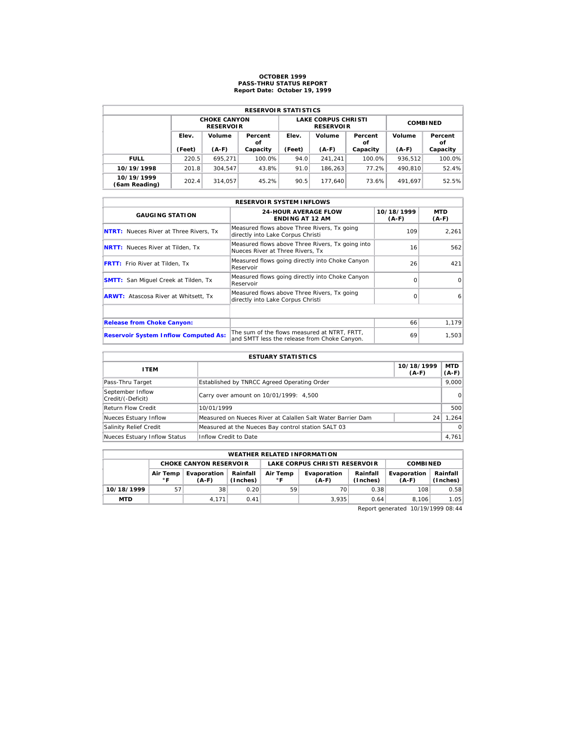# **OCTOBER 1999 PASS-THRU STATUS REPORT Report Date: October 19, 1999**

| <b>RESERVOIR STATISTICS</b> |        |                                         |               |        |                                                |                 |         |               |  |  |
|-----------------------------|--------|-----------------------------------------|---------------|--------|------------------------------------------------|-----------------|---------|---------------|--|--|
|                             |        | <b>CHOKE CANYON</b><br><b>RESERVOIR</b> |               |        | <b>LAKE CORPUS CHRISTI</b><br><b>RESERVOIR</b> | <b>COMBINED</b> |         |               |  |  |
|                             | Elev.  | Volume                                  | Percent<br>οf | Elev.  | Volume                                         | Percent<br>οf   | Volume  | Percent<br>οf |  |  |
|                             | (Feet) | $(A-F)$                                 | Capacity      | (Feet) | $(A-F)$                                        | Capacity        | $(A-F)$ | Capacity      |  |  |
| <b>FULL</b>                 | 220.5  | 695.271                                 | 100.0%        | 94.0   | 241.241                                        | 100.0%          | 936.512 | 100.0%        |  |  |
| 10/19/1998                  | 201.8  | 304.547                                 | 43.8%         | 91.0   | 186.263                                        | 77.2%           | 490.810 | 52.4%         |  |  |
| 10/19/1999                  |        |                                         |               |        |                                                | 73.6%           | 491.697 | 52.5%         |  |  |

| <b>RESERVOIR SYSTEM INFLOWS</b>               |                                                                                              |                       |                |  |  |  |  |  |  |
|-----------------------------------------------|----------------------------------------------------------------------------------------------|-----------------------|----------------|--|--|--|--|--|--|
| <b>GAUGING STATION</b>                        | <b>24-HOUR AVERAGE FLOW</b><br><b>ENDING AT 12 AM</b>                                        | 10/18/1999<br>$(A-F)$ | MTD<br>$(A-F)$ |  |  |  |  |  |  |
| <b>NTRT:</b> Nueces River at Three Rivers, Tx | Measured flows above Three Rivers, Tx going<br>directly into Lake Corpus Christi             | 109                   | 2,261          |  |  |  |  |  |  |
| <b>NRTT:</b> Nueces River at Tilden, Tx       | Measured flows above Three Rivers, Tx going into<br>Nueces River at Three Rivers. Tx         | 16                    | 562            |  |  |  |  |  |  |
| <b>FRTT:</b> Frio River at Tilden, Tx         | Measured flows going directly into Choke Canyon<br>Reservoir                                 | 26                    | 421            |  |  |  |  |  |  |
| <b>SMTT:</b> San Miquel Creek at Tilden, Tx   | Measured flows going directly into Choke Canyon<br>Reservoir                                 | $\Omega$              | $\Omega$       |  |  |  |  |  |  |
| <b>ARWT:</b> Atascosa River at Whitsett, Tx   | Measured flows above Three Rivers, Tx going<br>directly into Lake Corpus Christi             | $\Omega$              | 6              |  |  |  |  |  |  |
|                                               |                                                                                              |                       |                |  |  |  |  |  |  |
| <b>Release from Choke Canyon:</b>             |                                                                                              | 66                    | 1,179          |  |  |  |  |  |  |
| <b>Reservoir System Inflow Computed As:</b>   | The sum of the flows measured at NTRT. FRTT.<br>and SMTT less the release from Choke Canyon. | 69                    | 1,503          |  |  |  |  |  |  |

| <b>ESTUARY STATISTICS</b>             |                                                             |                       |                  |  |  |  |  |
|---------------------------------------|-------------------------------------------------------------|-----------------------|------------------|--|--|--|--|
| <b>ITEM</b>                           |                                                             | 10/18/1999<br>$(A-F)$ | MTD  <br>$(A-F)$ |  |  |  |  |
| Pass-Thru Target                      | Established by TNRCC Agreed Operating Order                 |                       | 9.000            |  |  |  |  |
| September Inflow<br>Credit/(-Deficit) | Carry over amount on 10/01/1999: 4,500                      |                       | 0                |  |  |  |  |
| <b>Return Flow Credit</b>             | 10/01/1999                                                  |                       | 500              |  |  |  |  |
| Nueces Estuary Inflow                 | Measured on Nueces River at Calallen Salt Water Barrier Dam | 24                    | 1,264            |  |  |  |  |
| Salinity Relief Credit                | Measured at the Nueces Bay control station SALT 03          |                       | $\Omega$         |  |  |  |  |
| Nueces Estuary Inflow Status          | Inflow Credit to Date                                       |                       | 4,761            |  |  |  |  |

|            | <b>WEATHER RELATED INFORMATION</b>                                                                                             |                               |      |    |                               |                        |                      |      |  |  |  |
|------------|--------------------------------------------------------------------------------------------------------------------------------|-------------------------------|------|----|-------------------------------|------------------------|----------------------|------|--|--|--|
|            |                                                                                                                                | <b>CHOKE CANYON RESERVOIR</b> |      |    | LAKE CORPUS CHRISTI RESERVOIR | <b>COMBINED</b>        |                      |      |  |  |  |
|            | Rainfall<br>Evaporation<br>Air Temp<br>Evaporation<br>Air Temp<br>$^{\circ}$ F<br>$^{\circ}$ F<br>(Inches)<br>(A-F)<br>$(A-F)$ |                               |      |    | Rainfall<br>(Inches)          | Evaporation<br>$(A-F)$ | Rainfall<br>(Inches) |      |  |  |  |
| 10/18/1999 | 57                                                                                                                             | 38                            | 0.20 | 59 | 70                            | 0.38                   | 108                  | 0.58 |  |  |  |
| <b>MTD</b> |                                                                                                                                | 4.171                         | 0.41 |    | 3.935                         | 0.64                   | 8.106                | 1.05 |  |  |  |

Report generated 10/19/1999 08:44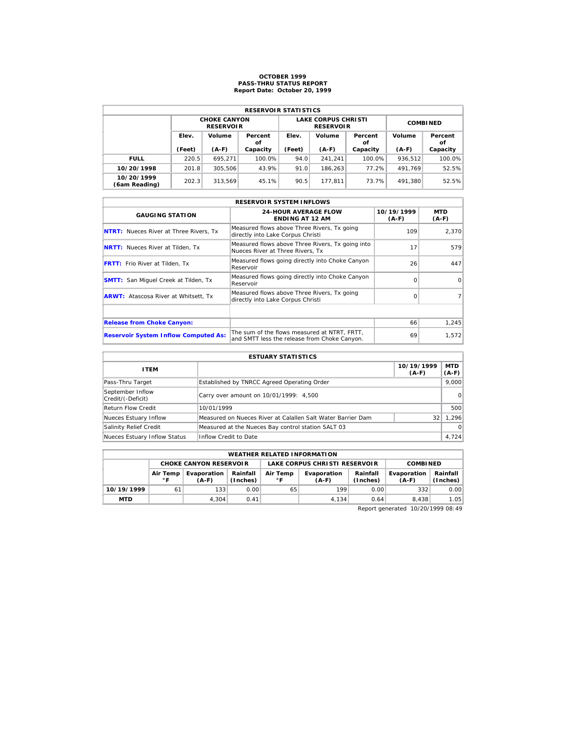# **OCTOBER 1999 PASS-THRU STATUS REPORT Report Date: October 20, 1999**

| <b>RESERVOIR STATISTICS</b> |        |                                         |               |        |                                                |                 |         |               |  |  |
|-----------------------------|--------|-----------------------------------------|---------------|--------|------------------------------------------------|-----------------|---------|---------------|--|--|
|                             |        | <b>CHOKE CANYON</b><br><b>RESERVOIR</b> |               |        | <b>LAKE CORPUS CHRISTI</b><br><b>RESERVOIR</b> | <b>COMBINED</b> |         |               |  |  |
|                             | Elev.  | Volume                                  | Percent<br>οf | Elev.  | Volume                                         | Percent<br>οf   | Volume  | Percent<br>οf |  |  |
|                             | (Feet) | $(A-F)$                                 | Capacity      | (Feet) | $(A-F)$                                        | Capacity        | $(A-F)$ | Capacity      |  |  |
| <b>FULL</b>                 | 220.5  | 695.271                                 | 100.0%        | 94.0   | 241.241                                        | 100.0%          | 936.512 | 100.0%        |  |  |
| 10/20/1998                  | 201.8  | 305.506                                 | 43.9%         | 91.0   | 186.263                                        | 77.2%           | 491.769 | 52.5%         |  |  |
| 10/20/1999                  | 202.3  | 313.569                                 | 45.1%         | 90.5   | 177.811                                        | 73.7%           | 491.380 | 52.5%         |  |  |

| <b>RESERVOIR SYSTEM INFLOWS</b>               |                                                                                              |                       |                |  |  |  |  |  |  |
|-----------------------------------------------|----------------------------------------------------------------------------------------------|-----------------------|----------------|--|--|--|--|--|--|
| <b>GAUGING STATION</b>                        | <b>24-HOUR AVERAGE FLOW</b><br><b>ENDING AT 12 AM</b>                                        | 10/19/1999<br>$(A-F)$ | MTD<br>$(A-F)$ |  |  |  |  |  |  |
| <b>NTRT:</b> Nueces River at Three Rivers, Tx | Measured flows above Three Rivers, Tx going<br>directly into Lake Corpus Christi             | 109                   | 2.370          |  |  |  |  |  |  |
| <b>NRTT:</b> Nueces River at Tilden, Tx       | Measured flows above Three Rivers, Tx going into<br>Nueces River at Three Rivers. Tx         | 17                    | 579            |  |  |  |  |  |  |
| <b>FRTT:</b> Frio River at Tilden, Tx         | Measured flows going directly into Choke Canyon<br>Reservoir                                 | 26                    | 447            |  |  |  |  |  |  |
| <b>SMTT:</b> San Miquel Creek at Tilden, Tx   | Measured flows going directly into Choke Canyon<br>Reservoir                                 | $\Omega$              | $\Omega$       |  |  |  |  |  |  |
| <b>ARWT:</b> Atascosa River at Whitsett, Tx   | Measured flows above Three Rivers, Tx going<br>directly into Lake Corpus Christi             | $\Omega$              |                |  |  |  |  |  |  |
|                                               |                                                                                              |                       |                |  |  |  |  |  |  |
| <b>Release from Choke Canyon:</b>             |                                                                                              | 66                    | 1,245          |  |  |  |  |  |  |
| <b>Reservoir System Inflow Computed As:</b>   | The sum of the flows measured at NTRT. FRTT.<br>and SMTT less the release from Choke Canyon. | 69                    | 1,572          |  |  |  |  |  |  |

| <b>ESTUARY STATISTICS</b>             |                                                             |                       |                  |  |  |  |  |
|---------------------------------------|-------------------------------------------------------------|-----------------------|------------------|--|--|--|--|
| <b>ITEM</b>                           |                                                             | 10/19/1999<br>$(A-F)$ | MTD  <br>$(A-F)$ |  |  |  |  |
| Pass-Thru Target                      | Established by TNRCC Agreed Operating Order                 |                       | 9.000            |  |  |  |  |
| September Inflow<br>Credit/(-Deficit) | Carry over amount on 10/01/1999: 4,500                      |                       | 0                |  |  |  |  |
| <b>Return Flow Credit</b>             | 10/01/1999                                                  |                       | 500              |  |  |  |  |
| Nueces Estuary Inflow                 | Measured on Nueces River at Calallen Salt Water Barrier Dam | 32                    | 1.296            |  |  |  |  |
| Salinity Relief Credit                | Measured at the Nueces Bay control station SALT 03          |                       | $\Omega$         |  |  |  |  |
| Nueces Estuary Inflow Status          | Inflow Credit to Date                                       |                       | 4,724            |  |  |  |  |

|            | <b>WEATHER RELATED INFORMATION</b>                                                                                   |                               |      |                               |                      |                        |                      |      |  |  |  |
|------------|----------------------------------------------------------------------------------------------------------------------|-------------------------------|------|-------------------------------|----------------------|------------------------|----------------------|------|--|--|--|
|            |                                                                                                                      | <b>CHOKE CANYON RESERVOIR</b> |      | LAKE CORPUS CHRISTI RESERVOIR |                      |                        | <b>COMBINED</b>      |      |  |  |  |
|            | Rainfall<br>Evaporation<br>Air Temp<br>Evaporation<br>Air Temp<br>$^{\circ}$ F<br>(Inches)<br>۰F<br>(A-F)<br>$(A-F)$ |                               |      |                               | Rainfall<br>(Inches) | Evaporation<br>$(A-F)$ | Rainfall<br>(Inches) |      |  |  |  |
| 10/19/1999 | 61                                                                                                                   | 133                           | 0.00 | 65                            | 199                  | 0.00                   | 332                  | 0.00 |  |  |  |
| <b>MTD</b> |                                                                                                                      | 4.304                         | 0.41 |                               | 4.134                | 0.64                   | 8.438                | 1.05 |  |  |  |

Report generated 10/20/1999 08:49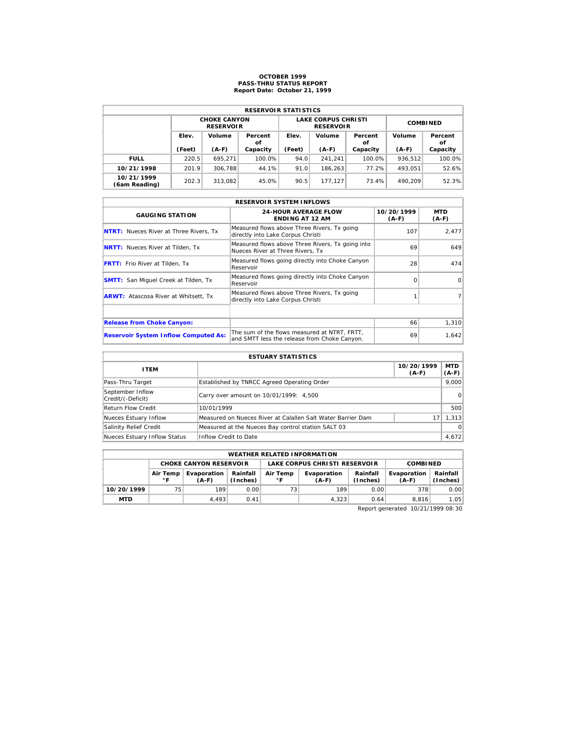# **OCTOBER 1999 PASS-THRU STATUS REPORT Report Date: October 21, 1999**

| <b>RESERVOIR STATISTICS</b> |        |                                         |               |        |                                                |                 |         |               |  |  |  |
|-----------------------------|--------|-----------------------------------------|---------------|--------|------------------------------------------------|-----------------|---------|---------------|--|--|--|
|                             |        | <b>CHOKE CANYON</b><br><b>RESERVOIR</b> |               |        | <b>LAKE CORPUS CHRISTI</b><br><b>RESERVOIR</b> | <b>COMBINED</b> |         |               |  |  |  |
|                             | Elev.  | Volume                                  | Percent<br>οf | Elev.  | Volume                                         | Percent<br>οf   | Volume  | Percent<br>οf |  |  |  |
|                             | (Feet) | $(A-F)$                                 | Capacity      | (Feet) | $(A-F)$                                        | Capacity        | $(A-F)$ | Capacity      |  |  |  |
| <b>FULL</b>                 | 220.5  | 695.271                                 | 100.0%        | 94.0   | 241.241                                        | 100.0%          | 936.512 | 100.0%        |  |  |  |
| 10/21/1998                  | 201.9  | 306.788                                 | 44.1%         | 91.0   | 186.263                                        | 77.2%           | 493.051 | 52.6%         |  |  |  |
| 10/21/1999<br>(6am Reading) | 202.3  | 313.082                                 | 45.0%         | 90.5   | 177.127                                        | 73.4%           | 490.209 | 52.3%         |  |  |  |

| <b>RESERVOIR SYSTEM INFLOWS</b>               |                                                                                              |                       |                |  |  |  |  |  |  |
|-----------------------------------------------|----------------------------------------------------------------------------------------------|-----------------------|----------------|--|--|--|--|--|--|
| <b>GAUGING STATION</b>                        | <b>24-HOUR AVERAGE FLOW</b><br><b>ENDING AT 12 AM</b>                                        | 10/20/1999<br>$(A-F)$ | MTD<br>$(A-F)$ |  |  |  |  |  |  |
| <b>NTRT:</b> Nueces River at Three Rivers, Tx | Measured flows above Three Rivers, Tx going<br>directly into Lake Corpus Christi             | 107                   | 2,477          |  |  |  |  |  |  |
| <b>NRTT:</b> Nueces River at Tilden, Tx       | Measured flows above Three Rivers, Tx going into<br>Nueces River at Three Rivers. Tx         | 69                    | 649            |  |  |  |  |  |  |
| <b>FRTT:</b> Frio River at Tilden, Tx         | Measured flows going directly into Choke Canyon<br>Reservoir                                 | 28                    | 474            |  |  |  |  |  |  |
| <b>SMTT:</b> San Miquel Creek at Tilden, Tx   | Measured flows going directly into Choke Canyon<br>Reservoir                                 | $\Omega$              | $\Omega$       |  |  |  |  |  |  |
| <b>ARWT:</b> Atascosa River at Whitsett, Tx   | Measured flows above Three Rivers, Tx going<br>directly into Lake Corpus Christi             |                       |                |  |  |  |  |  |  |
|                                               |                                                                                              |                       |                |  |  |  |  |  |  |
| <b>Release from Choke Canyon:</b>             |                                                                                              | 66                    | 1,310          |  |  |  |  |  |  |
| <b>Reservoir System Inflow Computed As:</b>   | The sum of the flows measured at NTRT. FRTT.<br>and SMTT less the release from Choke Canyon. | 69                    | 1,642          |  |  |  |  |  |  |

| <b>ESTUARY STATISTICS</b>             |                                                             |                       |                  |  |  |  |  |
|---------------------------------------|-------------------------------------------------------------|-----------------------|------------------|--|--|--|--|
| <b>ITEM</b>                           |                                                             | 10/20/1999<br>$(A-F)$ | MTD  <br>$(A-F)$ |  |  |  |  |
| Pass-Thru Target                      | Established by TNRCC Agreed Operating Order                 |                       | 9.000            |  |  |  |  |
| September Inflow<br>Credit/(-Deficit) | Carry over amount on 10/01/1999: 4,500                      |                       | 0                |  |  |  |  |
| <b>Return Flow Credit</b>             | 10/01/1999                                                  |                       | 500              |  |  |  |  |
| Nueces Estuary Inflow                 | Measured on Nueces River at Calallen Salt Water Barrier Dam | 17                    | 1.313            |  |  |  |  |
| Salinity Relief Credit                | Measured at the Nueces Bay control station SALT 03          |                       | $\Omega$         |  |  |  |  |
| Nueces Estuary Inflow Status          | Inflow Credit to Date                                       |                       | 4,672            |  |  |  |  |

|            | <b>WEATHER RELATED INFORMATION</b>                                                                                   |       |      |    |                      |                        |                      |      |  |  |  |
|------------|----------------------------------------------------------------------------------------------------------------------|-------|------|----|----------------------|------------------------|----------------------|------|--|--|--|
|            | LAKE CORPUS CHRISTI RESERVOIR<br><b>CHOKE CANYON RESERVOIR</b>                                                       |       |      |    |                      |                        | <b>COMBINED</b>      |      |  |  |  |
|            | Rainfall<br>Evaporation<br>Air Temp<br>Evaporation<br>Air Temp<br>$^{\circ}$ F<br>(Inches)<br>∘г<br>$(A-F)$<br>(A-F) |       |      |    | Rainfall<br>(Inches) | Evaporation<br>$(A-F)$ | Rainfall<br>(Inches) |      |  |  |  |
| 10/20/1999 | 75                                                                                                                   | 189   | 0.00 | 73 | 189                  | 0.00                   | 378                  | 0.00 |  |  |  |
| <b>MTD</b> |                                                                                                                      | 4.493 | 0.41 |    | 4.323                | 0.64                   | 8.816                | 1.05 |  |  |  |

Report generated 10/21/1999 08:30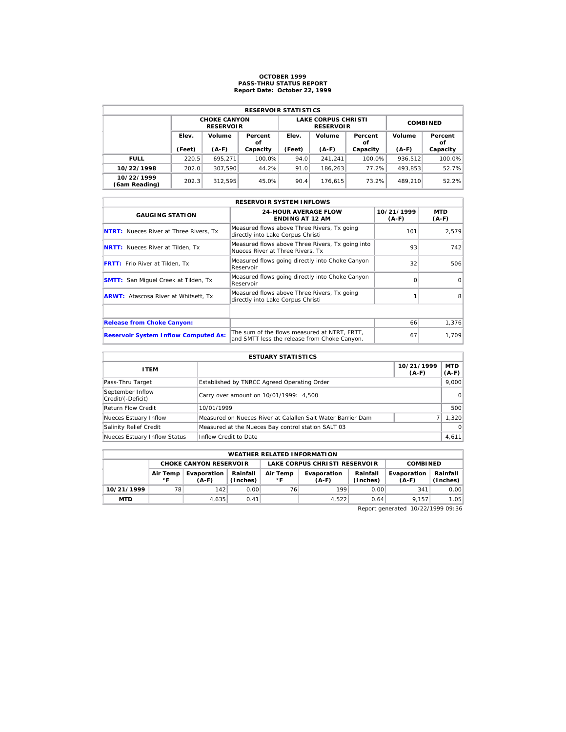# **OCTOBER 1999 PASS-THRU STATUS REPORT Report Date: October 22, 1999**

| <b>RESERVOIR STATISTICS</b> |        |                                         |               |        |                                                |                 |         |               |  |  |
|-----------------------------|--------|-----------------------------------------|---------------|--------|------------------------------------------------|-----------------|---------|---------------|--|--|
|                             |        | <b>CHOKE CANYON</b><br><b>RESERVOIR</b> |               |        | <b>LAKE CORPUS CHRISTI</b><br><b>RESERVOIR</b> | <b>COMBINED</b> |         |               |  |  |
|                             | Elev.  | Volume                                  | Percent<br>οf | Elev.  | Volume                                         | Percent<br>οf   | Volume  | Percent<br>оf |  |  |
|                             | (Feet) | $(A-F)$                                 | Capacity      | (Feet) | $(A-F)$                                        | Capacity        | $(A-F)$ | Capacity      |  |  |
| <b>FULL</b>                 | 220.5  | 695.271                                 | 100.0%        | 94.0   | 241.241                                        | 100.0%          | 936,512 | 100.0%        |  |  |
| 10/22/1998                  | 202.0  | 307.590                                 | 44.2%         | 91.0   | 186.263                                        | 77.2%           | 493.853 | 52.7%         |  |  |
| 10/22/1999<br>(6am Reading) | 202.3  | 312.595                                 | 45.0%         | 90.4   | 176.615                                        | 73.2%           | 489,210 | 52.2%         |  |  |

|                                               | <b>RESERVOIR SYSTEM INFLOWS</b>                                                              |                       |                |  |  |  |  |  |  |  |
|-----------------------------------------------|----------------------------------------------------------------------------------------------|-----------------------|----------------|--|--|--|--|--|--|--|
| <b>GAUGING STATION</b>                        | <b>24-HOUR AVERAGE FLOW</b><br><b>ENDING AT 12 AM</b>                                        | 10/21/1999<br>$(A-F)$ | MTD<br>$(A-F)$ |  |  |  |  |  |  |  |
| <b>NTRT:</b> Nueces River at Three Rivers, Tx | Measured flows above Three Rivers, Tx going<br>directly into Lake Corpus Christi             | 101                   | 2,579          |  |  |  |  |  |  |  |
| <b>NRTT:</b> Nueces River at Tilden, Tx       | Measured flows above Three Rivers, Tx going into<br>Nueces River at Three Rivers. Tx         | 93                    | 742            |  |  |  |  |  |  |  |
| <b>FRTT:</b> Frio River at Tilden, Tx         | Measured flows going directly into Choke Canyon<br>Reservoir                                 | 32                    | 506            |  |  |  |  |  |  |  |
| <b>SMTT:</b> San Miquel Creek at Tilden, Tx   | Measured flows going directly into Choke Canyon<br>Reservoir                                 | $\Omega$              | $\Omega$       |  |  |  |  |  |  |  |
| <b>ARWT:</b> Atascosa River at Whitsett, Tx   | Measured flows above Three Rivers, Tx going<br>directly into Lake Corpus Christi             |                       | 8              |  |  |  |  |  |  |  |
|                                               |                                                                                              |                       |                |  |  |  |  |  |  |  |
| <b>Release from Choke Canyon:</b>             |                                                                                              | 66                    | 1,376          |  |  |  |  |  |  |  |
| <b>Reservoir System Inflow Computed As:</b>   | The sum of the flows measured at NTRT. FRTT.<br>and SMTT less the release from Choke Canyon. | 67                    | 1,709          |  |  |  |  |  |  |  |

| <b>ESTUARY STATISTICS</b>             |                                                             |                       |                  |  |  |  |  |
|---------------------------------------|-------------------------------------------------------------|-----------------------|------------------|--|--|--|--|
| <b>ITEM</b>                           |                                                             | 10/21/1999<br>$(A-F)$ | MTD  <br>$(A-F)$ |  |  |  |  |
| Pass-Thru Target                      | Established by TNRCC Agreed Operating Order                 |                       | 9.000            |  |  |  |  |
| September Inflow<br>Credit/(-Deficit) | Carry over amount on 10/01/1999: 4,500                      |                       | 0                |  |  |  |  |
| <b>Return Flow Credit</b>             | 10/01/1999                                                  |                       | 500              |  |  |  |  |
| Nueces Estuary Inflow                 | Measured on Nueces River at Calallen Salt Water Barrier Dam |                       | 1.320            |  |  |  |  |
| Salinity Relief Credit                | Measured at the Nueces Bay control station SALT 03          |                       | $\Omega$         |  |  |  |  |
| Nueces Estuary Inflow Status          | Inflow Credit to Date                                       |                       | 4,611            |  |  |  |  |

|                                                                                            | <b>WEATHER RELATED INFORMATION</b>                                                |       |      |                        |                      |                        |                      |      |  |  |
|--------------------------------------------------------------------------------------------|-----------------------------------------------------------------------------------|-------|------|------------------------|----------------------|------------------------|----------------------|------|--|--|
|                                                                                            | LAKE CORPUS CHRISTI RESERVOIR<br><b>CHOKE CANYON RESERVOIR</b><br><b>COMBINED</b> |       |      |                        |                      |                        |                      |      |  |  |
| Rainfall<br>Evaporation<br>Air Temp<br>Air Temp<br>$^{\circ}$ F<br>(Inches)<br>∘г<br>(A-F) |                                                                                   |       |      | Evaporation<br>$(A-F)$ | Rainfall<br>(Inches) | Evaporation<br>$(A-F)$ | Rainfall<br>(Inches) |      |  |  |
| 10/21/1999                                                                                 | 78                                                                                | 142   | 0.00 | 76                     | 199                  | 0.00                   | 341                  | 0.00 |  |  |
| <b>MTD</b>                                                                                 |                                                                                   | 4.635 | 0.41 |                        | 4.522                | 0.64                   | 9.157                | 1.05 |  |  |

Report generated 10/22/1999 09:36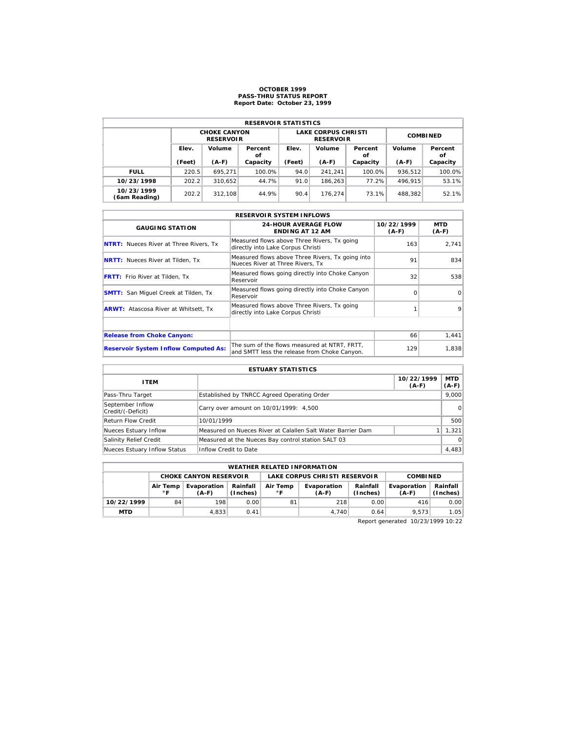#### **OCTOBER 1999 PASS-THRU STATUS REPORT Report Date: October 23, 1999**

| <b>RESERVOIR STATISTICS</b> |                 |                                         |               |                               |                                                |                 |         |               |  |  |
|-----------------------------|-----------------|-----------------------------------------|---------------|-------------------------------|------------------------------------------------|-----------------|---------|---------------|--|--|
|                             |                 |                                         |               |                               |                                                |                 |         |               |  |  |
|                             |                 | <b>CHOKE CANYON</b><br><b>RESERVOIR</b> |               |                               | <b>LAKE CORPUS CHRISTI</b><br><b>RESERVOIR</b> | <b>COMBINED</b> |         |               |  |  |
|                             | Elev.<br>Volume |                                         | Percent<br>οf | Elev.                         | Volume                                         | Percent<br>οf   | Volume  | Percent<br>οf |  |  |
|                             | (Feet)          | $(A-F)$<br>Capacity                     |               | (Feet)<br>$(A-F)$<br>Capacity |                                                |                 | $(A-F)$ | Capacity      |  |  |
| <b>FULL</b>                 | 220.5           | 695.271                                 | 100.0%        | 94.0                          | 241.241                                        | 100.0%          | 936.512 | 100.0%        |  |  |
| 10/23/1998                  | 202.2           | 310.652                                 | 44.7%         | 91.0                          | 186.263                                        | 77.2%           | 496.915 | 53.1%         |  |  |
| 10/23/1999<br>(6am Reading) | 202.2           | 312,108                                 | 44.9%         | 90.4                          | 176.274                                        | 73.1%           | 488.382 | 52.1%         |  |  |

| <b>RESERVOIR SYSTEM INFLOWS</b>               |                                                                                              |                       |                       |  |  |  |  |  |  |
|-----------------------------------------------|----------------------------------------------------------------------------------------------|-----------------------|-----------------------|--|--|--|--|--|--|
| <b>GAUGING STATION</b>                        | <b>24-HOUR AVERAGE FLOW</b><br><b>ENDING AT 12 AM</b>                                        | 10/22/1999<br>$(A-F)$ | <b>MTD</b><br>$(A-F)$ |  |  |  |  |  |  |
| <b>NTRT:</b> Nueces River at Three Rivers, Tx | Measured flows above Three Rivers, Tx going<br>directly into Lake Corpus Christi             | 163                   | 2.741                 |  |  |  |  |  |  |
| <b>NRTT:</b> Nueces River at Tilden, Tx       | Measured flows above Three Rivers, Tx going into<br>Nueces River at Three Rivers. Tx         | 91                    | 834                   |  |  |  |  |  |  |
| <b>FRTT:</b> Frio River at Tilden, Tx         | Measured flows going directly into Choke Canyon<br>Reservoir                                 | 32                    | 538                   |  |  |  |  |  |  |
| <b>SMTT:</b> San Miquel Creek at Tilden, Tx   | Measured flows going directly into Choke Canyon<br>Reservoir                                 | $\Omega$              | $\Omega$              |  |  |  |  |  |  |
| <b>ARWT:</b> Atascosa River at Whitsett, Tx   | Measured flows above Three Rivers, Tx going<br>directly into Lake Corpus Christi             |                       | 9                     |  |  |  |  |  |  |
|                                               |                                                                                              |                       |                       |  |  |  |  |  |  |
| <b>Release from Choke Canyon:</b>             |                                                                                              | 66                    | 1,441                 |  |  |  |  |  |  |
| <b>Reservoir System Inflow Computed As:</b>   | The sum of the flows measured at NTRT, FRTT,<br>and SMTT less the release from Choke Canyon. | 129                   | 1,838                 |  |  |  |  |  |  |

| <b>ESTUARY STATISTICS</b>             |                                                             |                       |                  |  |  |  |  |
|---------------------------------------|-------------------------------------------------------------|-----------------------|------------------|--|--|--|--|
| <b>ITEM</b>                           |                                                             | 10/22/1999<br>$(A-F)$ | MTD  <br>$(A-F)$ |  |  |  |  |
| Pass-Thru Target                      | Established by TNRCC Agreed Operating Order                 |                       | 9,000            |  |  |  |  |
| September Inflow<br>Credit/(-Deficit) | Carry over amount on 10/01/1999: 4,500                      |                       | $\Omega$         |  |  |  |  |
| <b>Return Flow Credit</b>             | 10/01/1999                                                  |                       | 500              |  |  |  |  |
| Nueces Estuary Inflow                 | Measured on Nueces River at Calallen Salt Water Barrier Dam |                       | 1,321            |  |  |  |  |
| Salinity Relief Credit                | Measured at the Nueces Bay control station SALT 03          |                       | $\Omega$         |  |  |  |  |
| Nueces Estuary Inflow Status          | Inflow Credit to Date                                       |                       | 4,483            |  |  |  |  |

| <b>WEATHER RELATED INFORMATION</b>                                                |                                                                                                                        |       |      |    |       |                      |                        |                      |  |
|-----------------------------------------------------------------------------------|------------------------------------------------------------------------------------------------------------------------|-------|------|----|-------|----------------------|------------------------|----------------------|--|
| LAKE CORPUS CHRISTI RESERVOIR<br><b>CHOKE CANYON RESERVOLR</b><br><b>COMBINED</b> |                                                                                                                        |       |      |    |       |                      |                        |                      |  |
|                                                                                   | Air Temp<br>Rainfall<br>Evaporation<br>Evaporation<br>Air Temp<br>$^{\circ}$ F<br>∘г<br>(Inches)<br>$(A-F)$<br>$(A-F)$ |       |      |    |       | Rainfall<br>(Inches) | Evaporation<br>$(A-F)$ | Rainfall<br>(Inches) |  |
| 10/22/1999                                                                        | 84                                                                                                                     | 198   | 0.00 | 81 | 218   | 0.00                 | 416                    | 0.00                 |  |
| <b>MTD</b>                                                                        |                                                                                                                        | 4,833 | 0.41 |    | 4.740 | 0.64                 | 9.573                  | 1.05                 |  |

Report generated 10/23/1999 10:22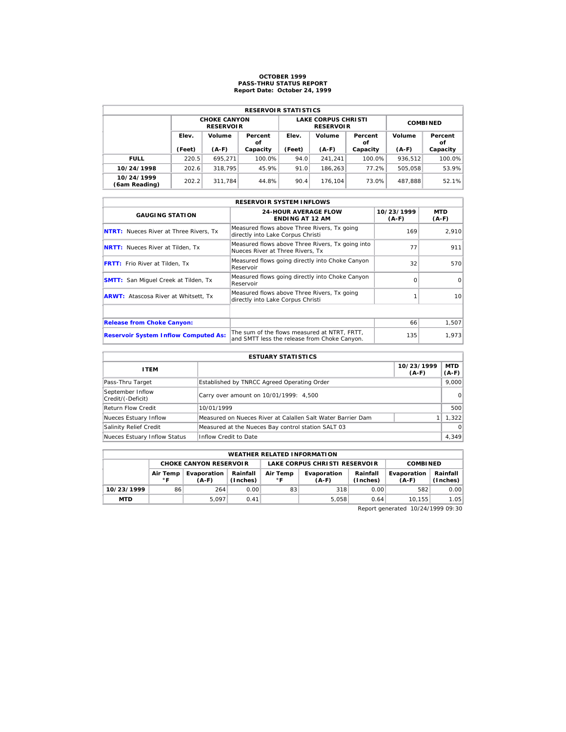# **OCTOBER 1999 PASS-THRU STATUS REPORT Report Date: October 24, 1999**

| <b>RESERVOIR STATISTICS</b> |                 |                                         |               |        |                                                |                 |         |               |  |  |
|-----------------------------|-----------------|-----------------------------------------|---------------|--------|------------------------------------------------|-----------------|---------|---------------|--|--|
|                             |                 | <b>CHOKE CANYON</b><br><b>RESERVOIR</b> |               |        | <b>LAKE CORPUS CHRISTI</b><br><b>RESERVOIR</b> | <b>COMBINED</b> |         |               |  |  |
|                             | Elev.<br>Volume |                                         | Percent<br>οf | Elev.  | Volume                                         | Percent<br>οf   | Volume  | Percent<br>οf |  |  |
|                             | (Feet)          | $(A-F)$                                 | Capacity      | (Feet) | $(A-F)$                                        | Capacity        | $(A-F)$ | Capacity      |  |  |
| <b>FULL</b>                 | 220.5           | 695.271                                 | 100.0%        | 94.0   | 241.241                                        | 100.0%          | 936,512 | 100.0%        |  |  |
| 10/24/1998                  | 202.6           | 318.795                                 | 45.9%         | 91.0   | 186.263                                        | 77.2%           | 505.058 | 53.9%         |  |  |
| 10/24/1999<br>(6am Reading) | 202.2           | 311.784                                 | 44.8%         | 90.4   | 176.104                                        | 73.0%           | 487.888 | 52.1%         |  |  |

| <b>RESERVOIR SYSTEM INFLOWS</b>               |                                                                                              |                       |                 |  |  |  |  |  |  |
|-----------------------------------------------|----------------------------------------------------------------------------------------------|-----------------------|-----------------|--|--|--|--|--|--|
| <b>GAUGING STATION</b>                        | <b>24-HOUR AVERAGE FLOW</b><br><b>ENDING AT 12 AM</b>                                        | 10/23/1999<br>$(A-F)$ | MTD<br>$(A-F)$  |  |  |  |  |  |  |
| <b>NTRT:</b> Nueces River at Three Rivers, Tx | Measured flows above Three Rivers, Tx going<br>directly into Lake Corpus Christi             | 169                   | 2.910           |  |  |  |  |  |  |
| <b>NRTT:</b> Nueces River at Tilden, Tx       | Measured flows above Three Rivers, Tx going into<br>Nueces River at Three Rivers. Tx         | 77                    | 911             |  |  |  |  |  |  |
| <b>FRTT:</b> Frio River at Tilden, Tx         | Measured flows going directly into Choke Canyon<br>Reservoir                                 | 32                    | 570             |  |  |  |  |  |  |
| <b>SMTT:</b> San Miquel Creek at Tilden, Tx   | Measured flows going directly into Choke Canyon<br>Reservoir                                 | $\Omega$              | $\Omega$        |  |  |  |  |  |  |
| <b>ARWT:</b> Atascosa River at Whitsett, Tx   | Measured flows above Three Rivers, Tx going<br>directly into Lake Corpus Christi             |                       | 10 <sup>1</sup> |  |  |  |  |  |  |
|                                               |                                                                                              |                       |                 |  |  |  |  |  |  |
| <b>Release from Choke Canyon:</b>             |                                                                                              | 66                    | 1,507           |  |  |  |  |  |  |
| <b>Reservoir System Inflow Computed As:</b>   | The sum of the flows measured at NTRT. FRTT.<br>and SMTT less the release from Choke Canyon. | 135                   | 1,973           |  |  |  |  |  |  |

| <b>ESTUARY STATISTICS</b>             |                                                             |                       |                  |  |  |  |  |
|---------------------------------------|-------------------------------------------------------------|-----------------------|------------------|--|--|--|--|
| <b>ITEM</b>                           |                                                             | 10/23/1999<br>$(A-F)$ | MTD  <br>$(A-F)$ |  |  |  |  |
| Pass-Thru Target                      | Established by TNRCC Agreed Operating Order                 |                       | 9.000            |  |  |  |  |
| September Inflow<br>Credit/(-Deficit) | Carry over amount on 10/01/1999: 4,500                      |                       | 0                |  |  |  |  |
| <b>Return Flow Credit</b>             | 10/01/1999                                                  |                       | 500              |  |  |  |  |
| Nueces Estuary Inflow                 | Measured on Nueces River at Calallen Salt Water Barrier Dam |                       | 1.322            |  |  |  |  |
| Salinity Relief Credit                | Measured at the Nueces Bay control station SALT 03          |                       | $\Omega$         |  |  |  |  |
| Nueces Estuary Inflow Status          | Inflow Credit to Date                                       |                       | 4,349            |  |  |  |  |

|                                                                                | <b>WEATHER RELATED INFORMATION</b> |                               |      |          |                               |                      |                        |                      |  |  |  |
|--------------------------------------------------------------------------------|------------------------------------|-------------------------------|------|----------|-------------------------------|----------------------|------------------------|----------------------|--|--|--|
|                                                                                |                                    | <b>CHOKE CANYON RESERVOIR</b> |      |          | LAKE CORPUS CHRISTI RESERVOIR |                      |                        | <b>COMBINED</b>      |  |  |  |
| Rainfall<br>Evaporation<br>Air Temp<br>$^{\circ}$ F<br>(Inches)<br>∘г<br>(A-F) |                                    |                               |      | Air Temp | Evaporation<br>$(A-F)$        | Rainfall<br>(Inches) | Evaporation<br>$(A-F)$ | Rainfall<br>(Inches) |  |  |  |
| 10/23/1999                                                                     | 86                                 | 264                           | 0.00 | 83       | 318                           | 0.00                 | 582                    | 0.00                 |  |  |  |
| <b>MTD</b>                                                                     |                                    | 5.097                         | 0.41 |          | 5.058                         | 0.64                 | 10.155                 | 1.05                 |  |  |  |

Report generated 10/24/1999 09:30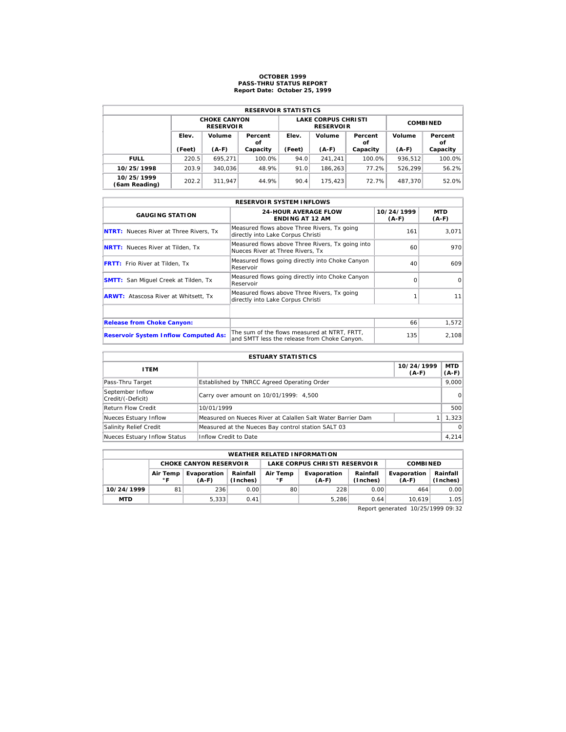# **OCTOBER 1999 PASS-THRU STATUS REPORT Report Date: October 25, 1999**

| <b>RESERVOIR STATISTICS</b> |        |                                         |               |        |                                                |                 |         |               |  |  |  |
|-----------------------------|--------|-----------------------------------------|---------------|--------|------------------------------------------------|-----------------|---------|---------------|--|--|--|
|                             |        | <b>CHOKE CANYON</b><br><b>RESERVOIR</b> |               |        | <b>LAKE CORPUS CHRISTI</b><br><b>RESERVOIR</b> | <b>COMBINED</b> |         |               |  |  |  |
|                             | Elev.  | Volume                                  | Percent<br>οf | Elev.  | Volume                                         | Percent<br>οf   | Volume  | Percent<br>οf |  |  |  |
|                             | (Feet) | $(A-F)$                                 | Capacity      | (Feet) | $(A-F)$                                        | Capacity        | $(A-F)$ | Capacity      |  |  |  |
| <b>FULL</b>                 | 220.5  | 695.271                                 | 100.0%        | 94.0   | 241.241                                        | 100.0%          | 936.512 | 100.0%        |  |  |  |
| 10/25/1998                  | 203.9  | 340.036                                 | 48.9%         | 91.0   | 186.263                                        | 77.2%           | 526.299 | 56.2%         |  |  |  |
| 10/25/1999                  | 202.2  | 311.947                                 | 44.9%         | 90.4   | 175.423                                        | 72.7%           | 487.370 | 52.0%         |  |  |  |

|                                               | <b>RESERVOIR SYSTEM INFLOWS</b>                                                              |                       |                |  |  |  |  |  |  |  |
|-----------------------------------------------|----------------------------------------------------------------------------------------------|-----------------------|----------------|--|--|--|--|--|--|--|
| <b>GAUGING STATION</b>                        | <b>24-HOUR AVERAGE FLOW</b><br><b>ENDING AT 12 AM</b>                                        | 10/24/1999<br>$(A-F)$ | MTD<br>$(A-F)$ |  |  |  |  |  |  |  |
| <b>NTRT:</b> Nueces River at Three Rivers, Tx | Measured flows above Three Rivers, Tx going<br>directly into Lake Corpus Christi             | 161                   | 3,071          |  |  |  |  |  |  |  |
| <b>NRTT:</b> Nueces River at Tilden, Tx       | Measured flows above Three Rivers, Tx going into<br>Nueces River at Three Rivers. Tx         | 60                    | 970            |  |  |  |  |  |  |  |
| <b>FRTT:</b> Frio River at Tilden, Tx         | Measured flows going directly into Choke Canyon<br>Reservoir                                 | 40                    | 609            |  |  |  |  |  |  |  |
| <b>SMTT:</b> San Miquel Creek at Tilden, Tx   | Measured flows going directly into Choke Canyon<br>Reservoir                                 | $\Omega$              | $\Omega$       |  |  |  |  |  |  |  |
| <b>ARWT:</b> Atascosa River at Whitsett, Tx   | Measured flows above Three Rivers, Tx going<br>directly into Lake Corpus Christi             |                       | 11             |  |  |  |  |  |  |  |
|                                               |                                                                                              |                       |                |  |  |  |  |  |  |  |
| <b>Release from Choke Canyon:</b>             |                                                                                              | 66                    | 1,572          |  |  |  |  |  |  |  |
| <b>Reservoir System Inflow Computed As:</b>   | The sum of the flows measured at NTRT. FRTT.<br>and SMTT less the release from Choke Canyon. | 135                   | 2,108          |  |  |  |  |  |  |  |

| <b>ESTUARY STATISTICS</b>             |                                                             |                       |                  |  |  |  |  |
|---------------------------------------|-------------------------------------------------------------|-----------------------|------------------|--|--|--|--|
| <b>ITEM</b>                           |                                                             | 10/24/1999<br>$(A-F)$ | MTD  <br>$(A-F)$ |  |  |  |  |
| Pass-Thru Target                      | Established by TNRCC Agreed Operating Order                 |                       | 9.000            |  |  |  |  |
| September Inflow<br>Credit/(-Deficit) | Carry over amount on 10/01/1999: 4,500                      |                       | 0                |  |  |  |  |
| <b>Return Flow Credit</b>             | 10/01/1999                                                  |                       | 500              |  |  |  |  |
| Nueces Estuary Inflow                 | Measured on Nueces River at Calallen Salt Water Barrier Dam |                       | 1.323            |  |  |  |  |
| Salinity Relief Credit                | Measured at the Nueces Bay control station SALT 03          |                       | $\Omega$         |  |  |  |  |
| Nueces Estuary Inflow Status          | Inflow Credit to Date                                       |                       | 4,214            |  |  |  |  |

|            | <b>WEATHER RELATED INFORMATION</b>                                                                                   |                               |      |                               |                      |                        |                      |      |  |  |  |
|------------|----------------------------------------------------------------------------------------------------------------------|-------------------------------|------|-------------------------------|----------------------|------------------------|----------------------|------|--|--|--|
|            |                                                                                                                      | <b>CHOKE CANYON RESERVOIR</b> |      | LAKE CORPUS CHRISTI RESERVOIR |                      |                        | <b>COMBINED</b>      |      |  |  |  |
|            | Rainfall<br>Evaporation<br>Air Temp<br>Evaporation<br>Air Temp<br>$^{\circ}$ F<br>(Inches)<br>∘г<br>$(A-F)$<br>(A-F) |                               |      |                               | Rainfall<br>(Inches) | Evaporation<br>$(A-F)$ | Rainfall<br>(Inches) |      |  |  |  |
| 10/24/1999 | 81                                                                                                                   | 236                           | 0.00 | 80                            | 228                  | 0.00                   | 464                  | 0.00 |  |  |  |
| <b>MTD</b> |                                                                                                                      | 5.333                         | 0.41 |                               | 5.286                | 0.64                   | 10.619               | 1.05 |  |  |  |

Report generated 10/25/1999 09:32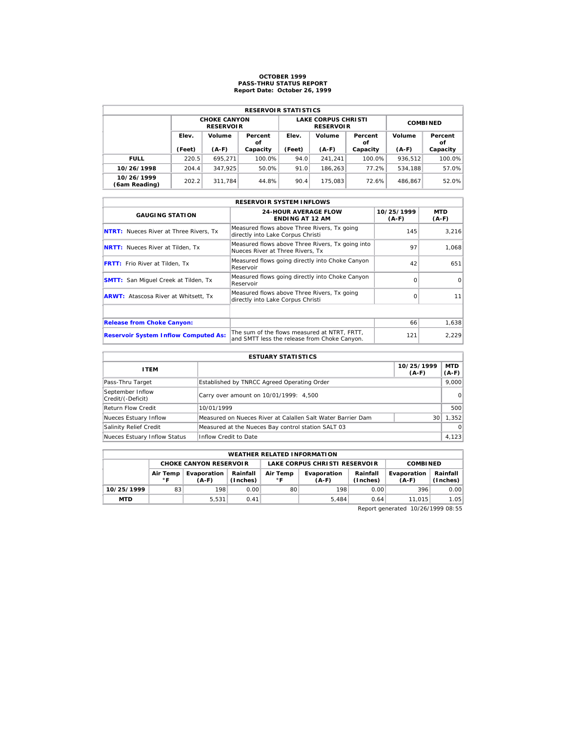# **OCTOBER 1999 PASS-THRU STATUS REPORT Report Date: October 26, 1999**

| <b>RESERVOIR STATISTICS</b> |        |                                         |               |        |                                                |                 |         |               |  |  |  |
|-----------------------------|--------|-----------------------------------------|---------------|--------|------------------------------------------------|-----------------|---------|---------------|--|--|--|
|                             |        | <b>CHOKE CANYON</b><br><b>RESERVOIR</b> |               |        | <b>LAKE CORPUS CHRISTI</b><br><b>RESERVOIR</b> | <b>COMBINED</b> |         |               |  |  |  |
|                             | Elev.  | Volume                                  | Percent<br>οf | Elev.  | Volume                                         | Percent<br>οf   | Volume  | Percent<br>οf |  |  |  |
|                             | (Feet) | $(A-F)$                                 | Capacity      | (Feet) | $(A-F)$                                        | Capacity        | $(A-F)$ | Capacity      |  |  |  |
| <b>FULL</b>                 | 220.5  | 695.271                                 | 100.0%        | 94.0   | 241.241                                        | 100.0%          | 936.512 | 100.0%        |  |  |  |
| 10/26/1998                  | 204.4  | 347.925                                 | 50.0%         | 91.0   | 186.263                                        | 77.2%           | 534.188 | 57.0%         |  |  |  |
| 10/26/1999<br>(6am Reading) | 202.2  | 311.784                                 | 44.8%         | 90.4   | 175.083                                        | 72.6%           | 486.867 | 52.0%         |  |  |  |

|                                               | <b>RESERVOIR SYSTEM INFLOWS</b>                                                              |                       |                |
|-----------------------------------------------|----------------------------------------------------------------------------------------------|-----------------------|----------------|
| <b>GAUGING STATION</b>                        | <b>24-HOUR AVERAGE FLOW</b><br><b>ENDING AT 12 AM</b>                                        | 10/25/1999<br>$(A-F)$ | MTD<br>$(A-F)$ |
| <b>NTRT:</b> Nueces River at Three Rivers, Tx | Measured flows above Three Rivers, Tx going<br>directly into Lake Corpus Christi             | 145                   | 3,216          |
| <b>NRTT:</b> Nueces River at Tilden, Tx       | Measured flows above Three Rivers, Tx going into<br>Nueces River at Three Rivers. Tx         | 97                    | 1,068          |
| <b>FRTT:</b> Frio River at Tilden, Tx         | Measured flows going directly into Choke Canyon<br>Reservoir                                 | 42                    | 651            |
| <b>SMTT:</b> San Miquel Creek at Tilden, Tx   | Measured flows going directly into Choke Canyon<br>Reservoir                                 | $\Omega$              | $\Omega$       |
| <b>ARWT:</b> Atascosa River at Whitsett, Tx   | Measured flows above Three Rivers, Tx going<br>directly into Lake Corpus Christi             | $\Omega$              | 11             |
|                                               |                                                                                              |                       |                |
| <b>Release from Choke Canyon:</b>             |                                                                                              | 66                    | 1,638          |
| <b>Reservoir System Inflow Computed As:</b>   | The sum of the flows measured at NTRT. FRTT.<br>and SMTT less the release from Choke Canyon. | 121                   | 2,229          |

| <b>ESTUARY STATISTICS</b>             |                                                             |                       |                  |  |  |  |  |
|---------------------------------------|-------------------------------------------------------------|-----------------------|------------------|--|--|--|--|
| <b>ITEM</b>                           |                                                             | 10/25/1999<br>$(A-F)$ | MTD  <br>$(A-F)$ |  |  |  |  |
| Pass-Thru Target                      | Established by TNRCC Agreed Operating Order                 |                       | 9.000            |  |  |  |  |
| September Inflow<br>Credit/(-Deficit) | Carry over amount on 10/01/1999: 4,500                      |                       | 0                |  |  |  |  |
| <b>Return Flow Credit</b>             | 10/01/1999                                                  |                       | 500              |  |  |  |  |
| Nueces Estuary Inflow                 | Measured on Nueces River at Calallen Salt Water Barrier Dam | 30 <sup>1</sup>       | 1.352            |  |  |  |  |
| Salinity Relief Credit                | Measured at the Nueces Bay control station SALT 03          |                       | $\Omega$         |  |  |  |  |
| Nueces Estuary Inflow Status          | Inflow Credit to Date                                       |                       | 4,123            |  |  |  |  |

|            | <b>WEATHER RELATED INFORMATION</b>                                                           |                               |      |    |                               |                      |                        |                      |  |  |  |
|------------|----------------------------------------------------------------------------------------------|-------------------------------|------|----|-------------------------------|----------------------|------------------------|----------------------|--|--|--|
|            |                                                                                              | <b>CHOKE CANYON RESERVOLR</b> |      |    | LAKE CORPUS CHRISTI RESERVOIR | <b>COMBINED</b>      |                        |                      |  |  |  |
|            | Rainfall<br>Evaporation<br>Air Temp<br>Air Temp<br>$^{\circ}$ F<br>(Inches)<br>۰F<br>$(A-F)$ |                               |      |    | Evaporation<br>$(A-F)$        | Rainfall<br>(Inches) | Evaporation<br>$(A-F)$ | Rainfall<br>(Inches) |  |  |  |
| 10/25/1999 | 83                                                                                           | 198                           | 0.00 | 80 | 198                           | 0.00                 | 396                    | 0.00                 |  |  |  |
| <b>MTD</b> |                                                                                              | 5.531                         | 0.41 |    | 5.484                         | 0.64                 | 11.015                 | 1.05                 |  |  |  |

Report generated 10/26/1999 08:55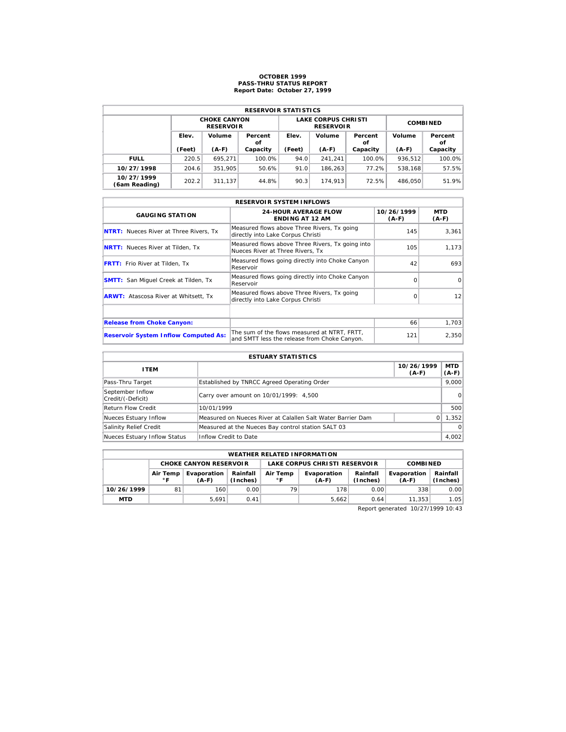# **OCTOBER 1999 PASS-THRU STATUS REPORT Report Date: October 27, 1999**

| <b>RESERVOIR STATISTICS</b> |        |                                         |               |        |                                                |                 |         |               |  |  |
|-----------------------------|--------|-----------------------------------------|---------------|--------|------------------------------------------------|-----------------|---------|---------------|--|--|
|                             |        | <b>CHOKE CANYON</b><br><b>RESERVOIR</b> |               |        | <b>LAKE CORPUS CHRISTI</b><br><b>RESERVOIR</b> | <b>COMBINED</b> |         |               |  |  |
|                             | Elev.  | Volume                                  | Percent<br>οf | Elev.  | Volume                                         | Percent<br>οf   | Volume  | Percent<br>оf |  |  |
|                             | (Feet) | $(A-F)$                                 | Capacity      | (Feet) | $(A-F)$                                        | Capacity        | $(A-F)$ | Capacity      |  |  |
| <b>FULL</b>                 | 220.5  | 695.271                                 | 100.0%        | 94.0   | 241.241                                        | 100.0%          | 936,512 | 100.0%        |  |  |
| 10/27/1998                  | 204.6  | 351.905                                 | 50.6%         | 91.0   | 186.263                                        | 77.2%           | 538.168 | 57.5%         |  |  |
| 10/27/1999<br>(6am Reading) | 202.2  | 311.137                                 | 44.8%         | 90.3   | 174.913                                        | 72.5%           | 486.050 | 51.9%         |  |  |

| <b>RESERVOIR SYSTEM INFLOWS</b>               |                                                                                              |                       |                 |  |  |  |  |  |  |
|-----------------------------------------------|----------------------------------------------------------------------------------------------|-----------------------|-----------------|--|--|--|--|--|--|
| <b>GAUGING STATION</b>                        | <b>24-HOUR AVERAGE FLOW</b><br><b>ENDING AT 12 AM</b>                                        | 10/26/1999<br>$(A-F)$ | MTD<br>$(A-F)$  |  |  |  |  |  |  |
| <b>NTRT:</b> Nueces River at Three Rivers, Tx | Measured flows above Three Rivers, Tx going<br>directly into Lake Corpus Christi             | 145                   | 3,361           |  |  |  |  |  |  |
| <b>NRTT:</b> Nueces River at Tilden, Tx       | Measured flows above Three Rivers, Tx going into<br>Nueces River at Three Rivers, Tx         | 105                   | 1,173           |  |  |  |  |  |  |
| <b>FRTT:</b> Frio River at Tilden, Tx         | Measured flows going directly into Choke Canyon<br>Reservoir                                 | 42                    | 693             |  |  |  |  |  |  |
| <b>SMTT:</b> San Miquel Creek at Tilden, Tx   | Measured flows going directly into Choke Canyon<br>Reservoir                                 | $\Omega$              | $\Omega$        |  |  |  |  |  |  |
| <b>ARWT:</b> Atascosa River at Whitsett, Tx   | Measured flows above Three Rivers, Tx going<br>directly into Lake Corpus Christi             | $\Omega$              | 12 <sup>1</sup> |  |  |  |  |  |  |
|                                               |                                                                                              |                       |                 |  |  |  |  |  |  |
| <b>Release from Choke Canyon:</b>             |                                                                                              | 66                    | 1,703           |  |  |  |  |  |  |
| <b>Reservoir System Inflow Computed As:</b>   | The sum of the flows measured at NTRT, FRTT,<br>and SMTT less the release from Choke Canyon. | 121                   | 2,350           |  |  |  |  |  |  |

| <b>ESTUARY STATISTICS</b>             |                                                             |                       |                  |  |  |  |  |
|---------------------------------------|-------------------------------------------------------------|-----------------------|------------------|--|--|--|--|
| <b>ITEM</b>                           |                                                             | 10/26/1999<br>$(A-F)$ | MTD  <br>$(A-F)$ |  |  |  |  |
| Pass-Thru Target                      | Established by TNRCC Agreed Operating Order                 |                       | 9.000            |  |  |  |  |
| September Inflow<br>Credit/(-Deficit) | Carry over amount on 10/01/1999: 4,500                      |                       | 0                |  |  |  |  |
| <b>Return Flow Credit</b>             | 10/01/1999                                                  |                       | 500              |  |  |  |  |
| Nueces Estuary Inflow                 | Measured on Nueces River at Calallen Salt Water Barrier Dam | $\Omega$              | 1,352            |  |  |  |  |
| Salinity Relief Credit                | Measured at the Nueces Bay control station SALT 03          |                       | $\Omega$         |  |  |  |  |
| Nueces Estuary Inflow Status          | Inflow Credit to Date                                       |                       | 4,002            |  |  |  |  |

|                                                                            | <b>WEATHER RELATED INFORMATION</b> |                               |      |                |                               |                      |                        |                      |  |  |  |
|----------------------------------------------------------------------------|------------------------------------|-------------------------------|------|----------------|-------------------------------|----------------------|------------------------|----------------------|--|--|--|
|                                                                            |                                    | <b>CHOKE CANYON RESERVOIR</b> |      |                | LAKE CORPUS CHRISTI RESERVOIR | <b>COMBINED</b>      |                        |                      |  |  |  |
| Rainfall<br>Evaporation<br>Air Temp<br>$^{\circ}$ F<br>(Inches)<br>$(A-F)$ |                                    |                               |      | Air Temp<br>۰F | Evaporation<br>(A-F)          | Rainfall<br>(Inches) | Evaporation<br>$(A-F)$ | Rainfall<br>(Inches) |  |  |  |
| 10/26/1999                                                                 | 81                                 | 160                           | 0.00 | 79             | 178                           | 0.00                 | 338                    | 0.00                 |  |  |  |
| <b>MTD</b>                                                                 |                                    | 5.691                         | 0.41 |                | 5.662                         | 0.64                 | 11.353                 | 1.05                 |  |  |  |

Report generated 10/27/1999 10:43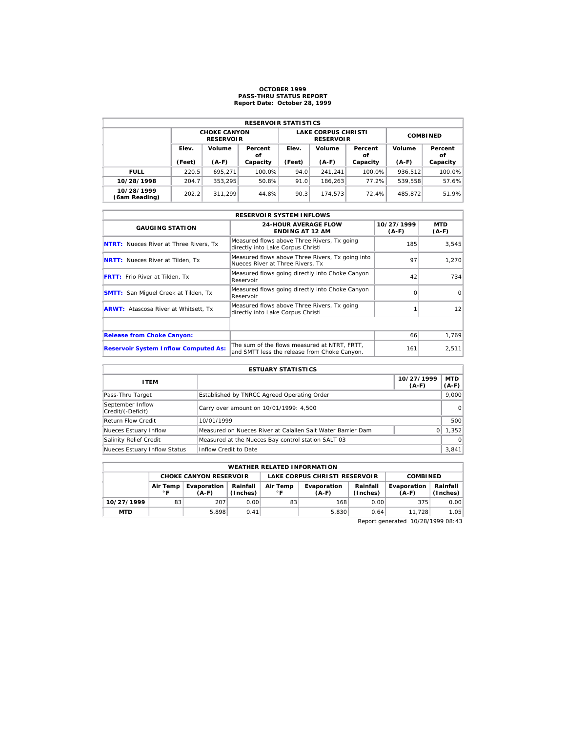#### **OCTOBER 1999 PASS-THRU STATUS REPORT Report Date: October 28, 1999**

| <b>RESERVOIR STATISTICS</b> |                       |                                         |          |                 |                                                |                         |         |               |  |  |  |
|-----------------------------|-----------------------|-----------------------------------------|----------|-----------------|------------------------------------------------|-------------------------|---------|---------------|--|--|--|
|                             |                       | <b>CHOKE CANYON</b><br><b>RESERVOIR</b> |          |                 | <b>LAKE CORPUS CHRISTI</b><br><b>RESERVOIR</b> | <b>COMBINED</b>         |         |               |  |  |  |
|                             | Elev.<br>Volume<br>οf |                                         | Percent  | Volume<br>Elev. |                                                | Volume<br>Percent<br>οf |         | Percent<br>οf |  |  |  |
|                             | (Feet)                | $(A-F)$                                 | Capacity | (Feet)          | $(A-F)$                                        | Capacity                | $(A-F)$ | Capacity      |  |  |  |
| <b>FULL</b>                 | 220.5                 | 695.271                                 | 100.0%   | 94.0            | 241.241                                        | 100.0%                  | 936.512 | 100.0%        |  |  |  |
| 10/28/1998                  | 204.7                 | 353.295                                 | 50.8%    | 91.0            | 186.263                                        | 77.2%                   | 539.558 | 57.6%         |  |  |  |
| 10/28/1999<br>(6am Reading) | 202.2                 | 311.299                                 | 44.8%    | 90.3            | 174.573                                        | 72.4%                   | 485.872 | 51.9%         |  |  |  |

| <b>RESERVOIR SYSTEM INFLOWS</b>               |                                                                                              |                       |                       |  |  |  |  |  |  |  |
|-----------------------------------------------|----------------------------------------------------------------------------------------------|-----------------------|-----------------------|--|--|--|--|--|--|--|
| <b>GAUGING STATION</b>                        | <b>24-HOUR AVERAGE FLOW</b><br><b>ENDING AT 12 AM</b>                                        | 10/27/1999<br>$(A-F)$ | <b>MTD</b><br>$(A-F)$ |  |  |  |  |  |  |  |
| <b>NTRT:</b> Nueces River at Three Rivers, Tx | Measured flows above Three Rivers, Tx going<br>directly into Lake Corpus Christi             | 185                   | 3.545                 |  |  |  |  |  |  |  |
| <b>NRTT:</b> Nueces River at Tilden, Tx       | Measured flows above Three Rivers, Tx going into<br>Nueces River at Three Rivers. Tx         | 97                    | 1,270                 |  |  |  |  |  |  |  |
| <b>FRTT:</b> Frio River at Tilden, Tx         | Measured flows going directly into Choke Canyon<br>Reservoir                                 | 42                    | 734                   |  |  |  |  |  |  |  |
| <b>SMTT:</b> San Miguel Creek at Tilden, Tx   | Measured flows going directly into Choke Canyon<br>Reservoir                                 | $\Omega$              | $\Omega$              |  |  |  |  |  |  |  |
| <b>ARWT:</b> Atascosa River at Whitsett, Tx   | Measured flows above Three Rivers, Tx going<br>directly into Lake Corpus Christi             |                       | 12                    |  |  |  |  |  |  |  |
|                                               |                                                                                              |                       |                       |  |  |  |  |  |  |  |
| <b>Release from Choke Canyon:</b>             |                                                                                              | 66                    | 1.769                 |  |  |  |  |  |  |  |
| <b>Reservoir System Inflow Computed As:</b>   | The sum of the flows measured at NTRT, FRTT,<br>and SMTT less the release from Choke Canyon. | 161                   | 2,511                 |  |  |  |  |  |  |  |

| <b>ESTUARY STATISTICS</b>             |                                                             |                       |                  |  |  |  |  |
|---------------------------------------|-------------------------------------------------------------|-----------------------|------------------|--|--|--|--|
| <b>ITEM</b>                           |                                                             | 10/27/1999<br>$(A-F)$ | MTD  <br>$(A-F)$ |  |  |  |  |
| Pass-Thru Target                      | Established by TNRCC Agreed Operating Order                 |                       | 9,000            |  |  |  |  |
| September Inflow<br>Credit/(-Deficit) | Carry over amount on 10/01/1999: 4,500                      |                       | $\Omega$         |  |  |  |  |
| <b>Return Flow Credit</b>             | 10/01/1999                                                  |                       | 500              |  |  |  |  |
| Nueces Estuary Inflow                 | Measured on Nueces River at Calallen Salt Water Barrier Dam | $\Omega$              | 1,352            |  |  |  |  |
| Salinity Relief Credit                | Measured at the Nueces Bay control station SALT 03          |                       | $\Omega$         |  |  |  |  |
| Nueces Estuary Inflow Status          | Inflow Credit to Date                                       |                       | 3.841            |  |  |  |  |

| <b>WEATHER RELATED INFORMATION</b> |                |                               |                      |                               |                        |                      |                        |                      |  |  |
|------------------------------------|----------------|-------------------------------|----------------------|-------------------------------|------------------------|----------------------|------------------------|----------------------|--|--|
|                                    |                | <b>CHOKE CANYON RESERVOLR</b> |                      | LAKE CORPUS CHRISTI RESERVOIR |                        |                      | <b>COMBINED</b>        |                      |  |  |
|                                    | Air Temp<br>∘г | Evaporation<br>$(A-F)$        | Rainfall<br>(Inches) | Air Temp<br>$^{\circ}$ F      | Evaporation<br>$(A-F)$ | Rainfall<br>(Inches) | Evaporation<br>$(A-F)$ | Rainfall<br>(Inches) |  |  |
| 10/27/1999                         | 83             | 207                           | 0.00                 | 83                            | 168                    | 0.00                 | 375                    | 0.00                 |  |  |
| <b>MTD</b>                         |                | 5.898                         | 0.41                 |                               | 5,830                  | 0.64                 | 11.728                 | 1.05                 |  |  |

Report generated 10/28/1999 08:43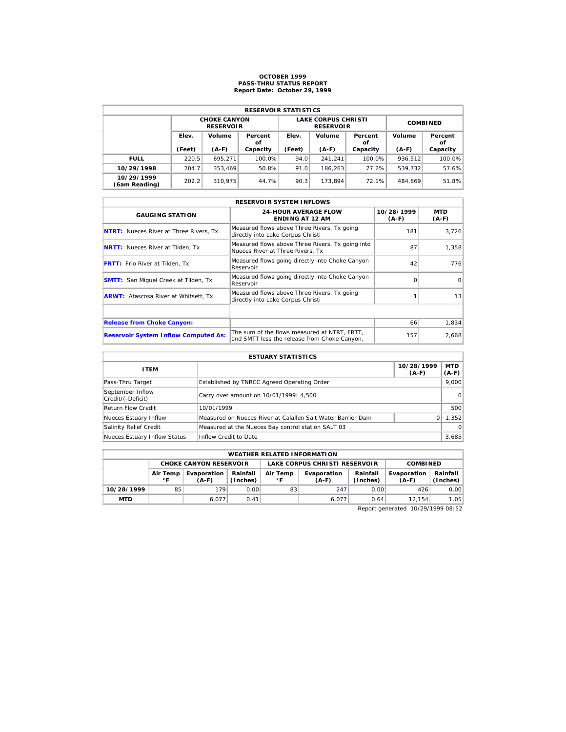# **OCTOBER 1999 PASS-THRU STATUS REPORT Report Date: October 29, 1999**

| <b>RESERVOIR STATISTICS</b> |                       |                                         |          |                 |                                                |                         |         |               |  |  |  |
|-----------------------------|-----------------------|-----------------------------------------|----------|-----------------|------------------------------------------------|-------------------------|---------|---------------|--|--|--|
|                             |                       | <b>CHOKE CANYON</b><br><b>RESERVOIR</b> |          |                 | <b>LAKE CORPUS CHRISTI</b><br><b>RESERVOIR</b> | <b>COMBINED</b>         |         |               |  |  |  |
|                             | Elev.<br>Volume<br>οf |                                         | Percent  | Volume<br>Elev. |                                                | Volume<br>Percent<br>οf |         | Percent<br>οf |  |  |  |
|                             | (Feet)                | $(A-F)$                                 | Capacity | (Feet)          | $(A-F)$                                        | Capacity                | $(A-F)$ | Capacity      |  |  |  |
| <b>FULL</b>                 | 220.5                 | 695.271                                 | 100.0%   | 94.0            | 241.241                                        | 100.0%                  | 936.512 | 100.0%        |  |  |  |
| 10/29/1998                  | 204.7                 | 353.469                                 | 50.8%    | 91.0            | 186.263                                        | 77.2%                   | 539.732 | 57.6%         |  |  |  |
| 10/29/1999                  |                       |                                         |          |                 |                                                |                         |         |               |  |  |  |

|                                               | <b>RESERVOIR SYSTEM INFLOWS</b>                                                              |                       |                 |  |  |  |  |  |  |  |
|-----------------------------------------------|----------------------------------------------------------------------------------------------|-----------------------|-----------------|--|--|--|--|--|--|--|
| <b>GAUGING STATION</b>                        | <b>24-HOUR AVERAGE FLOW</b><br><b>ENDING AT 12 AM</b>                                        | 10/28/1999<br>$(A-F)$ | MTD<br>$(A-F)$  |  |  |  |  |  |  |  |
| <b>NTRT:</b> Nueces River at Three Rivers, Tx | Measured flows above Three Rivers, Tx going<br>directly into Lake Corpus Christi             | 181                   | 3,726           |  |  |  |  |  |  |  |
| <b>NRTT:</b> Nueces River at Tilden, Tx       | Measured flows above Three Rivers, Tx going into<br>Nueces River at Three Rivers. Tx         | 87                    | 1,358           |  |  |  |  |  |  |  |
| <b>FRTT:</b> Frio River at Tilden, Tx         | Measured flows going directly into Choke Canyon<br>Reservoir                                 | 42                    | 776             |  |  |  |  |  |  |  |
| <b>SMTT:</b> San Miquel Creek at Tilden, Tx   | Measured flows going directly into Choke Canyon<br>Reservoir                                 | $\Omega$              | $\Omega$        |  |  |  |  |  |  |  |
| <b>ARWT:</b> Atascosa River at Whitsett, Tx   | Measured flows above Three Rivers, Tx going<br>directly into Lake Corpus Christi             |                       | 13 <sup>1</sup> |  |  |  |  |  |  |  |
|                                               |                                                                                              |                       |                 |  |  |  |  |  |  |  |
| <b>Release from Choke Canyon:</b>             |                                                                                              | 66                    | 1,834           |  |  |  |  |  |  |  |
| <b>Reservoir System Inflow Computed As:</b>   | The sum of the flows measured at NTRT. FRTT.<br>and SMTT less the release from Choke Canyon. | 157                   | 2,668           |  |  |  |  |  |  |  |

| <b>ESTUARY STATISTICS</b>             |                                                             |                       |                  |  |  |  |  |
|---------------------------------------|-------------------------------------------------------------|-----------------------|------------------|--|--|--|--|
| <b>ITEM</b>                           |                                                             | 10/28/1999<br>$(A-F)$ | MTD  <br>$(A-F)$ |  |  |  |  |
| Pass-Thru Target                      | Established by TNRCC Agreed Operating Order                 |                       | 9.000            |  |  |  |  |
| September Inflow<br>Credit/(-Deficit) | Carry over amount on 10/01/1999: 4,500                      |                       | 0                |  |  |  |  |
| <b>Return Flow Credit</b>             | 10/01/1999                                                  |                       | 500              |  |  |  |  |
| Nueces Estuary Inflow                 | Measured on Nueces River at Calallen Salt Water Barrier Dam | $\Omega$              | 1.352            |  |  |  |  |
| Salinity Relief Credit                | Measured at the Nueces Bay control station SALT 03          |                       | $\Omega$         |  |  |  |  |
| Nueces Estuary Inflow Status          | Inflow Credit to Date                                       |                       | 3,685            |  |  |  |  |

|            | <b>WEATHER RELATED INFORMATION</b> |                               |                |                      |                               |                        |                      |      |  |  |  |
|------------|------------------------------------|-------------------------------|----------------|----------------------|-------------------------------|------------------------|----------------------|------|--|--|--|
|            |                                    | <b>CHOKE CANYON RESERVOIR</b> |                |                      | LAKE CORPUS CHRISTI RESERVOIR | <b>COMBINED</b>        |                      |      |  |  |  |
|            | Evaporation<br>$(A-F)$             | Rainfall<br>(Inches)          | Air Temp<br>۰F | Evaporation<br>(A-F) | Rainfall<br>(Inches)          | Evaporation<br>$(A-F)$ | Rainfall<br>(Inches) |      |  |  |  |
| 10/28/1999 | 85                                 | 179                           | 0.00           | 83                   | 247                           | 0.00                   | 426                  | 0.00 |  |  |  |
| <b>MTD</b> |                                    | 6.077                         | 0.41           |                      | 6.077                         | 0.64                   | 12.154               | 1.05 |  |  |  |

Report generated 10/29/1999 08:52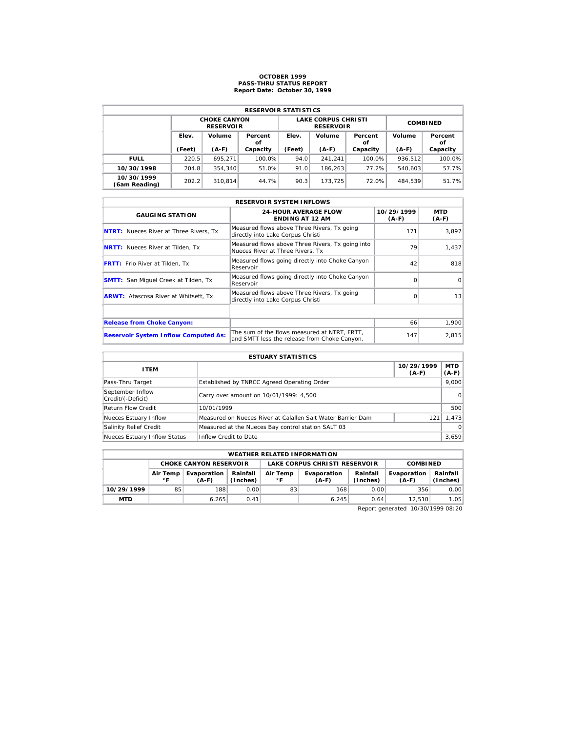# **OCTOBER 1999 PASS-THRU STATUS REPORT Report Date: October 30, 1999**

| <b>RESERVOIR STATISTICS</b> |        |                                         |          |                       |                                                |                 |         |               |  |  |  |
|-----------------------------|--------|-----------------------------------------|----------|-----------------------|------------------------------------------------|-----------------|---------|---------------|--|--|--|
|                             |        | <b>CHOKE CANYON</b><br><b>RESERVOIR</b> |          |                       | <b>LAKE CORPUS CHRISTI</b><br><b>RESERVOIR</b> | <b>COMBINED</b> |         |               |  |  |  |
|                             | Elev.  | Volume<br>Percent<br>οf                 |          | Volume<br>Elev.<br>οf |                                                | Percent         | Volume  | Percent<br>οf |  |  |  |
|                             | (Feet) | $(A-F)$                                 | Capacity | (Feet)                | $(A-F)$                                        | Capacity        | $(A-F)$ | Capacity      |  |  |  |
| <b>FULL</b>                 | 220.5  | 695.271                                 | 100.0%   | 94.0                  | 241.241                                        | 100.0%          | 936.512 | 100.0%        |  |  |  |
| 10/30/1998                  | 204.8  | 354.340                                 | 51.0%    | 91.0                  | 186.263                                        | 77.2%           | 540.603 | 57.7%         |  |  |  |
| 10/30/1999<br>(6am Reading) | 202.2  | 310.814                                 | 44.7%    | 90.3                  | 173.725                                        | 72.0%           | 484.539 | 51.7%         |  |  |  |

|                                               | <b>RESERVOIR SYSTEM INFLOWS</b>                                                              |                       |                 |  |  |  |  |  |  |  |
|-----------------------------------------------|----------------------------------------------------------------------------------------------|-----------------------|-----------------|--|--|--|--|--|--|--|
| <b>GAUGING STATION</b>                        | <b>24-HOUR AVERAGE FLOW</b><br><b>ENDING AT 12 AM</b>                                        | 10/29/1999<br>$(A-F)$ | MTD<br>$(A-F)$  |  |  |  |  |  |  |  |
| <b>NTRT:</b> Nueces River at Three Rivers, Tx | Measured flows above Three Rivers, Tx going<br>directly into Lake Corpus Christi             | 171                   | 3,897           |  |  |  |  |  |  |  |
| <b>NRTT:</b> Nueces River at Tilden, Tx       | Measured flows above Three Rivers, Tx going into<br>Nueces River at Three Rivers. Tx         | 79                    | 1,437           |  |  |  |  |  |  |  |
| <b>FRTT:</b> Frio River at Tilden, Tx         | Measured flows going directly into Choke Canyon<br>Reservoir                                 | 42                    | 818             |  |  |  |  |  |  |  |
| <b>SMTT:</b> San Miquel Creek at Tilden, Tx   | Measured flows going directly into Choke Canyon<br>Reservoir                                 | $\Omega$              | $\Omega$        |  |  |  |  |  |  |  |
| <b>ARWT:</b> Atascosa River at Whitsett, Tx   | Measured flows above Three Rivers, Tx going<br>directly into Lake Corpus Christi             | $\Omega$              | 13 <sup>1</sup> |  |  |  |  |  |  |  |
|                                               |                                                                                              |                       |                 |  |  |  |  |  |  |  |
| <b>Release from Choke Canyon:</b>             |                                                                                              | 66                    | 1,900           |  |  |  |  |  |  |  |
| <b>Reservoir System Inflow Computed As:</b>   | The sum of the flows measured at NTRT. FRTT.<br>and SMTT less the release from Choke Canyon. | 147                   | 2,815           |  |  |  |  |  |  |  |

| <b>ESTUARY STATISTICS</b>             |                                                             |                       |                  |  |  |  |  |
|---------------------------------------|-------------------------------------------------------------|-----------------------|------------------|--|--|--|--|
| <b>ITEM</b>                           |                                                             | 10/29/1999<br>$(A-F)$ | MTD  <br>$(A-F)$ |  |  |  |  |
| Pass-Thru Target                      | Established by TNRCC Agreed Operating Order                 |                       | 9.000            |  |  |  |  |
| September Inflow<br>Credit/(-Deficit) | Carry over amount on 10/01/1999: 4,500                      |                       | 0                |  |  |  |  |
| <b>Return Flow Credit</b>             | 10/01/1999                                                  |                       | 500              |  |  |  |  |
| Nueces Estuary Inflow                 | Measured on Nueces River at Calallen Salt Water Barrier Dam | 121                   | 1.473            |  |  |  |  |
| Salinity Relief Credit                | Measured at the Nueces Bay control station SALT 03          |                       | $\Omega$         |  |  |  |  |
| Nueces Estuary Inflow Status          | Inflow Credit to Date                                       |                       | 3,659            |  |  |  |  |

|                                                    | <b>WEATHER RELATED INFORMATION</b> |                               |                      |                |                               |                      |                        |                      |  |  |  |
|----------------------------------------------------|------------------------------------|-------------------------------|----------------------|----------------|-------------------------------|----------------------|------------------------|----------------------|--|--|--|
|                                                    |                                    | <b>CHOKE CANYON RESERVOIR</b> |                      |                | LAKE CORPUS CHRISTI RESERVOIR | <b>COMBINED</b>      |                        |                      |  |  |  |
| Evaporation<br>Air Temp<br>$^{\circ}$ F<br>$(A-F)$ |                                    |                               | Rainfall<br>(Inches) | Air Temp<br>۰F | Evaporation<br>(A-F)          | Rainfall<br>(Inches) | Evaporation<br>$(A-F)$ | Rainfall<br>(Inches) |  |  |  |
| 10/29/1999                                         | 85                                 | 188                           | 0.00                 | 83             | 168                           | 0.00                 | 356                    | 0.00                 |  |  |  |
| <b>MTD</b>                                         |                                    | 6.265                         | 0.41                 |                | 6.245                         | 0.64                 | 12.510                 | 1.05                 |  |  |  |

Report generated 10/30/1999 08:20